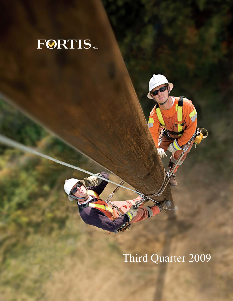

# Third Quarter 2009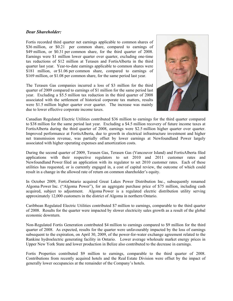# *Dear Shareholder:*

Fortis recorded third quarter net earnings applicable to common shares of \$36 million, or \$0.21 per common share, compared to earnings of \$49 million, or \$0.31 per common share, for the third quarter of 2008. Earnings were \$1 million lower quarter over quarter, excluding one-time tax reductions of \$12 million at Terasen and FortisAlberta in the third quarter last year. Year-to-date earnings applicable to common shares were \$181 million, or \$1.06 per common share, compared to earnings of \$169 million, or \$1.08 per common share, for the same period last year.

The Terasen Gas companies incurred a loss of \$3 million for the third quarter of 2009 compared to earnings of \$1 million for the same period last year. Excluding a \$5.5 million tax reduction in the third quarter of 2008 associated with the settlement of historical corporate tax matters, results were \$1.5 million higher quarter over quarter. The increase was mainly due to lower effective corporate income taxes.



Canadian Regulated Electric Utilities contributed \$36 million to earnings for the third quarter compared to \$38 million for the same period last year. Excluding a \$4.5 million recovery of future income taxes at FortisAlberta during the third quarter of 2008, earnings were \$2.5 million higher quarter over quarter. Improved performance at FortisAlberta, due to growth in electrical infrastructure investment and higher net transmission revenue, was partially offset by lower earnings at Newfoundland Power largely associated with higher operating expenses and amortization costs.

During the second quarter of 2009, Terasen Gas, Terasen Gas (Vancouver Island) and FortisAlberta filed applications with their respective regulators to set 2010 and 2011 customer rates and Newfoundland Power filed an application with its regulator to set 2010 customer rates. Each of these utilities has requested, or is currently engaged in, a cost of capital review, the outcome of which could result in a change in the allowed rate of return on common shareholder's equity.

In October 2009, FortisOntario acquired Great Lakes Power Distribution Inc., subsequently renamed Algoma Power Inc. ("Algoma Power"), for an aggregate purchase price of \$75 million, including cash acquired, subject to adjustment. Algoma Power is a regulated electric distribution utility serving approximately 12,000 customers in the district of Algoma in northern Ontario.

Caribbean Regulated Electric Utilities contributed \$7 million to earnings, comparable to the third quarter of 2008. Results for the quarter were impacted by slower electricity sales growth as a result of the global economic downturn.

Non-Regulated Fortis Generation contributed \$4 million to earnings compared to \$9 million for the third quarter of 2008. As expected, results for the quarter were unfavourably impacted by the loss of earnings subsequent to the expiration, on April 30, 2009, of the power-for-water exchange agreement related to the Rankine hydroelectric generating facility in Ontario. Lower average wholesale market energy prices in Upper New York State and lower production in Belize also contributed to the decrease in earnings.

Fortis Properties contributed \$9 million to earnings, comparable to the third quarter of 2008. Contributions from recently acquired hotels and the Real Estate Division were offset by the impact of generally lower occupancies at the remainder of the Company's hotels.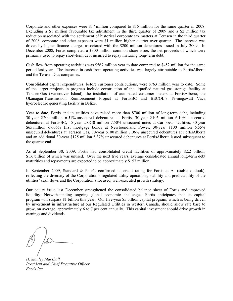Corporate and other expenses were \$17 million compared to \$15 million for the same quarter in 2008. Excluding a \$1 million favourable tax adjustment in the third quarter of 2009 and a \$2 million tax reduction associated with the settlement of historical corporate tax matters at Terasen in the third quarter of 2008, corporate and other expenses were \$1 million higher quarter over quarter. The increase was driven by higher finance charges associated with the \$200 million debentures issued in July 2009. In December 2008, Fortis completed a \$300 million common share issue, the net proceeds of which were primarily used to repay short-term debt incurred to repay maturing long-term debt.

Cash flow from operating activities was \$567 million year to date compared to \$452 million for the same period last year. The increase in cash from operating activities was largely attributable to FortisAlberta and the Terasen Gas companies.

Consolidated capital expenditures, before customer contributions, were \$763 million year to date. Some of the larger projects in progress include construction of the liquefied natural gas storage facility at Terasen Gas (Vancouver Island), the installation of automated customer meters at FortisAlberta, the Okanagan Transmission Reinforcement Project at FortisBC and BECOL's 19-megawatt Vaca hydroelectric generating facility in Belize.

Year to date, Fortis and its utilities have raised more than \$700 million of long-term debt, including 30-year \$200 million 6.51% unsecured debentures at Fortis, 30-year \$105 million 6.10% unsecured debentures at FortisBC, 15-year US\$40 million 7.50% unsecured notes at Caribbean Utilities, 30-year \$65 million 6.606% first mortgage bonds at Newfoundland Power, 30-year \$100 million 6.55% unsecured debentures at Terasen Gas, 30-year \$100 million 7.06% unsecured debentures at FortisAlberta and an additional 30-year \$125 million 5.37% unsecured debentures at FortisAlberta issued subsequent to the quarter end.

As at September 30, 2009, Fortis had consolidated credit facilities of approximately \$2.2 billion, \$1.6 billion of which was unused. Over the next five years, average consolidated annual long-term debt maturities and repayments are expected to be approximately \$157 million.

In September 2009, Standard & Poor's confirmed its credit rating for Fortis at A- (stable outlook), reflecting the diversity of the Corporation's regulated utility operations, stability and predictability of the utilities' cash flows and the Corporation's focused, well-executed growth strategy.

Our equity issue last December strengthened the consolidated balance sheet of Fortis and improved liquidity. Notwithstanding ongoing global economic challenges, Fortis anticipates that its capital program will surpass \$1 billion this year. Our five-year \$5 billion capital program, which is being driven by investment in infrastructure at our Regulated Utilities in western Canada, should allow rate base to grow, on average, approximately 6 to 7 per cent annually. This capital investment should drive growth in earnings and dividends.

*H. Stanley Marshall President and Chief Executive Officer Fortis Inc.*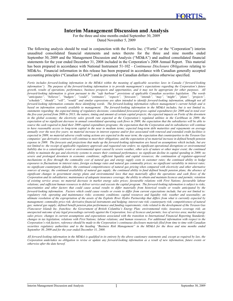# **Interim Management Discussion and Analysis**

For the three and nine months ended September 30, 2009 Dated November 5, 2009

The following analysis should be read in conjunction with the Fortis Inc. ("Fortis" or the "Corporation") interim unaudited consolidated financial statements and notes thereto for the three and nine months ended September 30, 2009 and the Management Discussion and Analysis ("MD&A") and audited consolidated financial statements for the year ended December 31, 2008 included in the Corporation's 2008 Annual Report. This material has been prepared in accordance with National Instrument 51-102 - *Continuous Disclosure Obligations* relating to MD&As. Financial information in this release has been prepared in accordance with Canadian generally accepted accounting principles ("Canadian GAAP") and is presented in Canadian dollars unless otherwise specified.

*Fortis includes forward-looking information in the MD&A within the meaning of applicable securities laws in Canada ("forward-looking information"). The purpose of the forward-looking information is to provide management's expectations regarding the Corporation's future growth, results of operations, performance, business prospects and opportunities, and it may not be appropriate for other purposes. All forward-looking information is given pursuant to the "safe harbour" provisions of applicable Canadian securities legislation. The words "anticipates", "believes", "budgets", "could", "estimates", "expects", "forecasts", "intends", "may", "might", "plans", "projects", "schedule", "should", "will", "would" and similar expressions are often intended to identify forward-looking information, although not all forward-looking information contains these identifying words. The forward-looking information reflects management's current beliefs and is based on information currently available to management. The forward-looking information in the MD&A includes, but is not limited to, statements regarding: the expected timing of regulatory decisions; consolidated forecasted gross capital expenditures for 2009 and in total over the five-year period from 2009 to 2013; the nature, timing and amount of certain capital projects; the expected impacts on Fortis of the downturn*  in the global economy; the electricity sales growth rate expected at the Corporation's regulated utilities in the Caribbean in 2009; the *expectation of no significant decrease in annual consolidated operating cash flows in 2009; the expectation that the subsidiaries will be able to*  source the cash required to fund their 2009 capital expenditure programs; the expectation that the Corporation and its subsidiaries will continue *to have reasonable access to long-term capital in the near to medium terms; expected long-term debt maturities and repayments on average annually over the next five years; no material increase in interest expense and/or fees associated with renewed and extended credit facilities is expected in 2009; no material adverse credit rating actions are expected in the near term; the expectation that counterparties to the Terasen Gas companies' gas derivative contracts will continue to meet their obligations; and the expectation of no material increase in defined benefit pension expense in 2009. The forecasts and projections that make up the forward-looking information are based on assumptions which include, but are not limited to: the receipt of applicable regulatory approvals and requested rate orders; no significant operational disruptions or environmental liability due to a catastrophic event or environmental upset caused by severe weather, other acts of nature or other major event; the continued ability to maintain the gas and electricity systems to ensure their continued performance; no significant decline in capital spending in 2009; no severe and prolonged downturn in economic conditions; sufficient liquidity and capital resources; the continuation of regulator-approved mechanisms to flow through the commodity cost of natural gas and energy supply costs in customer rates; the continued ability to hedge exposures to fluctuations in interest rates, foreign exchange rates and natural gas commodity prices; no significant variability in interest rates; no significant counterparty defaults; the continued competitiveness of natural gas pricing when compared with electricity and other alternative*  sources of energy; the continued availability of natural gas supply; the continued ability to fund defined benefit pension plans; the absence of *significant changes in government energy plans and environmental laws that may materially affect the operations and cash flows of the Corporation and its subsidiaries; maintenance of adequate insurance coverage; the ability to obtain and maintain licences and permits; retention of existing service areas; no material decrease in market energy sales prices; favourable relations with First Nations; favourable labour relations; and sufficient human resources to deliver service and execute the capital program. The forward-looking information is subject to risks, uncertainties and other factors that could cause actual results to differ materially from historical results or results anticipated by the forward-looking information. Factors which could cause results or events to differ from current expectations include, but are not limited to: regulatory risk; operating and maintenance risks; economic conditions; capital resources and liquidity risk; weather and seasonality; an ultimate resolution of the expropriation of the assets of the Exploits River Hydro Partnership that differs from what is currently expected by management; commodity price risk; derivative financial instruments and hedging; interest rate risk; counterparty risk; competitiveness of natural gas; natural gas supply; defined benefit pension plan performance and funding requirements; risks related to the development of the Terasen Gas (Vancouver Island) Inc. franchise; the Government of British Columbia's Energy Plan; environmental risks; insurance coverage risk; an unexpected outcome of any legal proceedings currently against the Corporation; loss of licences and permits; loss of service area; market energy sales prices; changes in current assumptions and expectations associated with the transition to International Financial Reporting Standards; changes in tax legislation; relations with First Nations; labour relations; and human resources. For additional information with respect to the Corporation's risk factors, reference should be made to the Corporation's continuous disclosure materials filed from time to time with Canadian securities regulatory authorities and to the heading "Business Risk Management" in the MD&A for the three and nine months ended September 30, 2009 and for the year ended December 31, 2008.* 

*All forward-looking information in the MD&A is qualified in its entirety by the above cautionary statements and, except as required by law, the Corporation undertakes no obligation to revise or update any forward-looking information as a result of new information, future events or otherwise after the date hereof.*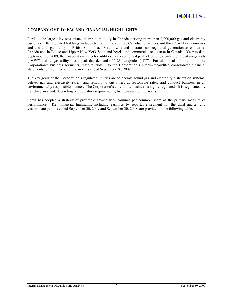## **COMPANY OVERVIEW AND FINANCIAL HIGHLIGHTS**

Fortis is the largest investor-owned distribution utility in Canada, serving more than 2,000,000 gas and electricity customers. Its regulated holdings include electric utilities in five Canadian provinces and three Caribbean countries and a natural gas utility in British Columbia. Fortis owns and operates non-regulated generation assets across Canada and in Belize and Upper New York State and hotels and commercial real estate in Canada. Year-to-date September 30, 2009, the Corporation's electric utilities met a combined peak electricity demand of 5,684 megawatts ("MW") and its gas utility met a peak day demand of 1,234 terajoules ("TJ"). For additional information on the Corporation's business segments, refer to Note 1 to the Corporation's interim unaudited consolidated financial statements for the three and nine months ended September 30, 2009.

The key goals of the Corporation's regulated utilities are to operate sound gas and electricity distribution systems, deliver gas and electricity safely and reliably to customers at reasonable rates, and conduct business in an environmentally responsible manner. The Corporation's core utility business is highly regulated. It is segmented by franchise area and, depending on regulatory requirements, by the nature of the assets.

Fortis has adopted a strategy of profitable growth with earnings per common share as the primary measure of performance. Key financial highlights, including earnings by reportable segment for the third quarter and year-to-date periods ended September 30, 2009 and September 30, 2008, are provided in the following table.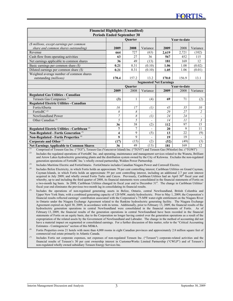| <b>Financial Highlights (Unaudited)</b><br><b>Periods Ended September 30</b> |                               |                |                          |       |              |                          |  |
|------------------------------------------------------------------------------|-------------------------------|----------------|--------------------------|-------|--------------|--------------------------|--|
|                                                                              |                               | <b>Ouarter</b> |                          |       | Year-to-date |                          |  |
| (\$ millions, except earnings per common                                     |                               |                |                          |       |              |                          |  |
| share and common shares outstanding)                                         | 2009                          | 2008           | Variance                 | 2009  | 2008         | Variance                 |  |
| Revenue                                                                      | 664                           | 727            | (63)                     | 2,619 | 2,721        | (102)                    |  |
| Cash flow from operating activities                                          | 63                            | 27             | 36                       | 567   | 452          | 115                      |  |
| Net earnings applicable to common shares                                     | 36                            | 49             | (13)                     | 181   | 169          | 12                       |  |
| Basic earnings per common share $(\text{\$})$                                | 0.21                          | 0.31           | (0.10)                   | 1.06  | 1.08         | (0.02)                   |  |
| Diluted earnings per common share $(\text{\$})$                              | 0.21                          | 0.31           | (0.10)                   | 1.05  | 1.06         | (0.01)                   |  |
| Weighted average number of common shares                                     |                               |                |                          |       |              |                          |  |
| outstanding (millions)                                                       | 170.4                         | 157.2          | 13.2                     | 170.0 | 156.9        | 13.1                     |  |
|                                                                              | <b>Segmented Net Earnings</b> |                |                          |       |              |                          |  |
|                                                                              | <b>Ouarter</b>                |                |                          |       | Year-to-date |                          |  |
|                                                                              | 2009                          | 2008           | Variance                 | 2009  | 2008         | Variance                 |  |
| <b>Regulated Gas Utilities - Canadian</b>                                    |                               |                |                          |       |              |                          |  |
| Terasen Gas Companies <sup>(1)</sup>                                         | (3)                           | 1              | (4)                      | 69    | 71           | (2)                      |  |
| Regulated Electric Utilities - Canadian                                      |                               |                |                          |       |              |                          |  |
| FortisAlberta                                                                | 16                            | 17             | $\left( l\right)$        | 45    | 35           | 10                       |  |
| FortisBC $(2)$                                                               | 8                             | 8              | $\overline{\phantom{0}}$ | 29    | 27           | $\overline{c}$           |  |
| Newfoundland Power                                                           | $\overline{7}$                | 8              | $\left( l\right)$        | 24    | 24           | $\overline{\phantom{a}}$ |  |
| Other Canadian <sup>(3)</sup>                                                | 5                             | 5              | $\overline{\phantom{0}}$ | 14    | 11           | $\mathfrak{Z}$           |  |
|                                                                              | 36                            | 38             | (2)                      | 112   | 97           | 15                       |  |
| Regulated Electric Utilities - Caribbean <sup>(4)</sup>                      | 7                             | $\overline{7}$ | $\overline{\phantom{a}}$ | 20    | 9            | 11                       |  |
| Non-Regulated - Fortis Generation <sup>(5)</sup>                             | 4                             | 9              | (5)                      | 13    | 22           | (9)                      |  |
| Non-Regulated - Fortis Properties <sup>(6)</sup>                             | 9                             | 9              | $\overline{a}$           | 19    | 19           | $\blacksquare$           |  |
| Corporate and Other <sup>(7)</sup>                                           | (17)                          | (15)           | (2)                      | (52)  | (49)         | (3)                      |  |
| <b>Net Earnings Applicable to Common Shares</b>                              | 36                            | 49             | (13)                     | 181   | 169          | 12                       |  |

*(1)* Comprised of Terasen Gas Inc. ("TGI"), Terasen Gas (Vancouver Island) Inc. ("TGVI") and Terasen Gas (Whistler) Inc. ("TGWI") *(2)* Includes the regulated operations of FortisBC Inc. and operating, maintenance and management services related to the Waneta, Brilliant and Arrow Lakes hydroelectric generating plants and the distribution system owned by the City of Kelowna. Excludes the non-regulated generation operations of FortisBC Inc.'s wholly owned partnership, Walden Power Partnership.

*(3)* Includes Maritime Electric and FortisOntario. FortisOntario includes Canadian Niagara Power and Cornwall Electric.

*(4)* Includes Belize Electricity, in which Fortis holds an approximate 70 per cent controlling interest; Caribbean Utilities on Grand Cayman, Cayman Islands, in which Fortis holds an approximate 59 per cent controlling interest, including an additional 2.7 per cent interest acquired in July 2009; and wholly owned Fortis Turks and Caicos. Previously, Caribbean Utilities had an April 30<sup>th</sup> fiscal year end whereby, up to and including the third quarter of 2008, its financial statements were consolidated in the financial statements of Fortis on a two-month lag basis. In 2008, Caribbean Utilities changed its fiscal year end to December 31st. The change in Caribbean Utilities' fiscal year end eliminates the previous two-month lag in consolidating its financial results.

*(5)* Includes the operations of non-regulated generating assets in Belize, Ontario, central Newfoundland, British Columbia and Upper New York State, with a combined generating capacity of 120 MW, mainly hydroelectric. Prior to May 1, 2009, the Corporation's financial results reflected earnings' contribution associated with the Corporation's 75-MW water-right entitlement on the Niagara River in Ontario under the Niagara Exchange Agreement related to the Rankine hydroelectric generating facility. The Niagara Exchange Agreement expired on April 30, 2009, in accordance with its terms. Additionally, prior to February 13, 2009, the financial results of the hydroelectric generation operations in central Newfoundland were consolidated in the financial statements of Fortis. As of February 13, 2009, the financial results of the generation operations in central Newfoundland have been recorded in the financial statements of Fortis on an equity basis, due to the Corporation no longer having control over the generation operations as a result of the expropriation of the related assets by the Government of Newfoundland and Labrador. The change in the method of accounting did not have a material impact on segmented or consolidated earnings. For a further discussion of this matter, refer to the "Critical Accounting Estimates - Contingencies" section of this MD&A.

- Fortis Properties owns 21 hotels with more than 4,000 rooms in eight Canadian provinces and approximately 2.8 million square feet of commercial real estate primarily in Atlantic Canada.
- $\sigma$  Includes Fortis net corporate expenses, net expenses of non-regulated Terasen Inc. ("Terasen") corporate-related activities and the financial results of Terasen's 30 per cent ownership interest in CustomerWorks Limited Partnership ("CWLP") and of Terasen's non-regulated wholly owned subsidiary Terasen Energy Services Inc.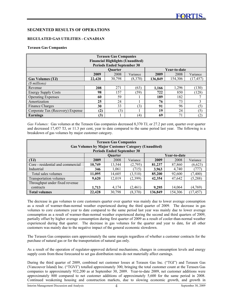# **SEGMENTED RESULTS OF OPERATIONS**

# **REGULATED GAS UTILITIES - CANADIAN**

#### **Terasen Gas Companies**

| <b>Terasen Gas Companies</b><br><b>Financial Highlights (Unaudited)</b><br><b>Periods Ended September 30</b> |                                |        |          |         |         |           |  |  |
|--------------------------------------------------------------------------------------------------------------|--------------------------------|--------|----------|---------|---------|-----------|--|--|
|                                                                                                              | Year-to-date<br><b>Ouarter</b> |        |          |         |         |           |  |  |
|                                                                                                              | 2009                           | 2008   | Variance | 2009    | 2008    | Variance  |  |  |
| <b>Gas Volumes (TJ)</b>                                                                                      | 22,428                         | 30,798 | (8,370)  | 136,849 | 154.306 | (17, 457) |  |  |
| (\$ millions)                                                                                                |                                |        |          |         |         |           |  |  |
| Revenue                                                                                                      | 208                            | 271    | (63)     | 1,166   | 1,296   | (130)     |  |  |
| <b>Energy Supply Costs</b>                                                                                   | 98                             | 157    | (59)     | 722     | 850     | (128)     |  |  |
| <b>Operating Expenses</b>                                                                                    | 60                             | 59     |          | 189     | 182     |           |  |  |
| Amortization                                                                                                 | 25                             | 24     |          | 76      | 73      | 3         |  |  |
| <b>Finance Charges</b>                                                                                       | 30                             | 33     | (3)      | 91      | 96      | (5)       |  |  |
| Corporate Tax (Recovery) Expense                                                                             | (2)                            | (3)    |          | 19      | 24      | (5)       |  |  |
| Earnings                                                                                                     | (3)                            |        | (4)      | 69      | 71      | (2)       |  |  |

*Gas Volumes:* Gas volumes at the Terasen Gas companies decreased 8,370 TJ, or 27.2 per cent, quarter over quarter and decreased 17,457 TJ, or 11.3 per cent, year to date compared to the same period last year. The following is a breakdown of gas volumes by major customer category.

| <b>Terasen Gas Companies</b><br><b>Gas Volumes by Major Customer Category (Unaudited)</b> |        |                                                |          |         |         |           |  |  |
|-------------------------------------------------------------------------------------------|--------|------------------------------------------------|----------|---------|---------|-----------|--|--|
| <b>Periods Ended September 30</b><br>Year-to-date<br><b>Ouarter</b>                       |        |                                                |          |         |         |           |  |  |
| (TJ)                                                                                      | 2009   | 2008                                           | Variance | 2009    | 2008    | Variance  |  |  |
| Core - residential and commercial                                                         | 10,749 | 13,544                                         | (2,795)  | 81,237  | 87,860  | (6,623)   |  |  |
| Industrial                                                                                | 346    | 1,061                                          | (715)    | 3,963   | 4,740   | (777)     |  |  |
| Total sales volumes                                                                       | 11,095 | 14,605                                         | (3,510)  | 85,200  | 92,600  | (7, 400)  |  |  |
| Transportation volumes                                                                    | 9,620  | 12,019                                         | (2,399)  | 42,354  | 47,642  | (5,288)   |  |  |
| Throughput under fixed revenue                                                            |        |                                                |          |         |         |           |  |  |
| contracts                                                                                 | 1,713  | 14,064<br>(4,769)<br>4,174<br>(2,461)<br>9,295 |          |         |         |           |  |  |
| <b>Total volumes</b>                                                                      | 22,428 | 30,798                                         | (8,370)  | 136,849 | 154,306 | (17, 457) |  |  |

The decrease in gas volumes to core customers quarter over quarter was mainly due to lower average consumption as a result of warmer-than-normal weather experienced during the third quarter of 2009. The decrease in gas volumes to core customers year to date compared to the same period last year was mainly due to lower average consumption as a result of warmer-than-normal weather experienced during the second and third quarters of 2009, partially offset by higher average consumption during first quarter of 2009 as a result of cooler-than-normal weather experienced during that quarter. The decrease in gas volumes for the quarter and year to date, for all other customers was mainly due to the negative impact of the general economic slowdown.

The Terasen Gas companies earn approximately the same margin regardless of whether a customer contracts for the purchase of natural gas or for the transportation of natural gas only.

As a result of the operation of regulator-approved deferral mechanisms, changes in consumption levels and energy supply costs from those forecasted to set gas distribution rates do not materially affect earnings.

During the third quarter of 2009, combined net customer losses at Terasen Gas Inc. ("TGI") and Terasen Gas (Vancouver Island) Inc. ("TGVI") totalled approximately 300, bringing the total customer count at the Terasen Gas companies to approximately 932,200 as at September 30, 2009. Year-to-date 2009, net customer additions were approximately 800 compared to net customer additions of approximately 5,600 for the same period in 2008. Continued weakening housing and construction markets, due to slowing economic growth, and growth in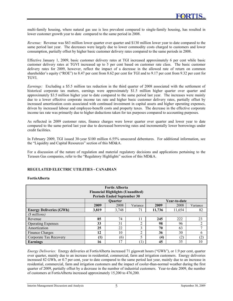multi-family housing, where natural gas use is less prevalent compared to single-family housing, has resulted in lower customer growth year to date compared to the same period in 2008.

*Revenue:* Revenue was \$63 million lower quarter over quarter and \$130 million lower year to date compared to the same period last year. The decreases were largely due to lower commodity costs charged to customers and lower consumption, partially offset by higher basic customer delivery rates compared to the same periods in 2008.

Effective January 1, 2009, basic customer delivery rates at TGI increased approximately 6 per cent while basic customer delivery rates at TGVI increased up to 5 per cent based on customer rate class. The basic customer delivery rates for 2009, however, reflect the impact of a decrease in the allowed rate of return on common shareholder's equity ("ROE") to 8.47 per cent from 8.62 per cent for TGI and to 9.17 per cent from 9.32 per cent for TGVI.

*Earnings:* Excluding a \$5.5 million tax reduction in the third quarter of 2008 associated with the settlement of historical corporate tax matters, earnings were approximately \$1.5 million higher quarter over quarter and approximately \$3.5 million higher year to date compared to the same period last year. The increases were mainly due to a lower effective corporate income tax rate and higher basic customer delivery rates, partially offset by increased amortization costs associated with continued investment in capital assets and higher operating expenses, driven by increased labour and employee-benefit costs and property taxes. The decrease in the effective corporate income tax rate was primarily due to higher deductions taken for tax purposes compared to accounting purposes.

As reflected in 2009 customer rates, finance charges were lower quarter over quarter and lower year to date compared to the same period last year due to decreased borrowing rates and incrementally lower borrowings under credit facilities.

In February 2009, TGI issued 30-year \$100 million 6.55% unsecured debentures. For additional information, see the "Liquidity and Capital Resources" section of this MD&A.

For a discussion of the nature of regulation and material regulatory decisions and applications pertaining to the Terasen Gas companies, refer to the "Regulatory Highlights" section of this MD&A.

# **REGULATED ELECTRIC UTILITIES - CANADIAN**

## **FortisAlberta**

| <b>Fortis Alberta</b><br><b>Financial Highlights (Unaudited)</b><br><b>Periods Ended September 30</b> |                                      |                |          |        |              |                |  |  |  |
|-------------------------------------------------------------------------------------------------------|--------------------------------------|----------------|----------|--------|--------------|----------------|--|--|--|
|                                                                                                       |                                      | <b>Ouarter</b> |          |        | Year-to-date |                |  |  |  |
|                                                                                                       | 2009                                 | 2008           | Variance | 2009   | 2008         | Variance       |  |  |  |
| <b>Energy Deliveries (GWh)</b>                                                                        | 3,819                                | 3,748          | 71       | 11,736 | 11,654       | 82             |  |  |  |
| (\$ millions)                                                                                         |                                      |                |          |        |              |                |  |  |  |
| Revenue                                                                                               | 85                                   | 74             | 11       | 245    | 222          | 23             |  |  |  |
| <b>Operating Expenses</b>                                                                             | 33                                   | 31             | ◠        | 98     | 96           | $\overline{2}$ |  |  |  |
| Amortization                                                                                          | 25                                   | 22             | 3        | 70     | 63           | $\mathbf{r}$   |  |  |  |
| Finance Charges                                                                                       | 12                                   | 10             | ↑        | 36     | 30           | 6              |  |  |  |
| Corporate Tax Recovery                                                                                | 5<br>(2)<br>(1)<br>(6)<br>(2)<br>(4) |                |          |        |              |                |  |  |  |
| <b>Earnings</b>                                                                                       | 16                                   | 7              |          | 45     | 35           | 10             |  |  |  |

*Energy Deliveries:* Energy deliveries at FortisAlberta increased 71 gigawatt hours ("GWh"), or 1.9 per cent, quarter over quarter, mainly due to an increase in residential, commercial, farm and irrigation customers. Energy deliveries increased 82 GWh, or 0.7 per cent, year to date compared to the same period last year, mainly due to an increase in residential, commercial, farm and irrigation customers and the impact of cooler-than-normal weather during the first quarter of 2009, partially offset by a decrease in the number of industrial customers. Year-to-date 2009, the number of customers at FortisAlberta increased approximately 15,200 to 476,200.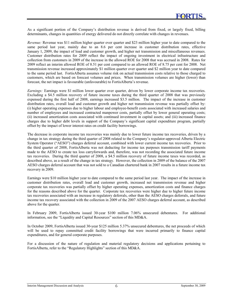As a significant portion of the Company's distribution revenue is derived from fixed, or largely fixed, billing determinants, changes in quantities of energy delivered do not directly correlate with changes in revenues.

*Revenue:* Revenue was \$11 million higher quarter over quarter and \$23 million higher year to date compared to the same period last year, mainly due to an 8.6 per cent increase in customer distribution rates, effective January 1, 2009, the impact of load and customer growth, and higher net transmission and miscellaneous revenues. Customer distribution rates for 2009 reflect the impact of ongoing investment in electrical infrastructure and collection from customers in 2009 of the increase in the allowed ROE for 2008 that was accrued in 2008. Rates for 2009 reflect an interim allowed ROE of 8.51 per cent compared to an allowed ROE of 8.75 per cent for 2008. Net transmission revenue increased approximately \$1 million quarter over quarter and \$2 million year to date compared to the same period last. FortisAlberta assumes volume risk on actual transmission costs relative to those charged to customers, which are based on forecast volumes and prices. When transmission volumes are higher (lower) than forecast, the net impact is favourable (unfavourable) to FortisAlberta's revenue.

*Earnings:* Earnings were \$1 million lower quarter over quarter, driven by lower corporate income tax recoveries. Excluding a \$4.5 million recovery of future income taxes during the third quarter of 2008 that was previously expensed during the first half of 2008, earnings increased \$3.5 million. The impact of the increase in customer distribution rates, overall load and customer growth and higher net transmission revenue was partially offset by: (i) higher operating expenses due to higher labour and employee-benefit costs associated with increased salaries and number of employees and increased contracted manpower costs, partially offset by lower general operating costs; (ii) increased amortization costs associated with continued investment in capital assets; and (iii) increased finance charges due to higher debt levels in support of the Company's significant capital expenditure program, partially offset by the impact of lower interest rates on credit facility borrowings.

The decrease in corporate income tax recoveries was mainly due to lower future income tax recoveries, driven by a change in tax strategy during the third quarter of 2008 related to the Company's regulator-approved Alberta Electric System Operator ("AESO") charges deferral account, combined with lower current income tax recoveries. Prior to the third quarter of 2008, FortisAlberta was not deducting for income tax purposes transmission tariff payments made to the AESO to create tax loss carryforwards and, therefore, was not recording the associated future income tax recoveries. During the third quarter of 2008, a \$4.5 million recovery of future income taxes was recorded, as described above, as a result of the change in tax strategy. However, the collection in 2009 of the balance of the 2007 AESO charges deferral account that was not sold to a Canadian chartered bank in 2007 results in a future income tax recovery in 2009.

Earnings were \$10 million higher year to date compared to the same period last year. The impact of the increase in customer distribution rates, overall load and customer growth, increased net transmission revenue and higher corporate tax recoveries was partially offset by higher operating expenses, amortization costs and finance charges for the reasons described above for the quarter. Corporate tax recoveries were higher due to higher future income tax recoveries associated with an increase in regulatory deferrals, other than the AESO charges deferrals, and future income tax recovery associated with the collection in 2009 of the 2007 AESO charges deferral account, as described above for the quarter.

In February 2009, FortisAlberta issued 30-year \$100 million 7.06% unsecured debentures. For additional information, see the "Liquidity and Capital Resources" section of this MD&A.

In October 2009, FortisAlberta issued 30-year \$125 million 5.37% unsecured debentures, the net proceeds of which will be used to repay committed credit facility borrowings that were incurred primarily to finance capital expenditures, and for general corporate purposes.

For a discussion of the nature of regulation and material regulatory decisions and applications pertaining to FortisAlberta, refer to the "Regulatory Highlights" section of this MD&A.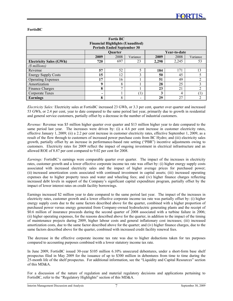# **FortisBC**

| <b>Fortis BC</b><br><b>Financial Highlights (Unaudited)</b><br><b>Periods Ended September 30</b> |      |                |              |       |              |                |  |  |
|--------------------------------------------------------------------------------------------------|------|----------------|--------------|-------|--------------|----------------|--|--|
|                                                                                                  |      | <b>Ouarter</b> |              |       | Year-to-date |                |  |  |
|                                                                                                  | 2009 | 2008           | Variance     | 2009  | 2008         | Variance       |  |  |
| <b>Electricity Sales (GWh)</b>                                                                   | 720  | 697            | 23           | 2,298 | 2,245        | 53             |  |  |
| (\$ millions)                                                                                    |      |                |              |       |              |                |  |  |
| Revenue                                                                                          | 57   | 52             |              | 184   | 171          | 13             |  |  |
| <b>Energy Supply Costs</b>                                                                       | 15   | 12             | ↑            | 50    | 45           |                |  |  |
| <b>Operating Expenses</b>                                                                        | 17   | 16             |              | 51    | 49           | $\overline{2}$ |  |  |
| Amortization                                                                                     | 9    | 8              |              | 28    | 25           | 3              |  |  |
| Finance Charges                                                                                  | 8    | $\mathbf{r}$   |              | 23    | 21           | $\mathfrak{D}$ |  |  |
| Corporate Taxes                                                                                  |      |                | $\mathbf{I}$ | 3     | 4            |                |  |  |
| Earnings                                                                                         | 8    | 8              |              | 29    | 27           | ↑              |  |  |

*Electricity Sales:* Electricity sales at FortisBC increased 23 GWh, or 3.3 per cent, quarter over quarter and increased 53 GWh, or 2.4 per cent, year to date compared to the same period last year, primarily due to growth in residential and general service customers, partially offset by a decrease in the number of industrial customers.

*Revenue:* Revenue was \$5 million higher quarter over quarter and \$13 million higher year to date compared to the same period last year. The increases were driven by: (i) a 4.6 per cent increase in customer electricity rates, effective January 1, 2009; (ii) a 2.2 per cent increase in customer electricity rates, effective September 1, 2009, as a result of the flow through to customers of increased power purchase costs from BC Hydro; and (iii) electricity sales growth, partially offset by an increase in performance-based rate setting ("PBR") incentive adjustments owing to customers. Electricity rates for 2009 reflect the impact of ongoing investment in electrical infrastructure and an allowed ROE of 8.87 per cent compared to 9.02 per cent for 2008.

*Earnings:* FortisBC's earnings were comparable quarter over quarter. The impact of the increases in electricity rates, customer growth and a lower effective corporate income tax rate was offset by: (i) higher energy supply costs associated with increased electricity sales and the impact of higher average prices for purchased power; (ii) increased amortization costs associated with continued investment in capital assets; (iii) increased operating expenses due to higher property taxes and water and wheeling fees; and (iv) higher finance charges reflecting increased debt levels in support of the Company's significant capital expenditure program, partially offset by the impact of lower interest rates on credit facility borrowings.

Earnings increased \$2 million year to date compared to the same period last year. The impact of the increases in electricity rates, customer growth and a lower effective corporate income tax rate was partially offset by: (i) higher energy supply costs due to the same factors described above for the quarter, combined with a higher proportion of purchased power versus energy generated from Company-owned hydroelectric generating plants and the receipt of \$0.6 million of insurance proceeds during the second quarter of 2008 associated with a turbine failure in 2006; (ii) higher operating expenses, for the reasons described above for the quarter, in addition to the impact of the timing of maintenance projects during 2009, higher labour costs and general inflationary cost increases; (iii) increased amortization costs, due to the same factor described above for the quarter; and (iv) higher finance charges, due to the same factors described above for the quarter, combined with increased credit facility renewal fees.

The decrease in the effective corporate income tax rate was due to higher deductions taken for tax purposes compared to accounting purposes combined with a lower statutory income tax rate.

In June 2009, FortisBC issued 30-year \$105 million 6.10% unsecured debentures, under a short-form base shelf prospectus filed in May 2009 for the issuance of up to \$300 million in debentures from time to time during the 25-month life of the shelf prospectus. For additional information, see the "Liquidity and Capital Resources" section of this MD&A.

For a discussion of the nature of regulation and material regulatory decisions and applications pertaining to FortisBC, refer to the "Regulatory Highlights" section of this MD&A.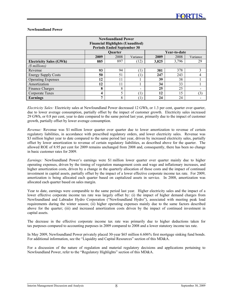## **Newfoundland Power**

| <b>Newfoundland Power</b><br><b>Financial Highlights (Unaudited)</b><br><b>Periods Ended September 30</b> |                                |      |          |       |       |          |  |  |
|-----------------------------------------------------------------------------------------------------------|--------------------------------|------|----------|-------|-------|----------|--|--|
|                                                                                                           | <b>Ouarter</b><br>Year-to-date |      |          |       |       |          |  |  |
|                                                                                                           | 2009                           | 2008 | Variance | 2009  | 2008  | Variance |  |  |
| <b>Electricity Sales (GWh)</b>                                                                            | 885                            | 897  | (12)     | 3,825 | 3,796 | 29       |  |  |
| (\$ millions)                                                                                             |                                |      |          |       |       |          |  |  |
| Revenue                                                                                                   | 93                             | 94   |          | 381   | 378   | 3        |  |  |
| <b>Energy Supply Costs</b>                                                                                | 50                             | 51   | $\perp$  | 247   | 243   | 4        |  |  |
| <b>Operating Expenses</b>                                                                                 | 12                             | 11   |          | 39    | 38    |          |  |  |
| Amortization                                                                                              | 12                             | 11   |          | 34    | 33    |          |  |  |
| Finance Charges                                                                                           | 8                              | 8    |          | 25    | 25    |          |  |  |
| Corporate Taxes                                                                                           | 4                              |      |          | 12    | 15    | (3)      |  |  |
| Earnings                                                                                                  | −                              | 8    |          | 24    | 24    |          |  |  |

*Electricity Sales:* Electricity sales at Newfoundland Power decreased 12 GWh, or 1.3 per cent, quarter over quarter, due to lower average consumption, partially offset by the impact of customer growth. Electricity sales increased 29 GWh, or 0.8 per cent, year to date compared to the same period last year, primarily due to the impact of customer growth, partially offset by lower average consumption.

*Revenue:* Revenue was \$1 million lower quarter over quarter due to lower amortization to revenue of certain regulatory liabilities, in accordance with prescribed regulatory orders, and lower electricity sales. Revenue was \$3 million higher year to date compared to the same period last year, driven by increased electricity sales, partially offset by lower amortization to revenue of certain regulatory liabilities, as described above for the quarter. The allowed ROE of 8.95 per cent for 2009 remains unchanged from 2008 and, consequently, there has been no change in basic customer rates for 2009.

*Earnings:* Newfoundland Power's earnings were \$1 million lower quarter over quarter mainly due to higher operating expenses, driven by the timing of vegetation management costs and wage and inflationary increases, and higher amortization costs, driven by a change in the quarterly allocation of those costs and the impact of continued investment in capital assets, partially offset by the impact of a lower effective corporate income tax rate. For 2009, amortization is being allocated each quarter based on capitalized assets in service. In 2008, amortization was allocated each quarter based on sales margin.

Year to date, earnings were comparable to the same period last year. Higher electricity sales and the impact of a lower effective corporate income tax rate was largely offset by: (i) the impact of higher demand charges from Newfoundland and Labrador Hydro Corporation ("Newfoundland Hydro"), associated with meeting peak load requirements during the winter season; (ii) higher operating expenses mainly due to the same factors described above for the quarter; (iii) and increased amortization costs driven by the impact of continued investment in capital assets.

The decrease in the effective corporate income tax rate was primarily due to higher deductions taken for tax purposes compared to accounting purposes in 2009 compared to 2008 and a lower statutory income tax rate.

In May 2009, Newfoundland Power privately placed 30-year \$65 million 6.606% first mortgage sinking fund bonds. For additional information, see the "Liquidity and Capital Resources" section of this MD&A.

For a discussion of the nature of regulation and material regulatory decisions and applications pertaining to Newfoundland Power, refer to the "Regulatory Highlights" section of this MD&A.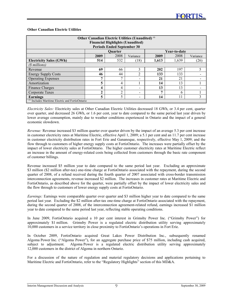## **Other Canadian Electric Utilities**

| Other Canadian Electric Utilities (Unaudited) <sup>(0)</sup><br><b>Financial Highlights (Unaudited)</b><br><b>Periods Ended September 30</b> |                                |      |          |       |       |          |  |  |
|----------------------------------------------------------------------------------------------------------------------------------------------|--------------------------------|------|----------|-------|-------|----------|--|--|
|                                                                                                                                              | Year-to-date<br><b>Ouarter</b> |      |          |       |       |          |  |  |
|                                                                                                                                              | 2009                           | 2008 | Variance | 2009  | 2008  | Variance |  |  |
| <b>Electricity Sales (GWh)</b>                                                                                                               | 514                            | 532  | (18)     | 1,613 | 1,639 | (26)     |  |  |
| (\$ millions)                                                                                                                                |                                |      |          |       |       |          |  |  |
| Revenue                                                                                                                                      | 69                             | 66   | 3        | 202   | 197   | 5        |  |  |
| <b>Energy Supply Costs</b>                                                                                                                   | 46                             | 44   | ↑        | 133   | 133   |          |  |  |
| <b>Operating Expenses</b>                                                                                                                    | −                              |      |          | 21    | 21    |          |  |  |
| Amortization                                                                                                                                 | 5                              | 4    |          | 14    | 13    |          |  |  |
| Finance Charges                                                                                                                              | 4                              | 4    |          | 13    | 13    |          |  |  |
| Corporate Taxes                                                                                                                              | ኅ                              | ↑    |          | 7     | 6     |          |  |  |
| Earnings                                                                                                                                     | 3<br>5<br>11<br>5<br>14        |      |          |       |       |          |  |  |
| $\alpha$ Includes Maritime Electric and FortisOntario                                                                                        |                                |      |          |       |       |          |  |  |

*Electricity Sales:* Electricity sales at Other Canadian Electric Utilities decreased 18 GWh, or 3.4 per cent, quarter over quarter, and decreased 26 GWh, or 1.6 per cent, year to date compared to the same period last year driven by lower average consumption, mainly due to weather conditions experienced in Ontario and the impact of a general economic slowdown.

*Revenue:* Revenue increased \$3 million quarter over quarter driven by the impact of an average 5.3 per cent increase in customer electricity rates at Maritime Electric, effective April 1, 2009; a 5.1 per cent and an 11.7 per cent increase in customer electricity distribution rates in Fort Erie and Gananoque, respectively, effective May 1, 2009; and the flow through to customers of higher energy supply costs at FortisOntario. The increases were partially offset by the impact of lower electricity sales at FortisOntario. The higher customer electricity rates at Maritime Electric reflect an increase in the amount of energy-related costs being collected from customers through the basic rate component of customer billings.

Revenue increased \$5 million year to date compared to the same period last year. Excluding an approximate \$3 million (\$2 million after-tax) one-time charge at FortisOntario associated with the repayment, during the second quarter of 2008, of a refund received during the fourth quarter of 2007 associated with cross-border transmission interconnection agreements, revenue increased \$2 million. The increases in customer rates at Maritime Electric and FortisOntario, as described above for the quarter, were partially offset by the impact of lower electricity sales and the flow through to customers of lower energy supply costs at FortisOntario.

*Earnings:* Earnings were comparable quarter over quarter and \$3 million higher year to date compared to the same period last year. Excluding the \$2 million after-tax one-time charge at FortisOntario associated with the repayment, during the second quarter of 2008, of the interconnection agreement-related refund, earnings increased \$1 million year to date compared to the same period last year, reflecting stable operating conditions.

In June 2009, FortisOntario acquired a 10 per cent interest in Grimsby Power Inc. ("Grimsby Power") for approximately \$1 million. Grimsby Power is a regulated electric distribution utility serving approximately 10,000 customers in a service territory in close proximity to FortisOntario's operations in Fort Erie.

In October 2009, FortisOntario acquired Great Lakes Power Distribution Inc., subsequently renamed Algoma Power Inc. ("Algoma Power"), for an aggregate purchase price of \$75 million, including cash acquired, subject to adjustment. Algoma Power is a regulated electric distribution utility serving approximately 12,000 customers in the district of Algoma in northern Ontario.

For a discussion of the nature of regulation and material regulatory decisions and applications pertaining to Maritime Electric and FortisOntario, refer to the "Regulatory Highlights" section of this MD&A.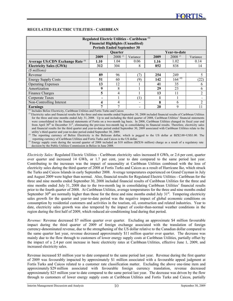## **REGULATED ELECTRIC UTILITIES - CARIBBEAN**

| Regulated Electric Utilities - Caribbean <sup>(1)</sup><br><b>Financial Highlights (Unaudited)</b><br><b>Periods Ended September 30</b> |      |                |          |      |              |                |  |  |  |
|-----------------------------------------------------------------------------------------------------------------------------------------|------|----------------|----------|------|--------------|----------------|--|--|--|
|                                                                                                                                         |      | <b>Ouarter</b> |          |      | Year-to-date |                |  |  |  |
|                                                                                                                                         | 2009 | $2008^{(2)}$   | Variance | 2009 | $2008^{(2)}$ | Variance       |  |  |  |
| Average US:CDN Exchange Rate <sup>(3)</sup>                                                                                             | 1.10 | 1.04           | 0.06     | 1.16 | 1.02         | 0.14           |  |  |  |
| <b>Electricity Sales (GWh)</b>                                                                                                          | 312  | 304            | 8        | 852  | 838          | 14             |  |  |  |
| (\$ millions)                                                                                                                           |      |                |          |      |              |                |  |  |  |
| Revenue                                                                                                                                 | 89   | 96             | (7)      | 254  | 249          | 5              |  |  |  |
| <b>Energy Supply Costs</b>                                                                                                              | 51   | 60             | (9)      | 142  | $164^{(4)}$  | (22)           |  |  |  |
| <b>Operating Expenses</b>                                                                                                               | 13   | 12             |          | 41   | 35           | 6              |  |  |  |
| Amortization                                                                                                                            | 9    | 8              |          | 29   | 23           | 6              |  |  |  |
| Finance Charges                                                                                                                         | 5    | 4              |          | 13   | 11           | $\overline{c}$ |  |  |  |
| Corporate Taxes                                                                                                                         |      |                | (1)      |      |              |                |  |  |  |
| Non-Controlling Interest                                                                                                                | 4    | 4              |          | 8    | 6            | $\mathfrak{D}$ |  |  |  |
| Earnings                                                                                                                                | 7    | 7              |          | 20   | 9            | 11             |  |  |  |
| $\alpha$ Includes Relize Flectricity Caribbean Utilities and Fortis Turks and Caicos                                                    |      |                |          |      |              |                |  |  |  |

<sup>(1)</sup> Includes Belize Electricity, Caribbean Utilities and Fortis Turks and Caicos<br><sup>(2)</sup> Electricity sales and financial results for the three and nine months ended September 30, 2008 included financial results of Caribbea for the three and nine months ended July 31, 2008. Up to and including the third quarter of 2008, Caribbean Utilities' financial statements were consolidated in the financial statements of Fortis on a two-month lag basis. In 2008, Caribbean Utilities changed its fiscal year end from April 30<sup>th</sup> to December 31<sup>st</sup>, eliminating the previous two-month lag in consolidating its financial results. Therefore, electricity sales and financial results for the third quarter and year-to-date period ended September 30, 2009 associated with Caribbean Utilities relate to the

utility's third quarter and year-to-date period ended September 30, 2009. <sup>(3)</sup> The reporting currency of Belize Electricity is the Belizean dollar, which is pegged to the US dollar at BZ\$2.00=US\$1.00. The reporting currency of Caribbean Utilities and Fortis Turks and Caicos is the US dollar.

*(4)* Energy supply costs during the second quarter of 2008 included an \$18 million (BZ\$36 million) charge as a result of a regulatory rate decision by the Public Utilities Commission in Belize in June 2008.

*Electricity Sales:* Regulated Electric Utilities - Caribbean electricity sales increased 8 GWh, or 2.6 per cent, quarter over quarter and increased 14 GWh, or 1.7 per cent, year to date compared to the same period last year. Contributing to the increases was the impact of seasonality at Caribbean Utilities combined with the loss of electricity sales during the third quarter of 2008 at Fortis Turks and Caicos as a result of Hurricane Ike, which struck the Turks and Caicos Islands in early September 2008. Average temperatures experienced on Grand Cayman in July and August 2009 were higher than normal. Also, financial results for Regulated Electric Utilities - Caribbean for the three and nine months ended September 30, 2008 included financial results of Caribbean Utilities for the three and nine months ended July 31, 2008 due to the two-month lag in consolidating Caribbean Utilities' financial results prior to the fourth quarter of 2008. At Caribbean Utilities, average temperatures for the three and nine months ended September 30<sup>th</sup> are normally higher than those for the three and nine months ended July 31<sup>st</sup>. Tempering electricity sales growth for the quarter and year-to-date period was the negative impact of global economic conditions on consumption by residential customers and activities in the tourism, oil, construction and related industries. Year to date, electricity sales growth was also tempered by the impact of cooler-than-normal weather conditions in the region during the first half of 2009, which reduced air-conditioning load during that period.

*Revenue:* Revenue decreased \$7 million quarter over quarter. Excluding an approximate \$4 million favourable impact during the third quarter of 2009 of foreign exchange associated with the translation of foreign currency-denominated revenue, due to the strengthening of the US dollar relative to the Canadian dollar compared to the same quarter last year, revenue decreased approximately \$11 million quarter over quarter. The decrease was mainly due to the flow through to customers of lower energy supply costs at Caribbean Utilities, partially offset by the impact of a 2.4 per cent increase in basic electricity rates at Caribbean Utilities, effective June 1, 2009, and increased electricity sales.

Revenue increased \$5 million year to date compared to the same period last year. Revenue during the first quarter of 2009 was favourably impacted by approximately \$1 million associated with a favourable appeal judgment at Fortis Turks and Caicos related to a customer rate classification matter. Excluding the above one-time item and approximately \$29 million associated with favourable foreign currency translation, revenue decreased approximately \$25 million year to date compared to the same period last year. The decrease was driven by the flow through to customers of lower energy supply costs at Caribbean Utilities and Fortis Turks and Caicos, partially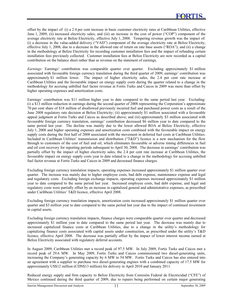offset by the impact of: (i) a 2.4 per cent increase in basic customer electricity rates at Caribbean Utilities, effective June 1, 2009; (ii) increased electricity sales; and (iii) an increase in the cost of power ("COP") component of the average electricity rate at Belize Electricity, effective July 1, 2008. Tempering revenue growth was the impact of: (i) a decrease in the value-added delivery ("VAD") component of the average electricity rate at Belize Electricity, effective July 1, 2008, due to a decrease in the allowed rate of return on rate base assets ("ROA"); and (ii) a change in the methodology at Belize Electricity for recording customer installation fees and the impact of refunding certain installation fees previously collected. Customer installation fees at Belize Electricity are now recorded as a capital contribution on the balance sheet rather than as revenue on the statement of earnings.

*Earnings:* Earnings' contribution was comparable quarter over quarter. Excluding approximately \$1 million associated with favourable foreign currency translation during the third quarter of 2009, earnings' contribution was approximately \$1 million lower. The impact of higher electricity sales, the 2.4 per cent rate increase at Caribbean Utilities and the favourable impact on energy supply costs during the quarter related to a change in the methodology for accruing unbilled fuel factor revenue at Fortis Turks and Caicos in 2009 was more than offset by higher operating expenses and amortization costs.

Earnings' contribution was \$11 million higher year to date compared to the same period last year. Excluding: (i) a \$13 million reduction in earnings during the second quarter of 2008 representing the Corporation's approximate 70 per cent share of \$18 million of disallowed previously incurred fuel and purchased power costs as a result of the June 2008 regulatory rate decision at Belize Electricity; (ii) approximately \$1 million associated with a favourable appeal judgment at Fortis Turks and Caicos as described above; and (iii) approximately \$3 million associated with favourable foreign currency translation, earnings' contribution decreased \$6 million year to date compared to the same period last year. The decline was mainly due to the lower allowed ROA at Belize Electricity, effective July 1, 2008 and higher operating expenses and amortization costs combined with the favourable impact on energy supply costs during the first half of 2008 associated with the movement in deferred fuel costs at Caribbean Utilities. Included in Caribbean Utilities' transmission and distribution ("T&D") licence is a new mechanism for the flow through to customers of the cost of fuel and oil, which eliminates favourable or adverse timing differences in fuel and oil cost recovery for reporting periods subsequent to April 30, 2008. The decrease in earnings' contribution was partially offset by the impact of higher electricity sales, the 2.4 per cent rate increase at Caribbean Utilities, the favourable impact on energy supply costs year to date related to a change in the methodology for accruing unbilled fuel factor revenue at Fortis Turks and Caicos in 2009 and decreased finance charges.

Excluding foreign currency translation impacts, operating expenses increased approximately \$1 million quarter over quarter. The increase was mainly due to higher employee costs, bad debt expense, maintenance expense and legal and regulatory costs. Excluding foreign exchange impacts, operating expenses increased approximately \$1 million year to date compared to the same period last year. Increased employee costs, bad debt expense, and legal and regulatory costs were partially offset by an increase in capitalized general and administrative expenses, as prescribed under Caribbean Utilities' T&D licence, effective April 2008.

Excluding foreign currency translation impacts, amortization costs increased approximately \$1 million quarter over quarter and \$3 million year to date compared to the same period last year due to the impact of continued investment in capital assets.

Excluding foreign currency translation impacts, finance charges were comparable quarter over quarter and decreased approximately \$1 million year to date compared to the same period last year. The decrease was mainly due to increased capitalized finance costs at Caribbean Utilities, due to a change in the utility's methodology for capitalizing finance costs associated with capital assets under construction, as prescribed under the utility's T&D licence, effective April 2008. The decrease was partially offset by the impact of lower interest income earned at Belize Electricity associated with regulatory deferral accounts.

In August 2009, Caribbean Utilities met a record peak of 97.5 MW. In July 2009, Fortis Turks and Caicos met a record peak of 29.6 MW. In May 2009, Fortis Turks and Caicos commissioned two diesel-generating units, increasing the Company's generating capacity by 6 MW to 54 MW. Fortis Turks and Caicos has also entered into an agreement with a supplier to purchase two diesel-generating engines with a combined capacity of 17.5 MW for approximately US\$12 million (CDN\$13 million) for delivery in April 2010 and January 2011.

Reduced energy supply and firm capacity to Belize Electricity from Comisión Federal de Electricidad ("CFE") of Mexico continued during the third quarter of 2009, due to repairs being performed on certain major generating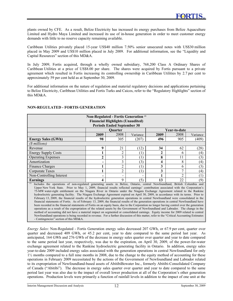plants owned by CFE. As a result, Belize Electricity has increased its energy purchases from Belize Aquaculture Limited and Hydro Maya Limited and increased its use of in-house generation in order to meet customer energy demands with little to no reserve capacity remaining available.

Caribbean Utilities privately placed 15-year US\$40 million 7.50% senior unsecured notes with US\$30 million placed in May 2009 and US\$10 million placed in July 2009. For additional information, see the "Liquidity and Capital Resources" section of this MD&A.

In July 2009, Fortis acquired, through a wholly owned subsidiary, 768,200 Class A Ordinary Shares of Caribbean Utilities at a price of US\$8.00 per share. The shares were acquired by Fortis pursuant to a private agreement which resulted in Fortis increasing its controlling ownership in Caribbean Utilities by 2.7 per cent to approximately 59 per cent held as at September 30, 2009.

For additional information on the nature of regulation and material regulatory decisions and applications pertaining to Belize Electricity, Caribbean Utilities and Fortis Turks and Caicos, refer to the "Regulatory Highlights" section of this MD&A.

| Non-Regulated - Fortis Generation <sup>(1)</sup><br><b>Financial Highlights (Unaudited)</b>                                                                                                                                                                                         |                |                |          |              |                |          |  |  |  |
|-------------------------------------------------------------------------------------------------------------------------------------------------------------------------------------------------------------------------------------------------------------------------------------|----------------|----------------|----------|--------------|----------------|----------|--|--|--|
| <b>Periods Ended September 30</b>                                                                                                                                                                                                                                                   |                |                |          |              |                |          |  |  |  |
|                                                                                                                                                                                                                                                                                     |                | Quarter        |          |              | Year-to-date   |          |  |  |  |
|                                                                                                                                                                                                                                                                                     | 2009           | 2008           | Variance | 2009         | 2008           | Variance |  |  |  |
| <b>Energy Sales (GWh)</b>                                                                                                                                                                                                                                                           | 98             | 305            | (207)    | 496          | 905            | (409)    |  |  |  |
| (\$ millions)                                                                                                                                                                                                                                                                       |                |                |          |              |                |          |  |  |  |
| Revenue                                                                                                                                                                                                                                                                             | 9              | 21             | (12)     | 34           | 62             | (28)     |  |  |  |
| <b>Energy Supply Costs</b>                                                                                                                                                                                                                                                          |                | 2              | (1)      | $\mathbf{2}$ | 6              | (4)      |  |  |  |
| <b>Operating Expenses</b>                                                                                                                                                                                                                                                           | $\overline{2}$ | 3              | (1)      | 8            | 11             | (3)      |  |  |  |
| Amortization                                                                                                                                                                                                                                                                        |                | 3              | (3)      | 4            | 8              | (4)      |  |  |  |
| Finance Charges                                                                                                                                                                                                                                                                     |                | $\overline{2}$ | (1)      | 3            | 6              | (3)      |  |  |  |
| Corporate Taxes                                                                                                                                                                                                                                                                     |                | 2              | (1)      | 3            | 7              | (4)      |  |  |  |
| Non-Controlling Interest                                                                                                                                                                                                                                                            |                |                |          |              | $\overline{c}$ | (1)      |  |  |  |
| <b>Earnings</b>                                                                                                                                                                                                                                                                     | ⊿              | 9              | (5)      | 13           | 22             | (9)      |  |  |  |
| Includes the operations of non-regulated generating assets in Belize, Ontario, central Newfoundland, British Columbia and                                                                                                                                                           |                |                |          |              |                |          |  |  |  |
| Upper New York State. Prior to May 1, 2009, financial results reflected earnings' contribution associated with the Corporation's                                                                                                                                                    |                |                |          |              |                |          |  |  |  |
| 75-MW water-right entitlement on the Niagara River in Ontario under the Niagara Exchange Agreement related to the Rankine<br>hydroelectric generating facility. The Niagara Exchange Agreement expired on April 30, 2009, in accordance with its terms. Prior to                    |                |                |          |              |                |          |  |  |  |
| February 13, 2009, the financial results of the hydroelectric generation operations in central Newfoundland were consolidated in the                                                                                                                                                |                |                |          |              |                |          |  |  |  |
| financial statements of Fortis. As of February 13, 2009, the financial results of the generation operations in central Newfoundland have                                                                                                                                            |                |                |          |              |                |          |  |  |  |
| been recorded in the financial statements of Fortis on an equity basis, due to the Corporation no longer having control over the generation                                                                                                                                         |                |                |          |              |                |          |  |  |  |
| operations as a result of the expropriation of the related assets by the Government of Newfoundland and Labrador. The change in the                                                                                                                                                 |                |                |          |              |                |          |  |  |  |
| method of accounting did not have a material impact on segmented or consolidated earnings. Equity income for 2009 related to central<br>Newfoundland operations is being recorded in revenue. For a further discussion of this matter, refer to the "Critical Accounting Estimates" |                |                |          |              |                |          |  |  |  |
| - Contingencies" section of this MD&A.                                                                                                                                                                                                                                              |                |                |          |              |                |          |  |  |  |
|                                                                                                                                                                                                                                                                                     |                |                |          |              |                |          |  |  |  |

# **NON-REGULATED - FORTIS GENERATION**

*Energy Sales*: Non-Regulated - Fortis Generation energy sales decreased 207 GWh, or 67.9 per cent, quarter over quarter and decreased 409 GWh, or 45.2 per cent, year to date compared to the same period last year. As anticipated, 164 GWh and 276 GWh of the decrease in energy sales quarter over quarter and year to date compared to the same period last year, respectively, was due to the expiration, on April 30, 2009, of the power-for-water exchange agreement related to the Rankine hydroelectric generating facility in Ontario. In addition, energy sales year-to-date 2009 included energy sales associated with the generation operations in central Newfoundland for only 1½ months compared to a full nine months in 2008, due to the change to the equity method of accounting for these operations in February 2009 necessitated by the actions of the Government of Newfoundland and Labrador related to its expropriation of Newfoundland-based assets of AbitibiBowater Inc., formerly Abitibi-Consolidated Company of Canada ("Abitibi"). The decrease in energy sales quarter over quarter and year to date compared to the same period last year was also due to the impact of overall lower production at all of the Corporation's other generation operations. Production levels were primarily a function of rainfall levels in addition to the impact of one unit at the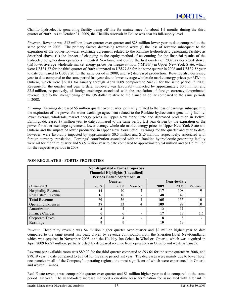Chalillo hydroelectric generating facility being off-line for maintenance for about 1½ months during the third quarter of 2009. As at October 31, 2009, the Chalillo reservoir in Belize was near its full-supply level.

*Revenue:* Revenue was \$12 million lower quarter over quarter and \$28 million lower year to date compared to the same period in 2008. The primary factors decreasing revenue were: (i) the loss of revenue subsequent to the expiration of the power-for-water exchange agreement related to the Rankine hydroelectric generating facility, as described above; (ii) the impact of changing to the equity method of accounting for the financial results of the hydroelectric generation operations in central Newfoundland during the first quarter of 2009, as described above; (iii) lower average wholesale market energy prices per megawatt hour ("MWh") in Upper New York State, which were US\$31.37 for the third quarter of 2009 compared to US\$77.82 for the same quarter in 2008 and US\$37.52 year to date compared to US\$77.20 for the same period in 2008; and (iv) decreased production. Revenue also decreased year to date compared to the same period last year due to lower average wholesale market energy prices per MWh in Ontario, which were \$36.83 for January through April 2009 compared to \$49.70 for the same period in 2008. Revenue for the quarter and year to date, however, was favourably impacted by approximately \$0.5 million and \$2.5 million, respectively, of foreign exchange associated with the translation of foreign currency-denominated revenue, due to the strengthening of the US dollar relative to the Canadian dollar compared to the same periods in 2008.

*Earnings:* Earnings decreased \$5 million quarter over quarter, primarily related to the loss of earnings subsequent to the expiration of the power-for-water exchange agreement related to the Rankine hydroelectric generating facility, lower average wholesale market energy prices in Upper New York State and decreased production in Belize. Earnings decreased \$9 million year to date compared to the same period last year driven by the expiration of the power-for-water exchange agreement, lower average wholesale market energy prices in Upper New York State and Ontario and the impact of lower production in Upper New York State. Earnings for the quarter and year to date, however, were favorably impacted by approximately \$0.5 million and \$1.5 million, respectively, associated with foreign currency translation. Earnings' contribution associated with the Rankine hydroelectric generating facility were nil for the third quarter and \$3.5 million year to date compared to approximately \$4 million and \$11.5 million for the respective periods in 2008.

| <b>Non-Regulated - Fortis Properties</b><br><b>Financial Highlights (Unaudited)</b><br><b>Periods Ended September 30</b> |                        |      |          |      |      |          |  |  |
|--------------------------------------------------------------------------------------------------------------------------|------------------------|------|----------|------|------|----------|--|--|
| Year-to-date<br><b>Ouarter</b>                                                                                           |                        |      |          |      |      |          |  |  |
| (\$ millions)                                                                                                            | 2009                   | 2008 | Variance | 2009 | 2008 | Variance |  |  |
| <b>Hospitality Revenue</b>                                                                                               | 44                     | 40   | 4        | 117  | 108  | Q        |  |  |
| Real Estate Revenue                                                                                                      | 16                     | 16   |          | 48   | 47   |          |  |  |
| <b>Total Revenue</b>                                                                                                     | 60                     | 56   | 4        | 165  | 155  | 10       |  |  |
| <b>Operating Expenses</b>                                                                                                | 37                     | 33   | 4        | 109  | 99   | 10       |  |  |
| Amortization                                                                                                             | 4                      | 4    |          | 12   | 11   |          |  |  |
| Finance Charges                                                                                                          |                        | 6    |          | 17   | 18   |          |  |  |
| Corporate Taxes                                                                                                          | 8<br>$\circ$<br>4<br>4 |      |          |      |      |          |  |  |
| Earnings                                                                                                                 |                        | 9    |          | 19   | 19   |          |  |  |

# **NON-REGULATED - FORTIS PROPERTIES**

*Revenue:* Hospitality revenue was \$4 million higher quarter over quarter and \$9 million higher year to date compared to the same period last year, driven by revenue contribution from the Sheraton Hotel Newfoundland, which was acquired in November 2008, and the Holiday Inn Select in Windsor, Ontario, which was acquired in April 2009 for \$7 million, partially offset by decreased revenue from operations in Ontario and western Canada.

Revenue per available room was \$89.02 for the third quarter compared to \$93.64 for the same quarter in 2008, and \$79.19 year to date compared to \$83.04 for the same period last year. The decreases were mainly due to lower hotel occupancies in all of the Company's operating regions, the most significant of which were experienced in Ontario and western Canada.

Real Estate revenue was comparable quarter over quarter and \$1 million higher year to date compared to the same period last year. The year-to-date increase included a one-time lease termination fee associated with a tenant in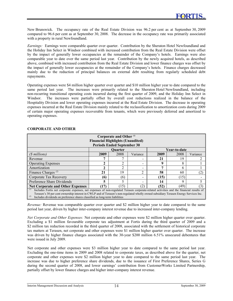New Brunswick. The occupancy rate of the Real Estate Division was 96.2 per cent as at September 30, 2009 compared to 96.6 per cent as at September 30, 2008. The decrease in the occupancy rate was primarily associated with a property in rural Newfoundland.

*Earnings:* Earnings were comparable quarter over quarter. Contribution by the Sheraton Hotel Newfoundland and the Holiday Inn Select in Windsor combined with increased contribution from the Real Estate Division were offset by the impact of generally lower occupancies at the remainder of the Company's hotels. Earnings were also comparable year to date over the same period last year. Contribution by the newly acquired hotels, as described above, combined with increased contribution from the Real Estate Division and lower finance charges was offset by the impact of generally lower occupancies at the remainder of the Company's hotels. Finance charges decreased mainly due to the reduction of principal balances on external debt resulting from regularly scheduled debt repayments.

Operating expenses were \$4 million higher quarter over quarter and \$10 million higher year to date compared to the same period last year. The increases were primarily related to the Sheraton Hotel Newfoundland, including non-recurring transitional operating costs incurred during the first quarter of 2009, and the Holiday Inn Select in Windsor. The increases were partially offset by overall cost reductions realized in the balance of the Hospitality Division and lower operating expenses incurred at the Real Estate Division. The decrease in operating expenses incurred at the Real Estate Division mainly related to the reclassification to amortization costs during 2009 of certain major operating expenses recoverable from tenants, which were previously deferred and amortized to operating expenses.

| Corporate and Other <sup>(1)</sup><br><b>Financial Highlights (Unaudited)</b><br><b>Periods Ended September 30</b>                                                                                                                                                                                                                                                         |      |                |                         |              |      |          |  |  |
|----------------------------------------------------------------------------------------------------------------------------------------------------------------------------------------------------------------------------------------------------------------------------------------------------------------------------------------------------------------------------|------|----------------|-------------------------|--------------|------|----------|--|--|
| <b>Ouarter</b><br>Year-to-date                                                                                                                                                                                                                                                                                                                                             |      |                |                         |              |      |          |  |  |
| (\$ millions)                                                                                                                                                                                                                                                                                                                                                              | 2009 | 2008           | Variance                | 2009         | 2008 | Variance |  |  |
| Revenue                                                                                                                                                                                                                                                                                                                                                                    |      |                |                         | 21           | 19   |          |  |  |
| <b>Operating Expenses</b>                                                                                                                                                                                                                                                                                                                                                  | 2    | $\overline{c}$ | -                       | q            | 8    |          |  |  |
| Amortization                                                                                                                                                                                                                                                                                                                                                               | 2    | $\overline{c}$ | -                       | $\mathbf{r}$ | h    |          |  |  |
| Finance Charges <sup><math>(2)</math></sup>                                                                                                                                                                                                                                                                                                                                | 21   | 19             | $\overline{\mathbf{c}}$ | 58           | 60   | (2,      |  |  |
| Corporate Tax Recovery                                                                                                                                                                                                                                                                                                                                                     | (6)  | (6)            |                         | (15)         | (15) |          |  |  |
| Preference Share Dividends                                                                                                                                                                                                                                                                                                                                                 | 5    |                |                         | 14           | 9    |          |  |  |
| <b>Net Corporate and Other Expenses</b>                                                                                                                                                                                                                                                                                                                                    | (17) | (15)           | (2)                     | (52)         | (49) | (3)      |  |  |
| Includes Fortis net corporate expenses, net expenses of non-regulated Terasen corporate-related activities and the financial results of<br>Terasen's 30 per cent ownership interest in CWLP and of Terasen's non-regulated wholly owned subsidiary Terasen Energy Services Inc.<br>$^{(2)}$<br>Includes dividends on preference shares classified as long-term liabilities |      |                |                         |              |      |          |  |  |

# **CORPORATE AND OTHER**

*Revenue:* Revenue was comparable quarter over quarter and \$2 million higher year to date compared to the same period last year, driven by higher inter-company interest revenue due to increased inter-company lending.

*Net Corporate and Other Expenses:* Net corporate and other expenses were \$2 million higher quarter over quarter. Excluding a \$1 million favourable corporate tax adjustment at Fortis during the third quarter of 2009 and a \$2 million tax reduction recorded in the third quarter of 2008, associated with the settlement of historical corporate tax matters at Terasen, net corporate and other expenses were \$1 million higher quarter over quarter. The increase was driven by higher finance charges associated with the 30-year \$200 million 6.51% unsecured debentures that were issued in July 2009.

Net corporate and other expenses were \$3 million higher year to date compared to the same period last year. Excluding the one-time items in 2009 and 2008 related to corporate taxes, as described above for the quarter, net corporate and other expenses were \$2 million higher year to date compared to the same period last year. The increase was due to higher preference share dividends, due to the issuance of First Preference Shares, Series G during the second quarter of 2008, and lower earnings' contribution from CustomerWorks Limited Partnership, partially offset by lower finance charges and higher inter-company interest revenue.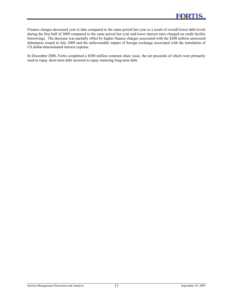Finance charges decreased year to date compared to the same period last year as a result of overall lower debt levels during the first half of 2009 compared to the same period last year and lower interest rates charged on credit facility borrowings. The decrease was partially offset by higher finance charges associated with the \$200 million unsecured debentures issued in July 2009 and the unfavourable impact of foreign exchange associated with the translation of US dollar-denominated interest expense.

In December 2008, Fortis completed a \$300 million common share issue, the net proceeds of which were primarily used to repay short-term debt incurred to repay maturing long-term debt.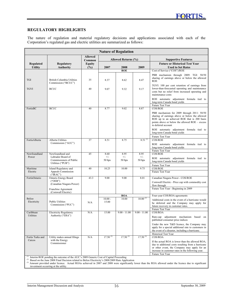# **REGULATORY HIGHLIGHTS**

The nature of regulation and material regulatory decisions and applications associated with each of the Corporation's regulated gas and electric utilities are summarized as follows:

| <b>Nature of Regulation</b> |                                                                                                     |                          |                            |                     |                    |                                                                                                                                                                                                                                 |  |  |  |  |
|-----------------------------|-----------------------------------------------------------------------------------------------------|--------------------------|----------------------------|---------------------|--------------------|---------------------------------------------------------------------------------------------------------------------------------------------------------------------------------------------------------------------------------|--|--|--|--|
|                             |                                                                                                     | <b>Allowed</b><br>Common |                            | Allowed Returns (%) |                    | <b>Supportive Features</b>                                                                                                                                                                                                      |  |  |  |  |
| Regulated                   | <b>Regulatory</b>                                                                                   | <b>Equity</b>            |                            |                     |                    | <b>Future or Historical Test Year</b>                                                                                                                                                                                           |  |  |  |  |
| <b>Utility</b>              | <b>Authority</b>                                                                                    | $(\%)$                   | 2007                       | 2008                | 2009               | <b>Used to Set Rates</b>                                                                                                                                                                                                        |  |  |  |  |
|                             |                                                                                                     |                          |                            | <b>ROE</b>          |                    | Cost of Service ("COS")/ROE                                                                                                                                                                                                     |  |  |  |  |
| <b>TGI</b>                  | <b>British Columbia Utilities</b><br>Commission ("BCUC")                                            | 35                       | 8.37                       | 8.62                | 8.47               | PBR mechanism through 2009: TGI: 50/50<br>sharing of earnings above or below the allowed<br><b>ROE</b>                                                                                                                          |  |  |  |  |
| <b>TGVI</b>                 | <b>BCUC</b>                                                                                         | 40                       | 9.07                       | 9.32                | 9.17               | TGVI: 100 per cent retention of earnings from<br>lower-than-forecasted operating and maintenance<br>costs but no relief from increased operating and<br>maintenance costs                                                       |  |  |  |  |
|                             |                                                                                                     |                          |                            |                     |                    | ROE automatic adjustment formula tied to<br>long-term Canada bond yields<br>Future Test Year                                                                                                                                    |  |  |  |  |
| FortisBC                    | <b>BCUC</b>                                                                                         | 40                       | 8.77                       | 9.02                | 8.87               | <b>COS/ROE</b>                                                                                                                                                                                                                  |  |  |  |  |
|                             |                                                                                                     |                          |                            |                     |                    | PBR mechanism for 2009 through 2011: 50/50<br>sharing of earnings above or below the allowed<br>ROE up to an achieved ROE that is 200 basis<br>points above or below the allowed ROE – excess<br>to deferral account            |  |  |  |  |
|                             |                                                                                                     |                          |                            |                     |                    | ROE automatic adjustment formula tied to<br>long-term Canada bond yields                                                                                                                                                        |  |  |  |  |
| FortisAlberta               | Alberta Utilities                                                                                   | 37                       | 8.51                       | 8.75                | $8.51^{(1)}$       | Future Test Year<br>COS/ROE                                                                                                                                                                                                     |  |  |  |  |
|                             | Commission ("AUC")                                                                                  |                          |                            |                     |                    | ROE automatic adjustment formula tied to<br>long-term Canada bond yields<br>Future Test Year                                                                                                                                    |  |  |  |  |
| Newfoundland                | Newfoundland and                                                                                    | 45                       | 8.60                       | 8.95                | 8.95               | COS/ROE                                                                                                                                                                                                                         |  |  |  |  |
| Power                       | Labrador Board of<br>Commissioners of Public<br>Utilities ("PUB")                                   |                          | $+/-$<br>50 <sub>bps</sub> | $+/-$<br>50 bps     | $^{+/-}$<br>50 bps | ROE automatic adjustment formula tied to<br>long-term Canada bond yields                                                                                                                                                        |  |  |  |  |
| Maritime                    | <b>Island Regulatory and</b>                                                                        | 40                       | 10.25                      | 10.00               | 9.75               | Future Test Year<br>COS/ROE                                                                                                                                                                                                     |  |  |  |  |
| Electric                    | Appeals Commission<br>("IRAC")                                                                      |                          |                            |                     |                    | Future Test Year                                                                                                                                                                                                                |  |  |  |  |
| FortisOntario               | <b>Ontario Energy Board</b>                                                                         | 43.3                     | 9.00                       | 9.00                | 8.01               | Canadian Niagara Power - COS/ROE                                                                                                                                                                                                |  |  |  |  |
|                             | ("OEB")<br>(Canadian Niagara Power)                                                                 |                          |                            |                     |                    | Cornwall Electric - Price cap with commodity cost<br>flow through                                                                                                                                                               |  |  |  |  |
|                             | Franchise Agreement                                                                                 |                          |                            |                     |                    | Future Test Year - Beginning in 2009                                                                                                                                                                                            |  |  |  |  |
|                             | (Cornwall Electric)                                                                                 |                          |                            | ROA                 |                    | Four-year COS/ROA agreements                                                                                                                                                                                                    |  |  |  |  |
| <b>Belize</b>               |                                                                                                     |                          | $10.00 -$                  | 10.00               | $10.00^{(2)}$      | Additional costs in the event of a hurricane would                                                                                                                                                                              |  |  |  |  |
| Electricity                 | <b>Public Utilities</b><br>Commission ("PUC")                                                       | N/A                      | 15.00                      |                     |                    | be deferred and the Company may apply for<br>future recovery in customer rates.<br>Future Test Year                                                                                                                             |  |  |  |  |
| Caribbean                   | <b>Electricity Regulatory</b>                                                                       | N/A                      | 15.00                      | $9.00 - 11.00$      | $9.00 - 11.00$     | COS/ROA                                                                                                                                                                                                                         |  |  |  |  |
| Utilities                   | Authority ("ERA")                                                                                   |                          |                            |                     |                    | Rate-cap adjustment mechanism based on<br>published consumer price indices                                                                                                                                                      |  |  |  |  |
|                             |                                                                                                     |                          |                            |                     |                    | Under the new T&D licence, the Company may<br>apply for a special additional rate to customers in<br>the event of a disaster, including a hurricane.<br>Historical Test Year                                                    |  |  |  |  |
| Fortis Turks and            | Utility makes annual filings                                                                        | N/A                      | $17.50^{(3)}$              | $17.50^{(3)}$       | $17.50^{(3)}$      | COS/ROA                                                                                                                                                                                                                         |  |  |  |  |
| Caicos                      | with the Energy<br>Commissioner                                                                     |                          |                            |                     |                    | If the actual ROA is lower than the allowed ROA,<br>due to additional costs resulting from a hurricane<br>or other event, the Company may apply for an<br>increase in customer rates in the following year.<br>Future Test Year |  |  |  |  |
|                             | <sup>(1)</sup> Interim ROE pending the outcome of the AUC's 2009 Generic Cost of Capital Proceeding |                          |                            |                     |                    |                                                                                                                                                                                                                                 |  |  |  |  |

*(2)* Based on the June 2008 Final Decision related to Belize Electricity's 2008/2009 Rate Application

<sup>(3)</sup> Amount provided under licence. Actual ROAs achieved in 2007 and 2008 were significantly lower than the ROA allowed under the licence due to significant investment occurring at the utility.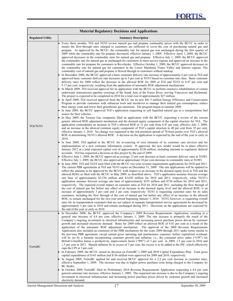|                          | <b>Material Regulatory Decisions and Applications</b>                                                                                                                                                                                                                                                                                                                                                                                                                                                                                                                                                                                                                                                                                                                                                                                                                                                                                                                                                                                                                                                                                                                                                                                                                                                                                                                                                                                                                                                                                                                                                                                                                                                                                                                                                                                                                                                                                                                                                                                                                                                                                                                                                                                                                                                                                                                                                                                                                                                                                                                                                                                                                                                                                                                                                                                                                                                                                                                                                                                                                                                                                                                                                                                                                                                                                                                                                                                                                                                                                                                                                                                                                                                                                                                                                                                                                                                                                                                                                                                                                                                                                                                                                                                                                                                                                                                                                                                                                                                                                                                                                                                                                                                                                                                                                                                                                                                                                                                                                                                                                                                                                                                                                                                                                                                                                                                                                                                  |
|--------------------------|----------------------------------------------------------------------------------------------------------------------------------------------------------------------------------------------------------------------------------------------------------------------------------------------------------------------------------------------------------------------------------------------------------------------------------------------------------------------------------------------------------------------------------------------------------------------------------------------------------------------------------------------------------------------------------------------------------------------------------------------------------------------------------------------------------------------------------------------------------------------------------------------------------------------------------------------------------------------------------------------------------------------------------------------------------------------------------------------------------------------------------------------------------------------------------------------------------------------------------------------------------------------------------------------------------------------------------------------------------------------------------------------------------------------------------------------------------------------------------------------------------------------------------------------------------------------------------------------------------------------------------------------------------------------------------------------------------------------------------------------------------------------------------------------------------------------------------------------------------------------------------------------------------------------------------------------------------------------------------------------------------------------------------------------------------------------------------------------------------------------------------------------------------------------------------------------------------------------------------------------------------------------------------------------------------------------------------------------------------------------------------------------------------------------------------------------------------------------------------------------------------------------------------------------------------------------------------------------------------------------------------------------------------------------------------------------------------------------------------------------------------------------------------------------------------------------------------------------------------------------------------------------------------------------------------------------------------------------------------------------------------------------------------------------------------------------------------------------------------------------------------------------------------------------------------------------------------------------------------------------------------------------------------------------------------------------------------------------------------------------------------------------------------------------------------------------------------------------------------------------------------------------------------------------------------------------------------------------------------------------------------------------------------------------------------------------------------------------------------------------------------------------------------------------------------------------------------------------------------------------------------------------------------------------------------------------------------------------------------------------------------------------------------------------------------------------------------------------------------------------------------------------------------------------------------------------------------------------------------------------------------------------------------------------------------------------------------------------------------------------------------------------------------------------------------------------------------------------------------------------------------------------------------------------------------------------------------------------------------------------------------------------------------------------------------------------------------------------------------------------------------------------------------------------------------------------------------------------------------------------------------------------------------------------------------------------------------------------------------------------------------------------------------------------------------------------------------------------------------------------------------------------------------------------------------------------------------------------------------------------------------------------------------------------------------------------------------------------------------------------------------------------------------------------------------------|
| <b>Regulated Utility</b> | <b>Summary Description</b>                                                                                                                                                                                                                                                                                                                                                                                                                                                                                                                                                                                                                                                                                                                                                                                                                                                                                                                                                                                                                                                                                                                                                                                                                                                                                                                                                                                                                                                                                                                                                                                                                                                                                                                                                                                                                                                                                                                                                                                                                                                                                                                                                                                                                                                                                                                                                                                                                                                                                                                                                                                                                                                                                                                                                                                                                                                                                                                                                                                                                                                                                                                                                                                                                                                                                                                                                                                                                                                                                                                                                                                                                                                                                                                                                                                                                                                                                                                                                                                                                                                                                                                                                                                                                                                                                                                                                                                                                                                                                                                                                                                                                                                                                                                                                                                                                                                                                                                                                                                                                                                                                                                                                                                                                                                                                                                                                                                                             |
| <b>TGI/TGVI</b>          | Every three months, TGI and TGVI review natural gas and propane commodity prices with the BCUC in order to<br>ensure the flow-through rates charged to customers are sufficient to cover the cost of purchasing natural gas and<br>propane. As approved by the BCUC, the commodity rate for natural gas was unchanged during the first quarter of<br>2009 while the commodity rate for propane decreased, effective January 1, 2009. Effective April 1, 2009, the BCUC<br>approved decreases in the commodity rates for natural gas and propane. Effective July 1, 2009, the BCUC approved<br>the commodity rate for natural gas as unchanged for customers in most service regions and approved an increase in the<br>commodity rate for propane for customers in Revelstoke. Effective October 1, 2009, the BCUC approved decreases in<br>the commodity rate for natural gas for customers in the Lower Mainland, Fraser Valley and Interior regions. The<br>commodity cost of natural gas and propane is flowed through to customers without markup.<br>In December 2008, the BCUC approved a basic customer delivery rate increase of approximately 6 per cent at TGI and<br>approved basic customer delivery rate increases up to 5 per cent at TGVI based on customer rate class. Basic customer<br>delivery rates for 2009 reflect the decrease in the allowed ROE for 2009 at TGI and TGVI to 8.47 per cent and<br>9.17 per cent, respectively, resulting from the application of automatic ROE adjustment mechanisms.<br>In March 2009, TGI received approval for its application with the BCUC to perform extensive rehabilitation of certain<br>underwater transmission pipeline crossings of the South Arm of the Fraser River, serving Vancouver and Richmond.<br>The project is expected to be completed in 2010 for a total cost of approximately \$27 million.<br>In April 2009, TGI received approval from the BCUC for its new \$41.5 million Energy Efficiency and Conservation<br>Program to provide customers with enhanced tools and incentives to manage their natural gas consumption, reduce<br>their energy costs and lower their greenhouse gas emissions. The program began in summer 2009.<br>In June 2009, the BCUC approved TGI's application requesting to sell liquefied natural gas as a transportation fuel<br>source for fleet vehicles.<br>In May 2009, the Terasen Gas companies filed an application with the BCUC requesting a review of the current<br>generic allowed ROE adjustment mechanism and the deemed equity component of the capital structure for TGI. The<br>application contemplates an increase in TGI's allowed ROE to 11 per cent from 8.47 per cent, effective July 1, 2009,<br>and an increase in the allowed common equity component of TGI's capital structure to 40 per cent from 35 per cent,<br>effective January 1, 2010. No change was requested in the risk-premium spread of 70 basis points over TGI's allowed<br>ROE in determining TGVI's allowed ROE. A decision on the application is expected by the end of the year or early in<br>2010.<br>In June 2009, TGI applied to the BCUC for in-sourcing of core elements of its customer care services and for<br>implementation of a new customer information system. If approved, the new model would be in place effective<br>January 2012 at a total expected capital cost of approximately \$120 million, including amounts to regulatory deferral<br>accounts. TGI has requested a decision on this project by the end of 2009.<br>Effective June 1, 2009, the BCUC approved an average 12 per cent decrease in basic customer delivery rates at TGWI.<br>Effective July 1, 2009, the BCUC also approved an approximate 10 per cent decrease in commodity rates at TGWI.<br>In June 2009, TGI and TGVI each filed with the BCUC two-year revenue requirements applications for 2010 and 2011.<br>The current PBR agreements at TGI and TGVI expire on December 31, 2009. The rate applications will be updated to<br>reflect the amounts to be approved by the BCUC with respect to an increase in the deemed equity level at TGI and the<br>allowed ROEs as filed with the BCUC in May 2009, as described above. TGI's application assumes forecast average<br>rate base of approximately \$2,536 million and \$2,620 million for 2010 and 2011, respectively, while TGVI's<br>application assumes forecast average rate base of approximately \$555 million and \$730 million for 2010 and 2011,<br>respectively. The expected overall impact on customer rates at TGI for 2010 and 2011, including the flow through of<br>the cost of natural gas but before any effect of an increase in the deemed equity level and the allowed ROE, is an<br>increase of approximately 3 per cent and 2 per cent, respectively. TGVI is requesting customer rates for its sales<br>customers, including the flow through of the cost of natural gas but before any effect of an increase in the allowed<br>ROE, to remain unchanged for the two-year period beginning January 1, 2010. TGVI, however, is requesting overall<br>rates for its transportation customers that are not subject to separate transportation service agreements be decreased by<br>approximately 5 per cent in 2010 and remain unchanged during 2011. Decisions on the applications are expected by<br>the end of the year or early in 2010. |
| FortisBC                 | In December 2008, the BCUC approved the Company's 2009 Revenue Requirements Application, resulting in a<br>general rate increase of 4.6 per cent, effective January 1, 2009. The rate increase is primarily the result of the<br>Company's ongoing investment in electrical infrastructure and increasing power purchase prices driven by customer<br>growth and increased electricity demand. Rates for 2009 reflect an allowed ROE of 8.87 per cent as a result of the<br>application of the automatic ROE adjustment mechanism. The approval of the 2009 Revenue Requirements<br>Application also included an extension of the PBR mechanism for the years 2009 through 2011 under terms similar to<br>the previous PBR agreement, except annual gross operating and maintenance expenses, before capitalized overhead,<br>will be set by a formula incorporating customer growth and inflation, i.e., the consumer price index ("CPI") for<br>British Columbia minus a productivity improvement factor ("PIF") of 3 per cent in 2009, 1.5 per cent in 2010 and<br>1.5 per cent in 2011. Should inflation be in excess of 3 per cent, the excess is to be added to the PIF, which effectively<br>caps the CPI at 3 per cent.<br>In February 2009, the BCUC issued its decision on FortisBC's 2009 and 2010 Capital Expenditure Plan. Total gross<br>capital expenditures of \$165 million and \$156 million were approved for 2009 and 2010, respectively.<br>In August 2009, FortisBC applied for and received BCUC approval for a 2.2 per cent increase in customer rates,<br>effective September 1, 2009. The increase was due to higher power purchase costs being charged to the Company by<br>BC Hydro.<br>In October 2009, FortisBC filed its Preliminary 2010 Revenue Requirements Application requesting a 4.6 per cent<br>general customer rate increase, effective January 1, 2009. The requested rate increase is due to the Company's ongoing<br>investment in electrical infrastructure and increasing power purchase prices driven by customer growth and increased<br>electricity demand.                                                                                                                                                                                                                                                                                                                                                                                                                                                                                                                                                                                                                                                                                                                                                                                                                                                                                                                                                                                                                                                                                                                                                                                                                                                                                                                                                                                                                                                                                                                                                                                                                                                                                                                                                                                                                                                                                                                                                                                                                                                                                                                                                                                                                                                                                                                                                                                                                                                                                                                                                                                                                                                                                                                                                                                                                                                                                                                                                                                                                                                                                                                                                                                                                                                                                                                           |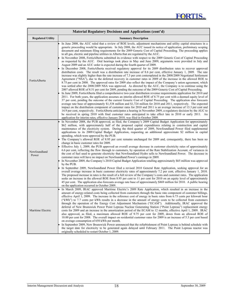|                          | Material Regulatory Decisions and Applications (cont'd)                                                                                                                                                                                                                                                                                                                                                                                                                                                                                                                                                                                                                                                                                                                                                                                                                                                                                                                                                                                                                                                                                                                                                                                                                                                                                                                                                                                                                                                                                                                                                                                                                                                                                                                                                                                                                                                                                                                                                                                                                                                                                                                                                                                                                                                                                                                                                                                                                                                                                                                                 |
|--------------------------|-----------------------------------------------------------------------------------------------------------------------------------------------------------------------------------------------------------------------------------------------------------------------------------------------------------------------------------------------------------------------------------------------------------------------------------------------------------------------------------------------------------------------------------------------------------------------------------------------------------------------------------------------------------------------------------------------------------------------------------------------------------------------------------------------------------------------------------------------------------------------------------------------------------------------------------------------------------------------------------------------------------------------------------------------------------------------------------------------------------------------------------------------------------------------------------------------------------------------------------------------------------------------------------------------------------------------------------------------------------------------------------------------------------------------------------------------------------------------------------------------------------------------------------------------------------------------------------------------------------------------------------------------------------------------------------------------------------------------------------------------------------------------------------------------------------------------------------------------------------------------------------------------------------------------------------------------------------------------------------------------------------------------------------------------------------------------------------------------------------------------------------------------------------------------------------------------------------------------------------------------------------------------------------------------------------------------------------------------------------------------------------------------------------------------------------------------------------------------------------------------------------------------------------------------------------------------------------------|
| <b>Regulated Utility</b> | <b>Summary Description</b>                                                                                                                                                                                                                                                                                                                                                                                                                                                                                                                                                                                                                                                                                                                                                                                                                                                                                                                                                                                                                                                                                                                                                                                                                                                                                                                                                                                                                                                                                                                                                                                                                                                                                                                                                                                                                                                                                                                                                                                                                                                                                                                                                                                                                                                                                                                                                                                                                                                                                                                                                              |
| FortisAlberta            | In June 2008, the AUC ruled that a review of ROE levels, adjustment mechanisms and utility capital structures in a<br>generic proceeding would be appropriate. In July 2008, the AUC issued its notice of application, preliminary scoping<br>document and minimum filing requirements for the 2009 Generic Cost of Capital Proceeding. The proceeding applies<br>to all gas, electric and pipeline utilities in Alberta that are regulated by the AUC.<br>In November 2008, FortisAlberta submitted its evidence with respect to the 2009 Generic Cost of Capital Proceeding<br>as requested by the AUC. Oral hearings took place in May and June 2009, arguments were provided in July and<br>August 2009 and an AUC order is expected during the fourth quarter of 2009.<br>In December 2008, FortisAlberta received regulatory approval for its 2009 distribution rates to recover approved<br>distribution costs. The result was a distribution rate increase of 8.6 per cent, effective January 1, 2009. The rate<br>increase was slightly higher than the rate increase of 7.3 per cent contemplated in the 2008/2009 Negotiated Settlement<br>Agreement ("NSA"), due to the deferred recovery in customer rates in 2009 of the increase in the allowed ROE to<br>8.75 per cent in 2008. The approved rates for 2009 also reflect the impact of the Company's union agreement, which<br>was settled after the 2008/2009 NSA was approved. As directed by the AUC, the Company is to continue using the<br>2007 allowed ROE of 8.51 per cent for 2009, pending the outcome of the 2009 Generic Cost of Capital Proceeding.<br>In June 2009, FortisAlberta filed a comprehensive two-year distribution revenue requirements application for 2010 and<br>2011. For both years, the application assumes an interim allowed ROE of 8.75 per cent with a deemed equity level of<br>37 per cent, pending the outcome of the current Generic Cost of Capital Proceeding. The application also forecasts<br>average rate base of approximately \$1,538 million and \$1,724 million for 2010 and 2011, respectively. The expected<br>impact on the distribution component of customer rates for 2010 and 2011 is an average increase of 13.3 per cent and<br>14.9 per cent, respectively. FortisAlberta anticipates a hearing in November 2009, a regulatory decision by the AUC to<br>be received in spring 2010 with final customer rates anticipated to take effect late in 2010 or early 2011. An<br>application for interim rates, effective January 2010, was filed in October 2009. |
| Newfoundland<br>Power    | In November 2008, the PUB approved, as filed, the Company's 2009 Capital Budget Application for approximately<br>\$62 million, with approximately half of the proposed capital expenditures relating to construction and capital<br>maintenance of the electricity system. During the third quarter of 2009, Newfoundland Power filed supplemental<br>applications to its 2009 Capital Budget Application, requesting an additional approximate \$2 million in capital<br>spending, which were approved by the PUB.<br>The Company's allowed ROE of 8.95 per cent remains unchanged for 2009 and, consequently, there has been no<br>change in basic customer rates for 2009.<br>Effective July 1, 2009, the PUB approved an overall average decrease in customer electricity rates of approximately<br>6.6 per cent, reflecting the flow through to customers, by operation of the Rate Stabilization Account, of variances in<br>the cost of fuel used to generate electricity that Newfoundland Hydro sells to Newfoundland Power. The decrease in<br>customer rates will have no impact on Newfoundland Power's earnings in 2009.<br>In November 2009, the Company's 2010 Capital Budget Application totalling approximately \$65 million was approved<br>by the PUB.<br>In September 2009, Newfoundland Power filed a revised 2010 General Rate Application, seeking approval for an<br>overall average increase in basic customer electricity rates of approximately 7.2 per cent, effective January 1, 2010.<br>The proposed increase in rates is the result of a full review of the Company's costs and customer rates. The application<br>seeks an increase in the allowed ROE from 8.95 per cent to 11 per cent for 2010 on an equity level of approximately<br>45 per cent. The application also forecasts average rate base of approximately \$869 million for 2010. A public hearing<br>on the application occurred in October 2009.                                                                                                                                                                                                                                                                                                                                                                                                                                                                                                                                                                                                                                       |
| Maritime Electric        | In March 2009, IRAC approved Maritime Electric's 2009 Rate Application, which resulted in an increase in the<br>amount of energy-related costs being collected from customers through the basic rate component of customer billings,<br>effective April 1, 2009. The increase in the reference cost of energy in basic rates from 6.73 cents per kilowatt hour<br>("kWh") to 7.7 cents per kWh results in a decrease in the amount of energy costs to be collected from customers<br>through the operation of the Energy Cost Adjustment Mechanism ("ECAM"). Additionally, IRAC approved the<br>deferral of New Brunswick Power Point Lepreau Nuclear Generating Station ("Point Lepreau") replacement energy<br>costs for 2009 and an increase in the amortization period of the ECAM to 12 months, effective April 1, 2009. IRAC<br>also approved, as filed, a maximum allowed ROE of 9.75 per cent for 2009, down from an allowed ROE of<br>10.00 per cent for 2008. The overall impact on residential customer rates for 2009 is an increase of 5.3 per cent based<br>on average consumption of 650 kWh per month.<br>In September 2009, New Brunswick Power announced that the refurbishment of Point Lepreau is behind schedule with<br>the target date for electricity to be generated again delayed until February 2011. The Point Lepreau reactor was<br>originally scheduled to restart October 1, 2009.                                                                                                                                                                                                                                                                                                                                                                                                                                                                                                                                                                                                                                                                                                                                                                                                                                                                                                                                                                                                                                                                                                                                                                      |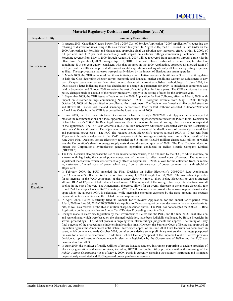|                          | <b>Material Regulatory Decisions and Applications (cont'd)</b>                                                                                                                                                                                                                                                                                                                                                                                                                                                                                                                                                                                                                                                                                                                                                                                                                                                                                                                                                                                                                                                                                                                                                                                                                                                                                                                                                                                                                                                                                                                                                                                                                                                                                                                                                                                                                                                                                                                                                                                                                                                                                                                                                                                                                                                                                                                                                                                                                                                                                                                                                                                                                                                                                                                                                                                                                                                                                                                                                                                                                                                                                                                                                                                                                                                                                                                                                                                                                                                                                                                                                                                                                                                                                                                                                                                                                                                                                                                                                                                                                                                                                                                                                                                                                                                                                                                                                                                                                                                                                                                                      |  |  |  |  |  |  |
|--------------------------|-----------------------------------------------------------------------------------------------------------------------------------------------------------------------------------------------------------------------------------------------------------------------------------------------------------------------------------------------------------------------------------------------------------------------------------------------------------------------------------------------------------------------------------------------------------------------------------------------------------------------------------------------------------------------------------------------------------------------------------------------------------------------------------------------------------------------------------------------------------------------------------------------------------------------------------------------------------------------------------------------------------------------------------------------------------------------------------------------------------------------------------------------------------------------------------------------------------------------------------------------------------------------------------------------------------------------------------------------------------------------------------------------------------------------------------------------------------------------------------------------------------------------------------------------------------------------------------------------------------------------------------------------------------------------------------------------------------------------------------------------------------------------------------------------------------------------------------------------------------------------------------------------------------------------------------------------------------------------------------------------------------------------------------------------------------------------------------------------------------------------------------------------------------------------------------------------------------------------------------------------------------------------------------------------------------------------------------------------------------------------------------------------------------------------------------------------------------------------------------------------------------------------------------------------------------------------------------------------------------------------------------------------------------------------------------------------------------------------------------------------------------------------------------------------------------------------------------------------------------------------------------------------------------------------------------------------------------------------------------------------------------------------------------------------------------------------------------------------------------------------------------------------------------------------------------------------------------------------------------------------------------------------------------------------------------------------------------------------------------------------------------------------------------------------------------------------------------------------------------------------------------------------------------------------------------------------------------------------------------------------------------------------------------------------------------------------------------------------------------------------------------------------------------------------------------------------------------------------------------------------------------------------------------------------------------------------------------------------------------------------------------------------------------------------------------------------------------------------------------------------------------------------------------------------------------------------------------------------------------------------------------------------------------------------------------------------------------------------------------------------------------------------------------------------------------------------------------------------------------------------------------------------------------------------------------------------------------------------------|--|--|--|--|--|--|
| <b>Regulated Utility</b> | <b>Summary Description</b>                                                                                                                                                                                                                                                                                                                                                                                                                                                                                                                                                                                                                                                                                                                                                                                                                                                                                                                                                                                                                                                                                                                                                                                                                                                                                                                                                                                                                                                                                                                                                                                                                                                                                                                                                                                                                                                                                                                                                                                                                                                                                                                                                                                                                                                                                                                                                                                                                                                                                                                                                                                                                                                                                                                                                                                                                                                                                                                                                                                                                                                                                                                                                                                                                                                                                                                                                                                                                                                                                                                                                                                                                                                                                                                                                                                                                                                                                                                                                                                                                                                                                                                                                                                                                                                                                                                                                                                                                                                                                                                                                                          |  |  |  |  |  |  |
| FortisOntario            | In August 2008, Canadian Niagara Power filed a 2009 Cost of Service Application ("2009 Application") requesting the<br>rebasing of distribution rates using 2009 as a forward test year. In August 2009, the OEB issued its Rate Order on the<br>2009 Application for Fort Erie and Gananoque, approving final distribution rate increases, effective May 1, 2009, of<br>5.1 per cent and 11.7 per cent, respectively, with impact on customer billings commencing September 1, 2009.<br>Foregone revenue from May 1, 2009 through August 31, 2009 will be recovered from customers through a rate rider in<br>effect from September 1, 2009 through April 30, 2010. The Rate Order confirmed a deemed capital structure<br>containing 43.3 per cent equity, consistent with that assumed in the 2009 Application, approved an allowed ROE of<br>8.01 per cent for 2009 and approved all forecast capital expenditures and significantly all forecast operating expenses,<br>as filed. The approved rate increases were primarily driven by the impact of distribution system upgrades.<br>In March 2009, the OEB announced that it was initiating a consultative process with utilities in Ontario that it regulates<br>to help the OEB determine whether current economic and financial market conditions warrant an adjustment to any<br>cost of capital parameter values determined in accordance with current established methodology. In June 2009, the<br>OEB issued a letter indicating that it had decided not to change the parameters for 2009. A stakeholder conference was<br>held in September and October 2009 to review the cost of capital policy for future years. The OEB anticipates that any<br>policy changes made as a result of the review process will apply to the setting of rates for the 2010 rate year.<br>In September 2009, the OEB issued a Decision on the 2009 Application for Port Colborne, effective May 1, 2009, with<br>impact on customer billings commencing November 1, 2009. Foregone revenue from May 1, 2009 through<br>October 31, 2009 will be permitted to be collected from customers. The Decision confirmed a similar capital structure<br>and allowed ROE as for Fort Erie and Gananoque. A draft Rate Order for Port Colborne was filed in October 2009 and<br>a Final Rate Order from the OEB is expected in the fourth quarter of 2009.                                                                                                                                                                                                                                                                                                                                                                                                                                                                                                                                                                                                                                                                                                                                                                                                                                                                                                                                                                                                                                                                                                                                                                                                                                                                                                                                                                                                                                                                                                                                                                                                                                                                                                                                                                                                                                                                                                                                                                                                                                                                                                                                                                                                     |  |  |  |  |  |  |
| Belize<br>Electricity    | In June 2008, the PUC issued its Final Decision on Belize Electricity's 2008/2009 Rate Application, which rejected<br>most of the recommendations of a PUC-appointed Independent Expert engaged to review the PUC's Initial Decision on<br>Belize Electricity's 2008/2009 Rate Application and failed to increase the overall average electricity rate as requested<br>in the application. The PUC also ordered a BZ\$36 million retroactive adjustment associated with Belize Electricity's<br>prior years' financial results. The adjustment, in substance, represented the disallowance of previously incurred fuel<br>and purchased power costs. The PUC also reduced Belize Electricity's targeted allowed ROA to 10 per cent from<br>12 per cent through a reduction in the VAD component of the average electricity rate. As a direct result of the<br>June 2008 Final Decision, Belize Electricity recorded an \$18 million (BZ\$36 million) charge (\$13 million of which<br>was the Corporation's share) to energy supply costs during the second quarter of 2008. The Final Decision does not<br>impact the Corporation's hydroelectric generation operations conducted in Belize Electric Company Limited<br>("BECOL").<br>The Final Decision also proposed the use of an automatic mechanism, to be finalized by the PUC, to adjust monthly, on<br>a two-month lag basis, the cost of power component of the rate to reflect actual costs of power. The automatic<br>adjustment mechanism, which was retroactively effective September 1, 2008, allows for the collection from, or rebate<br>to, customers of actual costs of power which vary from a reference cost of power by more than a threshold of<br>10 per cent.<br>In February 2009, the PUC amended the Final Decision on Belize Electricity's 2008/2009 Rate Application<br>(the "Amendment"), effective for the period from January 1, 2009 through June 30, 2009. The Amendment provides<br>for an increase in the VAD component of the average electricity rate to allow Belize Electricity to earn a targeted<br>allowed ROA of 12 per cent but reduces the reference COP component of the average electricity rate, due to an overall<br>decline in the cost of power. The Amendment, therefore, allows for an overall decrease in the average electricity rate<br>from BZ44.1 cents per kWh to BZ37.5 cents per kWh. The Amendment also provides for a lower regulated asset value<br>upon which the allowed ROA is calculated, while increasing operating expenses by the same amount, and reduces<br>depreciation, taxes and fees and the related revenue requirement.<br>In April 2009, Belize Electricity filed its Annual Tariff Review Application for the annual tariff period from<br>July 1, 2009 to June 30, 2010 ("2009/2010 Rate Application") proposing a 6 per cent decrease in the average electricity<br>rate, as well as a reversal of the BZ\$36 million charge described above. The PUC has not accepted the 2009/2010 Rate<br>Application on the grounds that an Annual Tariff Review Proceeding is not in effect.<br>Changes made in electricity legislation by the Government of Belize and the PUC, and the June 2008 Final Decision<br>and Amendment, which were based on the changed legislation, have been judicially challenged by Belize Electricity in<br>several proceedings. The judicial process is ongoing with interim rulings, judgments and appeals. The timing or likely<br>final outcome of the proceedings is indeterminable at this time. However, the Supreme Court of Belize has approved an<br>injunction against the Amendment until Belize Electricity's appeal of the June 2008 Final Decision has been heard in<br>court, which commenced early October 2009, but after considering some preliminary matters the trial judge postponed<br>the case for a date to be determined. In addition, Belize Electricity's appeal of the Supreme Court of Belize's previous<br>decision to uphold certain changes made in electricity legislation by the Government of Belize and the PUC was<br>dismissed in June 2009.<br>In June 2009, the Minister of Public Utilities of Belize issued a statutory instrument purporting to declare providers of<br>electricity generation and water services, including BECOL, as public utility providers within the meaning of the<br>Public Utilities Commission Act as of May 1, 2009. Fortis is currently assessing the statutory instrument and its impact<br>on previously negotiated and PUC-approved power purchase agreements. |  |  |  |  |  |  |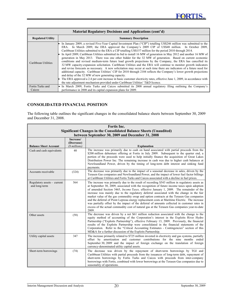| Material Regulatory Decisions and Applications (cont'd) |                                                                                                                                                                                                                                                                                                                                                                                                                                                                                                                                                                                                                                                                                                                                                                                                                                                                                                                                                                                                                                                                                                                                                                                                                                                                                                                                    |  |  |  |  |  |  |  |
|---------------------------------------------------------|------------------------------------------------------------------------------------------------------------------------------------------------------------------------------------------------------------------------------------------------------------------------------------------------------------------------------------------------------------------------------------------------------------------------------------------------------------------------------------------------------------------------------------------------------------------------------------------------------------------------------------------------------------------------------------------------------------------------------------------------------------------------------------------------------------------------------------------------------------------------------------------------------------------------------------------------------------------------------------------------------------------------------------------------------------------------------------------------------------------------------------------------------------------------------------------------------------------------------------------------------------------------------------------------------------------------------------|--|--|--|--|--|--|--|
| <b>Regulated Utility</b>                                | <b>Summary Description</b>                                                                                                                                                                                                                                                                                                                                                                                                                                                                                                                                                                                                                                                                                                                                                                                                                                                                                                                                                                                                                                                                                                                                                                                                                                                                                                         |  |  |  |  |  |  |  |
| Caribbean Utilities                                     | In January 2009, a revised Five-Year Capital Investment Plan ("CIP") totalling US\$246 million was submitted to the<br>ERA. In March 2009, the ERA approved the Company's 2009 CIP of US\$48 million. In October 2009,<br>Caribbean Utilities submitted to the ERA a CIP totalling US\$157 million for the period 2010 through 2014.<br>In April 2009, Caribbean Utilities submitted its bid to install 16 MW of generation in May 2012 and another 16 MW of<br>generation in May 2013. There was one other bidder for the 32 MW of generation. Based on current economic<br>conditions and revised medium-term future load growth projections by the Company, the ERA has cancelled its<br>32 MW capacity-expansion solicitation. Caribbean Utilities and the ERA will continue to monitor growth indicators<br>and revise forecasts as necessary. A new solicitation may occur at such time there are indicators of a future need for<br>additional capacity. Caribbean Utilities' CIP for 2010 through 2104 reflects the Company's lower growth projections<br>and delay of the 32 MW of new generating capacity.<br>The ERA approved a 2.4 per cent increase in basic customer electricity rates, effective June 1, 2009, in accordance with<br>the rate adjustment mechanism provided under Caribbean Utilities' T&D licence. |  |  |  |  |  |  |  |
| Fortis Turks and                                        | • In March 2009, Fortis Turks and Caicos submitted its 2008 annual regulatory filing outlining the Company's                                                                                                                                                                                                                                                                                                                                                                                                                                                                                                                                                                                                                                                                                                                                                                                                                                                                                                                                                                                                                                                                                                                                                                                                                       |  |  |  |  |  |  |  |
| Caicos                                                  | performance in 2008 and its capital expansion plans for 2009.                                                                                                                                                                                                                                                                                                                                                                                                                                                                                                                                                                                                                                                                                                                                                                                                                                                                                                                                                                                                                                                                                                                                                                                                                                                                      |  |  |  |  |  |  |  |

# **CONSOLIDATED FINANCIAL POSITION**

The following table outlines the significant changes in the consolidated balance sheets between September 30, 2009 and December 31, 2008.

| Fortis Inc.                                                               |                                                  |                                                                                                                                                                                                                                                                                                                                                                                                                                                                                                                                                                                                                                                                                                                                                                                                     |  |  |  |  |  |  |  |
|---------------------------------------------------------------------------|--------------------------------------------------|-----------------------------------------------------------------------------------------------------------------------------------------------------------------------------------------------------------------------------------------------------------------------------------------------------------------------------------------------------------------------------------------------------------------------------------------------------------------------------------------------------------------------------------------------------------------------------------------------------------------------------------------------------------------------------------------------------------------------------------------------------------------------------------------------------|--|--|--|--|--|--|--|
| <b>Significant Changes in the Consolidated Balance Sheets (Unaudited)</b> |                                                  |                                                                                                                                                                                                                                                                                                                                                                                                                                                                                                                                                                                                                                                                                                                                                                                                     |  |  |  |  |  |  |  |
|                                                                           | between September 30, 2009 and December 31, 2008 |                                                                                                                                                                                                                                                                                                                                                                                                                                                                                                                                                                                                                                                                                                                                                                                                     |  |  |  |  |  |  |  |
| <b>Balance Sheet Account</b>                                              | Increase/<br>(Decrease)<br>(\$ millions)         | <b>Explanation</b>                                                                                                                                                                                                                                                                                                                                                                                                                                                                                                                                                                                                                                                                                                                                                                                  |  |  |  |  |  |  |  |
| Cash and cash equivalents                                                 | 40                                               | The increase was primarily due to cash on hand associated with partial proceeds from the<br>\$200 million debenture offering at Fortis in July 2009. Subsequent to the quarter end, a<br>portion of the proceeds were used to help initially finance the acquisition of Great Lakes<br>Distribution Power Inc. The remaining increase in cash was due to higher cash balances at<br>Newfoundland Power, driven by the timing of long-term debt interest and sinking fund<br>payments.                                                                                                                                                                                                                                                                                                               |  |  |  |  |  |  |  |
| Accounts receivable                                                       | (324)                                            | The decrease was primarily due to the impact of a seasonal decrease in sales, driven by the<br>Terasen Gas companies and Newfoundland Power, and the impact of lower fuel factor billings<br>at Caribbean Utilities and Fortis Turks and Caicos associated with a decline in fuel prices.                                                                                                                                                                                                                                                                                                                                                                                                                                                                                                           |  |  |  |  |  |  |  |
| Regulatory assets - current<br>and long-term                              | 564                                              | The increase was primarily due to the result of recording \$543 million in regulatory assets as<br>at September 30, 2009, associated with the recognition of future income taxes upon adoption<br>of amended Section 3465, <i>Income Taxes</i> , effective January 1, 2009. The remainder of the<br>increase was mainly due to the regulatory deferral associated with the change in the fair<br>market value of the gas commodity swap and option contracts at the Terasen Gas companies<br>and the deferral of Point Lepreau energy replacement costs at Maritime Electric. The increase<br>was partially offset by the impact of the deferral of amounts collected in customer rates in<br>excess of the actual commodity cost of natural gas at the Terasen Gas companies year-to-date<br>2009. |  |  |  |  |  |  |  |
| Other assets                                                              | (58)                                             | The decrease was driven by a net \$61 million reduction associated with the change to the<br>equity method of accounting of the Corporation's interest in the Exploits River Hydro<br>Partnership ("Exploits Partnership"), effective February 13, 2009. Previously, the financial<br>results of the Exploits Partnership were consolidated in the financial statements of the<br>Corporation. Refer to the "Critical Accounting Estimates - Contingencies" section of this<br>MD&A for a further discussion of the Exploits Partnership.                                                                                                                                                                                                                                                           |  |  |  |  |  |  |  |
| Utility capital assets                                                    | 347                                              | The increase primarily related to \$725 million invested in electricity and gas systems, partially<br>offset by amortization and customer contributions for the nine months ended<br>September 30, 2009 and the impact of foreign exchange on the translation of foreign<br>currency-denominated utility capital assets.                                                                                                                                                                                                                                                                                                                                                                                                                                                                            |  |  |  |  |  |  |  |
| Short-term borrowings                                                     | (74)                                             | The decrease was driven by the repayment of short-term borrowings by TGI and<br>Caribbean Utilities with partial proceeds from the issuances of long-term debt, repayment of<br>short-term borrowings by Fortis Turks and Caicos with proceeds from inter-company<br>borrowings with Fortis, combined with lower borrowings at the Terasen Gas companies due to<br>seasonality of operations.                                                                                                                                                                                                                                                                                                                                                                                                       |  |  |  |  |  |  |  |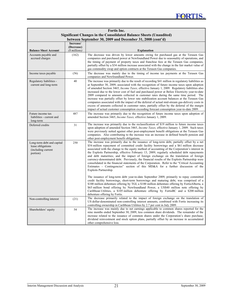| Fortis Inc.<br><b>Significant Changes in the Consolidated Balance Sheets (Unaudited)</b> |                             |                                                                                                                                                                                                                                                                                                                                                                                                                                                                                                                                                                                                                                                                                                                                                                                                                                                                                                        |  |  |  |  |  |
|------------------------------------------------------------------------------------------|-----------------------------|--------------------------------------------------------------------------------------------------------------------------------------------------------------------------------------------------------------------------------------------------------------------------------------------------------------------------------------------------------------------------------------------------------------------------------------------------------------------------------------------------------------------------------------------------------------------------------------------------------------------------------------------------------------------------------------------------------------------------------------------------------------------------------------------------------------------------------------------------------------------------------------------------------|--|--|--|--|--|
|                                                                                          |                             | between September 30, 2009 and December 31, 2008 (cont'd)                                                                                                                                                                                                                                                                                                                                                                                                                                                                                                                                                                                                                                                                                                                                                                                                                                              |  |  |  |  |  |
|                                                                                          | Increase/                   |                                                                                                                                                                                                                                                                                                                                                                                                                                                                                                                                                                                                                                                                                                                                                                                                                                                                                                        |  |  |  |  |  |
| <b>Balance Sheet Account</b>                                                             | (Decrease)<br>(\$ millions) | <b>Explanation</b>                                                                                                                                                                                                                                                                                                                                                                                                                                                                                                                                                                                                                                                                                                                                                                                                                                                                                     |  |  |  |  |  |
| Accounts payable and<br>accrued charges                                                  | (162)                       | The decrease was driven by lower amounts owing for purchased gas at the Terasen Gas<br>companies and purchased power at Newfoundland Power due to seasonality of operations, and<br>the timing of payment of property taxes and franchise fees at the Terasen Gas companies,<br>partially offset by a \$34 million increase associated with the change in the fair market value of<br>gas commodity swap and option contracts at the Terasen Gas companies.                                                                                                                                                                                                                                                                                                                                                                                                                                            |  |  |  |  |  |
| Income taxes payable                                                                     | (56)                        | The decrease was mainly due to the timing of income tax payments at the Terasen Gas<br>companies and Newfoundland Power.                                                                                                                                                                                                                                                                                                                                                                                                                                                                                                                                                                                                                                                                                                                                                                               |  |  |  |  |  |
| Regulatory liabilities -<br>current and long-term                                        | 40                          | The increase was primarily due to the result of recording \$41 million in regulatory liabilities as<br>at September 30, 2009, associated with the recognition of future income taxes upon adoption<br>of amended Section 3465, <i>Income Taxes</i> , effective January 1, 2009. Regulatory liabilities also<br>increased due to the lower cost of fuel and purchased power at Belize Electricity year-to-date<br>2009 compared to amounts collected in customer rates during the same time period. The<br>increase was partially offset by lower rate stabilization account balances at the Terasen Gas<br>companies associated with the impact of the deferral of actual mid-stream gas-delivery costs in<br>excess of amounts collected in customer rates, partially offset by the deferral of the margin<br>impact of actual customer consumption exceeding forecast consumption year-to-date 2009. |  |  |  |  |  |
| Future income tax<br>liabilities - current and<br>long-term                              | 487                         | The increase was primarily due to the recognition of future income taxes upon adoption of<br>amended Section 3465, Income Taxes, effective January 1, 2009.                                                                                                                                                                                                                                                                                                                                                                                                                                                                                                                                                                                                                                                                                                                                            |  |  |  |  |  |
| Deferred credits                                                                         | 31                          | The increase was primarily due to the reclassification of \$19 million to future income taxes<br>upon adoption of amended Section 3465, <i>Income Taxes</i> , effective January 1, 2009. Such taxes<br>were previously netted against other post-employment benefit obligations at the Terasen Gas<br>companies. Also contributing to the increase was an increase in defined benefit pension and<br>other post-employment benefit obligations.                                                                                                                                                                                                                                                                                                                                                                                                                                                        |  |  |  |  |  |
| Long-term debt and capital<br>lease obligations<br>(including current<br>portion)        | 250                         | The increase was primarily due to the issuance of long-term debt, partially offset by a net<br>\$54 million repayment of committed credit facility borrowings and a \$61 million decrease<br>associated with the change to the equity method of accounting of the Corporation's interest in<br>the Exploits Partnership, effective February 13, 2009; regularly scheduled debt repayments<br>and debt maturities; and the impact of foreign exchange on the translation of foreign<br>currency-denominated debt. Previously, the financial results of the Exploits Partnership were<br>consolidated in the financial statements of the Corporation. Refer to the "Critical Accounting"<br>Estimates - Contingencies" section of this MD&A for a further discussion of the<br>Exploits Partnership.                                                                                                     |  |  |  |  |  |
|                                                                                          |                             | The issuance of long-term debt year-to-date September 2009, primarily to repay committed<br>credit facility borrowings, short-term borrowings and maturing debt, was comprised of a<br>\$100 million debenture offering by TGI, a \$100 million debenture offering by FortisAlberta, a<br>\$65 million bond offering by Newfoundland Power, a US\$40 million note offering by<br>Caribbean Utilities, a \$105 million debenture offering by FortisBC and a \$200 million<br>debenture offering by Fortis.                                                                                                                                                                                                                                                                                                                                                                                              |  |  |  |  |  |
| Non-controlling interest                                                                 | (21)                        | The decrease primarily related to the impact of foreign exchange on the translation of<br>US dollar-denominated non-controlling interest amounts, combined with Fortis increasing its<br>controlling ownership in Caribbean Utilities by 2.7 per cent in July 2009.                                                                                                                                                                                                                                                                                                                                                                                                                                                                                                                                                                                                                                    |  |  |  |  |  |
| Shareholders' equity                                                                     | 54                          | The increase was mainly due to net earnings applicable to common shares reported for the<br>nine months ended September 30, 2009, less common share dividends. The remainder of the<br>increase related to the issuance of common shares under the Corporation's share purchase,<br>dividend reinvestment and stock option plans, partially offset by an increase in accumulated<br>other comprehensive loss.                                                                                                                                                                                                                                                                                                                                                                                                                                                                                          |  |  |  |  |  |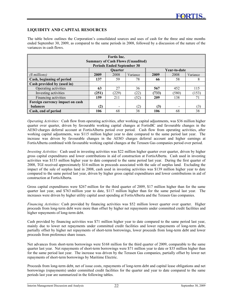# **LIQUIDITY AND CAPITAL RESOURCES**

The table below outlines the Corporation's consolidated sources and uses of cash for the three and nine months ended September 30, 2009, as compared to the same periods in 2008, followed by a discussion of the nature of the variances in cash flows.

| <b>Fortis</b> Inc.                                               |       |                                   |          |       |              |          |  |  |
|------------------------------------------------------------------|-------|-----------------------------------|----------|-------|--------------|----------|--|--|
| <b>Summary of Cash Flows (Unaudited)</b>                         |       |                                   |          |       |              |          |  |  |
|                                                                  |       | <b>Periods Ended September 30</b> |          |       |              |          |  |  |
|                                                                  |       | <b>Ouarter</b>                    |          |       | Year-to-date |          |  |  |
| (\$ millions)                                                    | 2009  | 2008                              | Variance | 2009  | 2008         | Variance |  |  |
| Cash, beginning of period                                        | 137   | 59                                | 78       | 66    | 58           | 8        |  |  |
| Cash provided by (used in)                                       |       |                                   |          |       |              |          |  |  |
| Operating activities                                             | 63    | 27                                | 36       | 567   | 452          | 115      |  |  |
| Investing activities                                             | (251) | (229)                             | (22)     | (733) | (580)        | (153)    |  |  |
| Financing activities                                             | 159   | 211                               | (52)     | 209   | 138          | 71       |  |  |
| Foreign currency impact on cash                                  |       |                                   |          |       |              |          |  |  |
| (2)<br>(2)<br>(3)<br>balances<br>(3)<br>$\overline{\phantom{0}}$ |       |                                   |          |       |              |          |  |  |
| Cash, end of period                                              | 106   | 68                                | 38       | 106   | 68           | 38       |  |  |

*Operating Activities:* Cash flow from operating activities, after working capital adjustments, was \$36 million higher quarter over quarter, driven by favourable working capital changes at FortisBC and favourable changes in the AESO charges deferral account at FortisAlberta period over period. Cash flow from operating activities, after working capital adjustments, was \$115 million higher year to date compared to the same period last year. The increase was driven by favourable changes in the AESO charges deferral account and higher earnings at FortisAlberta combined with favourable working capital changes at the Terasen Gas companies period over period.

*Investing Activities:* Cash used in investing activities was \$22 million higher quarter over quarter, driven by higher gross capital expenditures and lower contributions in aid of construction at FortisAlberta. Cash used in investing activities was \$153 million higher year to date compared to the same period last year. During the first quarter of 2008, TGI received approximately \$14 million in proceeds associated with the sale of surplus land. Excluding the impact of the sale of surplus land in 2008, cash used in investing activities was \$139 million higher year to date compared to the same period last year, driven by higher gross capital expenditures and lower contributions in aid of construction at FortisAlberta.

Gross capital expenditures were \$267 million for the third quarter of 2009, \$17 million higher than for the same quarter last year, and \$763 million year to date, \$117 million higher than for the same period last year. The increases were driven by higher utility capital asset spending at FortisAlberta and the Terasen Gas companies.

*Financing Activities:* Cash provided by financing activities was \$52 million lower quarter over quarter. Higher proceeds from long-term debt were more than offset by higher net repayments under committed credit facilities and higher repayments of long-term debt.

Cash provided by financing activities was \$71 million higher year to date compared to the same period last year, mainly due to lower net repayments under committed credit facilities and lower repayments of long-term debt, partially offset by higher net repayments of short-term borrowings, lower proceeds from long-term debt and lower proceeds from preference share issues.

Net advances from short-term borrowings were \$168 million for the third quarter of 2009, comparable to the same quarter last year. Net repayments of short-term borrowings were \$71 million year to date or \$35 million higher than for the same period last year. The increase was driven by the Terasen Gas companies, partially offset by lower net repayments of short-term borrowings by Maritime Electric.

Proceeds from long-term debt, net of issue costs, repayments of long-term debt and capital lease obligations and net borrowings (repayments) under committed credit facilities for the quarter and year to date compared to the same periods last year are summarized in the following tables.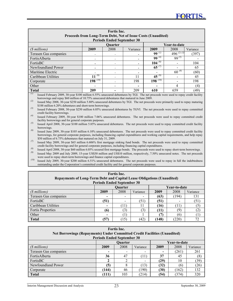| Fortis Inc.                                                  |                                    |                |          |                                    |                |          |  |  |
|--------------------------------------------------------------|------------------------------------|----------------|----------|------------------------------------|----------------|----------|--|--|
| Proceeds from Long-Term Debt, Net of Issue Costs (Unaudited) |                                    |                |          |                                    |                |          |  |  |
| <b>Periods Ended September 30</b>                            |                                    |                |          |                                    |                |          |  |  |
|                                                              |                                    | <b>Ouarter</b> |          |                                    | Year-to-date   |          |  |  |
| (\$ millions)                                                | 2009                               | 2008           | Variance | 2009                               | 2008           | Variance |  |  |
| Terasen Gas companies                                        |                                    |                |          | 99 $\overline{\omega}$             | $496^{(2)(3)}$ | (397)    |  |  |
| FortisAlberta                                                |                                    |                |          | 99 $\overline{^{(4)}}$             | $99^{(5)}$     |          |  |  |
| FortisBC                                                     |                                    |                |          | 104 $(6)$                          |                | 104      |  |  |
| Newfoundland Power                                           |                                    |                |          | 65 $(7)$                           |                | 65       |  |  |
| Maritime Electric                                            |                                    |                |          |                                    | $60^{(8)}$     | (60)     |  |  |
| Caribbean Utilities                                          | $11^{(9)}$                         |                | 11       | 45 $^{(9)}$                        |                | 45       |  |  |
| Corporate                                                    | $198$ <sup><math>(10)</math></sup> |                | 198      | $198$ <sup><math>(10)</math></sup> |                | 198      |  |  |
| Other                                                        |                                    | (4)<br>4       |          |                                    |                |          |  |  |
| <b>Total</b><br>$\overline{\phantom{0}}$                     | 209                                |                | 209      | 610                                | 659            | (49)     |  |  |

*(1)* Issued February 2009, 30-year \$100 million 6.55% unsecured debentures by TGI. The net proceeds were used to repay credit facility borrowings and repay \$60 million of 10.75% unsecured debentures that matured in June 2009.

*(2)* Issued May 2008, 30-year \$250 million 5.80% unsecured debentures by TGI. The net proceeds were primarily used to repay maturing \$188 million 6.20% debentures and short-term borrowings.

*(3)* Issued February 2008, 30-year \$250 million 6.05% unsecured debentures by TGVI. The net proceeds were used to repay committed credit facility borrowings.

*(4)* Issued February 2009, 30-year \$100 million 7.06% unsecured debentures. The net proceeds were used to repay committed credit facility borrowings and for general corporate purposes.

*(5)* Issued April 2008, 30-year \$100 million 5.85% unsecured debentures. The net proceeds were used to repay committed credit facility borrowings.

*(6)* Issued June 2009, 30-year \$105 million 6.10% unsecured debentures. The net proceeds were used to repay committed credit facility borrowings, for general corporate purposes, including financing capital expenditures and working capital requirements, and help repay \$50 million of 6.75% debentures that matured on July 31, 2009.

*(7)* Issued May 2009, 30-year \$65 million 6.606% first mortgage sinking fund bonds. The net proceeds were used to repay committed credit facility borrowings and for general corporate purposes, including financing capital expenditures.

<sup>(8)</sup> Issued April 2008, 30-year \$60 million 6.05% secured first mortgage bonds. The proceeds were used to repay short-term borrowings.<br>Issued May 2009 and July 2009, 15 year 1988 0 million and US\$10 million, apparentiumly *(9)* Issued May 2009 and July 2009, 15-year US\$30 million and US\$10 million, respectively, 7.50% unsecured notes. The net proceeds were used to repay short-term borrowings and finance capital expenditures.

*(10)* Issued July 2009, 30-year \$200 million 6.51% unsecured debentures. The net proceeds were used to repay in full the indebtedness outstanding under the Corporation's committed credit facility and for general corporate purposes.

| Fortis Inc.                                                                   |                                   |              |          |      |       |          |  |  |  |
|-------------------------------------------------------------------------------|-----------------------------------|--------------|----------|------|-------|----------|--|--|--|
| <b>Repayments of Long-Term Debt and Capital Lease Obligations (Unaudited)</b> |                                   |              |          |      |       |          |  |  |  |
|                                                                               | <b>Periods Ended September 30</b> |              |          |      |       |          |  |  |  |
|                                                                               | Year-to-date<br><b>Ouarter</b>    |              |          |      |       |          |  |  |  |
| (\$ millions)                                                                 | 2009                              | 2008         | Variance | 2009 | 2008  | Variance |  |  |  |
| Terasen Gas companies                                                         | $\overline{\phantom{0}}$          |              |          | (63) | (194) | 131      |  |  |  |
| FortisBC                                                                      | (51)                              | -            | (51)     | (51) |       | (51)     |  |  |  |
| Caribbean Utilities                                                           | $\overline{\phantom{0}}$          | $11^{\circ}$ | 11       | (16) | 11)   | (5)      |  |  |  |
| <b>Fortis Properties</b>                                                      | (6)                               | (3)          | (3)      | (11) | (9)   | (2)      |  |  |  |
| Other                                                                         | $\overline{\phantom{0}}$          |              |          | (7)  | (6)   |          |  |  |  |
| <b>Total</b>                                                                  | (57)                              | (15)         | (42)     | 148) | (220) | 72       |  |  |  |

| Fortis Inc.<br><b>Net Borrowings (Repayments) Under Committed Credit Facilities (Unaudited)</b><br><b>Periods Ended September 30</b> |                          |      |          |      |       |          |  |  |
|--------------------------------------------------------------------------------------------------------------------------------------|--------------------------|------|----------|------|-------|----------|--|--|
| Year-to-date<br>Ouarter                                                                                                              |                          |      |          |      |       |          |  |  |
| (\$ millions)                                                                                                                        | 2009                     | 2008 | Variance | 2009 | 2008  | Variance |  |  |
| Terasen Gas companies                                                                                                                | $\overline{\phantom{0}}$ |      | -        |      | (261) | 261      |  |  |
| FortisAlberta                                                                                                                        | 36                       | 47   | (11)     | 37   | 45    | (8       |  |  |
| FortisBC                                                                                                                             |                          |      | -        | (29) | 10    | (39)     |  |  |
| Newfoundland Power                                                                                                                   | (5)                      |      | (13)     | (32) | (6)   | (26)     |  |  |
| Corporate                                                                                                                            | (144)                    | 46   | (190)    | (30) | (162) | 132      |  |  |
| <b>Total</b>                                                                                                                         | (111)                    | 103  | (214)    | (54) | (374) | 320      |  |  |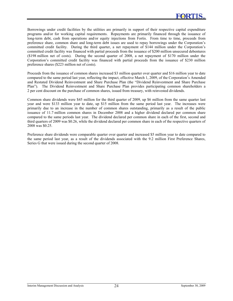Borrowings under credit facilities by the utilities are primarily in support of their respective capital expenditure programs and/or for working capital requirements. Repayments are primarily financed through the issuance of long-term debt, cash from operations and/or equity injections from Fortis. From time to time, proceeds from preference share, common share and long-term debt issues are used to repay borrowings under the Corporation's committed credit facility. During the third quarter, a net repayment of \$144 million under the Corporation's committed credit facility was financed with partial proceeds from the issuance of \$200 million unsecured debentures (\$198 million net of costs). During the second quarter of 2008, a net repayment of \$170 million under the Corporation's committed credit facility was financed with partial proceeds from the issuance of \$230 million preference shares (\$223 million net of costs).

Proceeds from the issuance of common shares increased \$3 million quarter over quarter and \$16 million year to date compared to the same period last year, reflecting the impact, effective March 1, 2009, of the Corporation's Amended and Restated Dividend Reinvestment and Share Purchase Plan (the "Dividend Reinvestment and Share Purchase Plan"). The Dividend Reinvestment and Share Purchase Plan provides participating common shareholders a 2 per cent discount on the purchase of common shares, issued from treasury, with reinvested dividends.

Common share dividends were \$45 million for the third quarter of 2009, up \$6 million from the same quarter last year and were \$133 million year to date, up \$15 million from the same period last year. The increases were primarily due to an increase in the number of common shares outstanding, primarily as a result of the public issuance of 11.7 million common shares in December 2008 and a higher dividend declared per common share compared to the same periods last year. The dividend declared per common share in each of the first, second and third quarters of 2009 was \$0.26, while the dividend declared per common share in each of the respective quarters of 2008 was \$0.25.

Preference share dividends were comparable quarter over quarter and increased \$5 million year to date compared to the same period last year, as a result of the dividends associated with the 9.2 million First Preference Shares, Series G that were issued during the second quarter of 2008.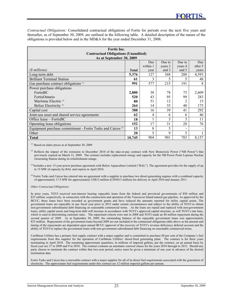*Contractual Obligations:* Consolidated contractual obligations of Fortis for periods over the next five years and thereafter, as of September 30, 2009, are outlined in the following table. A detailed description of the nature of the obligations is provided below and in the MD&A for the year ended December 31, 2008.

| <b>Fortis</b> Inc.<br><b>Contractual Obligations (Unaudited)</b><br>As at September 30, 2009 |              |          |         |                          |         |  |  |  |  |  |
|----------------------------------------------------------------------------------------------|--------------|----------|---------|--------------------------|---------|--|--|--|--|--|
| Due in<br>Due in<br>Due<br>Due                                                               |              |          |         |                          |         |  |  |  |  |  |
|                                                                                              |              | within 1 | years 2 | years 4                  | after 5 |  |  |  |  |  |
| (\$ millions)                                                                                | <b>Total</b> | year     | and 3   | and 5                    | vears   |  |  |  |  |  |
| Long-term debt                                                                               | 5,376        | 127      | 368     | 288                      | 4,593   |  |  |  |  |  |
| <b>Brilliant Terminal Station</b>                                                            | 61           | 3        | 5       | 5                        | 48      |  |  |  |  |  |
| Gas purchase contract obligations (1)                                                        | 991          | 577      | 215     | 191                      | 8       |  |  |  |  |  |
| Power purchase obligations                                                                   |              |          |         |                          |         |  |  |  |  |  |
| FortisBC                                                                                     | 2,800        | 38       | 78      | 75                       | 2,609   |  |  |  |  |  |
| FortisOntario                                                                                | 520          | 43       | 95      | 99                       | 283     |  |  |  |  |  |
| Maritime Electric <sup>(2)</sup>                                                             | 80           | 51       | 12      | 2                        | 15      |  |  |  |  |  |
| Belize Electricity <sup>(3)</sup>                                                            | 264          | 14       | 35      | 40                       | 175     |  |  |  |  |  |
| Capital cost                                                                                 | 388          | 16       | 39      | 41                       | 292     |  |  |  |  |  |
| Joint-use asset and shared service agreements                                                | 62           | 4        | 6       | 6                        | 46      |  |  |  |  |  |
| Office lease – FortisBC                                                                      | 18           |          | 3       | 3                        | 11      |  |  |  |  |  |
| Operating lease obligations                                                                  | 152          | 17       | 31      | 28                       | 76      |  |  |  |  |  |
| Equipment purchase commitment - Fortis Turks and Caicos <sup>(4)</sup>                       | 13           | 8        | 5       | $\overline{\phantom{a}}$ |         |  |  |  |  |  |
| Other                                                                                        | 20           | 5        | 9       | 5                        |         |  |  |  |  |  |
| <b>Total</b>                                                                                 | 10,745       | 904      | 901     | 783                      | 8,157   |  |  |  |  |  |

*(1)* Based on index prices as at September 30, 2009

<sup>(2)</sup> Reflects the impact of the extension to December 2010 of the take-or-pay contract with New Brunswick Power ("NB Power") that previously expired on March 31, 2009. The contract includes replacement energy and capacity for the NB Power Point Lepreau Nuclear Generating Station during its refurbishment outage.

<sup>(3)</sup> Includes a new 15-year power purchase agreement with Belize Aquaculture Limited ("BAL"). The agreement provides for the supply of up to 15 MW of capacity by BAL and expires in April 2024.

*(4)* Fortis Turks and Caicos has entered into an agreement with a supplier to purchase two diesel-generating engines with a combined capacity of approximately 17.5 MW for approximately US\$12 million (CDN\$13 million) for delivery in April 2010 and January 2011.

*Other Contractual Obligations:* 

In prior years, TGVI received non-interest bearing repayable loans from the federal and provincial governments of \$50 million and \$25 million, respectively, in connection with the construction and operation of the Vancouver Island natural gas pipeline. As approved by the BCUC, these loans have been recorded as government grants and have reduced the amounts reported for utility capital assets. The government loans are repayable in any fiscal year prior to 2012 under certain circumstances and subject to the ability of TGVI to obtain non-government subordinated debt financing on reasonable commercial terms. As the loans are repaid and replaced with non-government loans, utility capital assets and long-term debt will increase in accordance with TGVI's approved capital structure, as will TGVI's rate base, which is used in determining customer rates. The repayment criteria were met in 2008 and TGVI made an \$8 million repayment during the second quarter of 2009. As at September 30, 2009, the outstanding balance of the repayable government loans was approximately \$53 million. Repayments of the government loans beyond 2009 are not included in the contractual obligations table above as the amount and timing of the repayments are dependent upon annual BCUC approval of the recovery of TGVI's revenue deficiency deferral account and the ability of TGVI to replace the government loans with non-government subordinated debt financing on reasonable commercial terms.

Caribbean Utilities has a primary fuel supply contract with a major supplier and is committed to purchase 80 per cent of the Company's fuel requirements from this supplier for the operation of Caribbean Utilities' diesel-fired generating plant. The contract is for three years terminating in April 2010. The remaining approximate quantities, in millions of imperial gallons, per the contract, on an annual basis by fiscal year are 27 in 2009 and 9 in 2010. The contract contains an automatic renewal clause for the years 2010 through to 2012. Should any party choose to terminate the contract within that two-year period, notice must be given a minimum of one year in advance of the desired termination date.

Fortis Turks and Caicos has a renewable contract with a major supplier for all of its diesel fuel requirements associated with the generation of electricity. The approximate fuel requirements under this contract are 12 million imperial gallons per annum.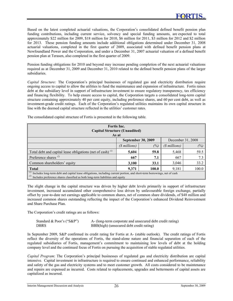Based on the latest completed actuarial valuations, the Corporation's consolidated defined benefit pension plan funding contributions, including current service, solvency and special funding amounts, are expected to total approximately \$22 million for 2009, \$18 million for 2010, \$6 million for 2011, \$3 million for 2012 and \$2 million for 2013. These pension funding amounts include additional obligations determined under December 31, 2008 actuarial valuations, completed in the first quarter of 2009, associated with defined benefit pension plans at Newfoundland Power and the Corporation, and under a December 31, 2007 actuarial valuation of a defined benefit pension plan at Terasen, also completed in the first quarter of 2009.

Pension funding obligations for 2010 and beyond may increase pending completion of the next actuarial valuations required as at December 31, 2009 and December 31, 2010 related to the defined benefit pension plans of the larger subsidiaries.

*Capital Structure:* The Corporation's principal businesses of regulated gas and electricity distribution require ongoing access to capital to allow the utilities to fund the maintenance and expansion of infrastructure. Fortis raises debt at the subsidiary level in support of infrastructure investment to ensure regulatory transparency, tax efficiency and financing flexibility. To help ensure access to capital, the Corporation targets a consolidated long-term capital structure containing approximately 40 per cent equity, including preference shares, and 60 per cent debt, as well as investment-grade credit ratings. Each of the Corporation's regulated utilities maintains its own capital structure in line with the deemed capital structure reflected in the utilities' customer rates.

| Fortis Inc.<br><b>Capital Structure (Unaudited)</b>                                                                                                                                                                     |                                        |      |       |      |  |  |  |  |
|-------------------------------------------------------------------------------------------------------------------------------------------------------------------------------------------------------------------------|----------------------------------------|------|-------|------|--|--|--|--|
|                                                                                                                                                                                                                         | As at                                  |      |       |      |  |  |  |  |
| <b>September 30, 2009</b><br>December 31, 2008                                                                                                                                                                          |                                        |      |       |      |  |  |  |  |
|                                                                                                                                                                                                                         | (%)<br>(\$ millions)<br>$(S$ millions) |      |       |      |  |  |  |  |
| Total debt and capital lease obligations (net of cash) $^{(1)}$                                                                                                                                                         | 5,604                                  | 59.8 | 5,468 | 59.5 |  |  |  |  |
| Preference shares $(2)$                                                                                                                                                                                                 | 667                                    | 7.1  | 667   | 7.3  |  |  |  |  |
| Common shareholders' equity                                                                                                                                                                                             | 3,100                                  | 33.1 | 3,046 | 33.2 |  |  |  |  |
| 100.0<br>9,371<br>100.0<br><b>Total</b><br>9,181                                                                                                                                                                        |                                        |      |       |      |  |  |  |  |
| $(1)$ Includes long-term debt and capital lease obligations, including current portion, and short-term borrowings, net of cash<br>(2)<br>Includes preference shares classified as both long-term liabilities and equity |                                        |      |       |      |  |  |  |  |

The consolidated capital structure of Fortis is presented in the following table.

The slight change in the capital structure was driven by higher debt levels primarily in support of infrastructure investment, increased accumulated other comprehensive loss driven by unfavourable foreign exchange, partially offset by year-to-date net earnings applicable to common shares, net of common share dividends, of \$48 million and increased common shares outstanding reflecting the impact of the Corporation's enhanced Dividend Reinvestment and Share Purchase Plan.

The Corporation's credit ratings are as follows:

| Standard & Poor's ("S&P") | A- (long-term corporate and unsecured debt credit rating) |
|---------------------------|-----------------------------------------------------------|
| <b>DBRS</b>               | BBB(high) (unsecured debt credit rating)                  |

In September 2009, S&P confirmed its credit rating for Fortis at A- (stable outlook). The credit ratings of Fortis reflect the diversity of the operations of Fortis, the stand-alone nature and financial separation of each of the regulated subsidiaries of Fortis, management's commitment to maintaining low levels of debt at the holding company level and the continued focus of Fortis on pursuing the acquisition of stable regulated utilities.

*Capital Program*: The Corporation's principal businesses of regulated gas and electricity distribution are capital intensive. Capital investment in infrastructure is required to ensure continued and enhanced performance, reliability and safety of the gas and electricity systems and to meet customer growth. All costs considered to be maintenance and repairs are expensed as incurred. Costs related to replacements, upgrades and betterments of capital assets are capitalized as incurred.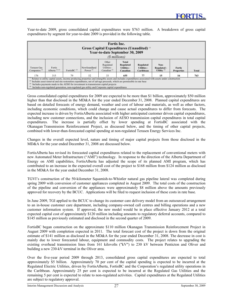Year-to-date 2009, gross consolidated capital expenditures were \$763 million. A breakdown of gross capital expenditures by segment for year-to-date 2009 is provided in the following table.

| <b>Fortis</b> Inc.<br>Gross Capital Expenditures (Unaudited) (1)<br>Year-to-date September 30, 2009<br>(\$ millions)                                                                                                                                                                                                                                                                                                                                                                          |                               |                |                                |                                                        |                                                             |                                              |                                      |                                    |              |
|-----------------------------------------------------------------------------------------------------------------------------------------------------------------------------------------------------------------------------------------------------------------------------------------------------------------------------------------------------------------------------------------------------------------------------------------------------------------------------------------------|-------------------------------|----------------|--------------------------------|--------------------------------------------------------|-------------------------------------------------------------|----------------------------------------------|--------------------------------------|------------------------------------|--------------|
| Terasen Gas<br>Companies $(2)$                                                                                                                                                                                                                                                                                                                                                                                                                                                                | Fortis<br>Alberta $^{(2)(3)}$ | FortisBC $(2)$ | Newfoundland<br>Power $^{(2)}$ | Other<br>Regulated<br>Utilities -<br>Canadian $^{(2)}$ | <b>Total</b><br>Regulated<br><b>Utilities -</b><br>Canadian | Regulated<br><b>Utilities -</b><br>Caribbean | Non-<br>Regulated -<br>Utility $(4)$ | <b>Fortis</b><br><b>Properties</b> | <b>Total</b> |
| 176                                                                                                                                                                                                                                                                                                                                                                                                                                                                                           | 315                           | 79             | 52                             | 33                                                     | 655                                                         | 77                                           | 15                                   | 16                                 | 763          |
| (b) Relates to utility capital assets, income producing properties and intangible assets and includes expenditures associated with assets under construction<br><sup>(2)</sup> Includes asset removal and site restoration expenditures, net of salvage proceeds, which are permissible in rate base<br>Includes payments made to the AESO for investment in transmission capital projects<br>Includes non-regulated generation, non-regulated gas utility and Corporate capital expenditures |                               |                |                                |                                                        |                                                             |                                              |                                      |                                    |              |

Gross consolidated capital expenditures for 2009 are expected to be more than \$1 billion, approximately \$50 million higher than that disclosed in the MD&A for the year ended December 31, 2008. Planned capital expenditures are based on detailed forecasts of energy demand, weather and cost of labour and materials, as well as other factors, including economic conditions, which could change and cause actual expenditures to differ from forecasts. The expected increase is driven by FortisAlberta associated with higher anticipated customer driven capital expenditures, including new customer connections, and the inclusion of AESO transmission capital expenditures in total capital expenditures. The increase is partially offset by lower spending at FortisBC associated with the Okanagan Transmission Reinforcement Project, as discussed below, and the timing of other capital projects, combined with lower-than-forecasted capital spending at non-regulated Terasen Energy Services Inc.

Changes in the overall expected level, nature and timing of major capital projects from those disclosed in the MD&A for the year ended December 31, 2008 are discussed below.

FortisAlberta has revised its forecasted capital expenditures related to the replacement of conventional meters with new Automated Meter Infrastructure ("AMI") technology. In response to the direction of the Alberta Department of Energy on AMI capabilities, FortisAlberta has adjusted the scope of its planned AMI program, which has contributed to an increase in the expected overall cost of the project to \$168 million from \$124 million as disclosed in the MD&A for the year ended December 31, 2008.

TGVI's construction of the 50-kilometer Squamish-to-Whistler natural gas pipeline lateral was completed during spring 2009 with conversion of customer appliances completed in August 2009. The total costs of the construction of the pipeline and conversion of the appliances were approximately \$8 million above the amounts previously approved for recovery by the BCUC. Applications will be filed to request inclusion of these costs in rate base.

In June 2009, TGI applied to the BCUC to change its customer care delivery model from an outsourced arrangement to an in-house customer care department, including company-owned call centres and billing operations and a new customer information system. If approved, the new model would be in place effective January 2012 at a total expected capital cost of approximately \$120 million including amounts to regulatory deferral accounts, compared to \$145 million as previously estimated and disclosed in the second quarter of 2009.

FortisBC began construction on the approximate \$110 million Okanagan Transmission Reinforcement Project in August 2009 with completion expected in 2011. The total forecast cost of the project is down from the original estimate of \$141 million as disclosed in the MD&A for the year ended December 31, 2008. The decrease in cost is mainly due to lower forecasted labour, equipment and commodity costs. The project relates to upgrading the existing overhead transmission lines from 161 kilovolts ("kV") to 230 kV between Penticton and Oliver and building a new 230-kV terminal in the Oliver area.

Over the five-year period 2009 through 2013, consolidated gross capital expenditures are expected to total approximately \$5 billion. Approximately 70 per cent of the capital spending is expected to be incurred at the Regulated Electric Utilities, driven by FortisAlberta, FortisBC and the Corporation's regulated utility operations in the Caribbean. Approximately 25 per cent is expected to be incurred at the Regulated Gas Utilities and the remaining 5 per cent is expected to relate to non-regulated activities. Capital expenditures at the Regulated Utilities are subject to regulatory approval.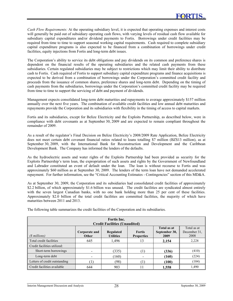*Cash Flow Requirements:* At the operating subsidiary level, it is expected that operating expenses and interest costs will generally be paid out of subsidiary operating cash flows, with varying levels of residual cash flow available for subsidiary capital expenditures and/or dividend payments to Fortis. Borrowings under credit facilities may be required from time to time to support seasonal working capital requirements. Cash required to complete subsidiary capital expenditure programs is also expected to be financed from a combination of borrowings under credit facilities, equity injections from Fortis and long-term debt issues.

The Corporation's ability to service its debt obligations and pay dividends on its common and preference shares is dependent on the financial results of the operating subsidiaries and the related cash payments from these subsidiaries. Certain regulated subsidiaries may be subject to restrictions which may limit their ability to distribute cash to Fortis. Cash required of Fortis to support subsidiary capital expenditure programs and finance acquisitions is expected to be derived from a combination of borrowings under the Corporation's committed credit facility and proceeds from the issuance of common shares, preference shares and long-term debt. Depending on the timing of cash payments from the subsidiaries, borrowings under the Corporation's committed credit facility may be required from time to time to support the servicing of debt and payment of dividends.

Management expects consolidated long-term debt maturities and repayments to average approximately \$157 million annually over the next five years. The combination of available credit facilities and low annual debt maturities and repayments provide the Corporation and its subsidiaries with flexibility in the timing of access to capital markets.

Fortis and its subsidiaries, except for Belize Electricity and the Exploits Partnership, as described below, were in compliance with debt covenants as at September 30, 2009 and are expected to remain compliant throughout the remainder of 2009.

As a result of the regulator's Final Decision on Belize Electricity's 2008/2009 Rate Application, Belize Electricity does not meet certain debt covenant financial ratios related to loans totalling \$7 million (BZ\$13 million), as at September 30, 2009, with the International Bank for Reconstruction and Development and the Caribbean Development Bank. The Company has informed the lenders of the defaults.

As the hydroelectric assets and water rights of the Exploits Partnership had been provided as security for the Exploits Partnership's term loan, the expropriation of such assets and rights by the Government of Newfoundland and Labrador constituted an event of default under the loan. The loan is without recourse to Fortis and was approximately \$60 million as at September 30, 2009. The lenders of the term loan have not demanded accelerated repayment. For further information, see the "Critical Accounting Estimates - Contingencies" section of this MD&A.

As at September 30, 2009, the Corporation and its subsidiaries had consolidated credit facilities of approximately \$2.2 billion, of which approximately \$1.6 billion was unused. The credit facilities are syndicated almost entirely with the seven largest Canadian banks, with no one bank holding more than 25 per cent of these facilities. Approximately \$2.0 billion of the total credit facilities are committed facilities, the majority of which have maturities between 2011 and 2013.

| <b>Fortis</b> Inc.<br><b>Credit Facilities (Unaudited)</b> |                        |                               |                                    |                                      |                                     |  |  |
|------------------------------------------------------------|------------------------|-------------------------------|------------------------------------|--------------------------------------|-------------------------------------|--|--|
| (\$ millions)                                              | Corporate and<br>Other | Regulated<br><b>Utilities</b> | <b>Fortis</b><br><b>Properties</b> | Total as at<br>September 30,<br>2009 | Total as at<br>December 31.<br>2008 |  |  |
| Total credit facilities                                    | 645                    | 1,496                         | 13                                 | 2,154                                | 2,228                               |  |  |
| Credit facilities utilized:                                |                        |                               |                                    |                                      |                                     |  |  |
| Short-term borrowings                                      |                        | (335)                         | T                                  | (336)                                | (410)                               |  |  |
| Long-term debt                                             |                        | (160)                         | $\overline{\phantom{a}}$           | (160)                                | (224)                               |  |  |
| Letters of credit outstanding                              |                        | (98)                          | T                                  | (100)                                | (104)                               |  |  |
| Credit facilities available                                | 644                    | 903                           |                                    | 1,558                                | 1,490                               |  |  |

The following table summarizes the credit facilities of the Corporation and its subsidiaries.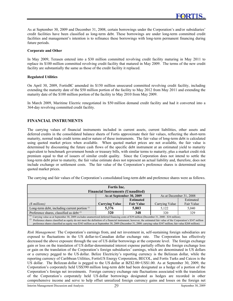As at September 30, 2009 and December 31, 2008, certain borrowings under the Corporation's and/or subsidiaries' credit facilities have been classified as long-term debt. These borrowings are under long-term committed credit facilities and management's intention is to refinance these borrowings with long-term permanent financing during future periods.

### **Corporate and Other**

In May 2009, Terasen entered into a \$30 million committed revolving credit facility maturing in May 2011 to replace its \$100 million committed revolving credit facility that matured in May 2009. The terms of the new credit facility are substantially the same as those of the credit facility it replaced.

### **Regulated Utilities**

On April 30, 2009, FortisBC amended its \$150 million unsecured committed revolving credit facility, including extending the maturity date of the \$50 million portion of the facility to May 2012 from May 2011 and extending the maturity date of the \$100 million portion of the facility to May 2010 from May 2009.

In March 2009, Maritime Electric renegotiated its \$50 million demand credit facility and had it converted into a 364-day revolving committed credit facility.

## **FINANCIAL INSTRUMENTS**

The carrying values of financial instruments included in current assets, current liabilities, other assets and deferred credits in the consolidated balance sheets of Fortis approximate their fair values, reflecting the short-term maturity, normal trade credit terms and/or nature of these instruments. The fair value of long-term debt is calculated using quoted market prices when available. When quoted market prices are not available, the fair value is determined by discounting the future cash flows of the specific debt instrument at an estimated yield to maturity equivalent to benchmark government bonds or treasury bills, with similar terms to maturity, plus a market credit risk premium equal to that of issuers of similar credit quality. Since the Corporation does not intend to settle the long-term debt prior to maturity, the fair value estimate does not represent an actual liability and, therefore, does not include exchange or settlement costs. The fair value of the Corporation's preference shares is determined using quoted market prices.

The carrying and fair values of the Corporation's consolidated long-term debt and preference shares were as follows.

| <b>Fortis</b> Inc.                                                                                                                                                       |                                  |                   |                         |            |  |  |
|--------------------------------------------------------------------------------------------------------------------------------------------------------------------------|----------------------------------|-------------------|-------------------------|------------|--|--|
| <b>Financial Instruments (Unaudited)</b>                                                                                                                                 |                                  |                   |                         |            |  |  |
|                                                                                                                                                                          | As at September 30, 2009         |                   | As at December 31, 2008 |            |  |  |
|                                                                                                                                                                          |                                  | <b>Estimated</b>  |                         | Estimated  |  |  |
| (\$ millions)                                                                                                                                                            | <b>Carrying Value</b>            | <b>Fair Value</b> | Carrying Value          | Fair Value |  |  |
| Long-term debt, including current portion $\binom{n}{k}$                                                                                                                 | 5,803<br>5.376<br>5.122<br>5.040 |                   |                         |            |  |  |
| Preference shares, classified as debt $^{(2)}$                                                                                                                           | 320                              | 348               | 320                     | 329        |  |  |
| <sup>(1)</sup> Carrying value as at September 30, 2009 excludes unamortized deferred financing costs of \$39 million (December 31, 2008 - \$34 million).                 |                                  |                   |                         |            |  |  |
| (2)<br>Preference shares classified as equity do not meet the definition of a financial instrument; however, the estimated fair value of the Corporation's \$347 million |                                  |                   |                         |            |  |  |

preference shares classified as equity was \$343 million as at September 30, 2009 (December 31, 2008: carrying value \$347 million; fair value \$268 million).

*Risk Management:* The Corporation's earnings from, and net investment in, self-sustaining foreign subsidiaries are exposed to fluctuations in the US dollar-to-Canadian dollar exchange rate. The Corporation has effectively decreased the above exposure through the use of US dollar borrowings at the corporate level. The foreign exchange gain or loss on the translation of US dollar-denominated interest expense partially offsets the foreign exchange loss or gain on the translation of the Corporation's foreign subsidiaries' earnings, which are denominated in US dollars or a currency pegged to the US dollar. Belize Electricity's reporting currency is the Belizean dollar, while the reporting currency of Caribbean Utilities, FortisUS Energy Corporation, BECOL, and Fortis Turks and Caicos is the US dollar. The Belizean dollar is pegged to the US dollar at BZ\$2.00=US\$1.00. As at September 30, 2009, the Corporation's corporately held US\$390 million long-term debt had been designated as a hedge of a portion of the Corporation's foreign net investments. Foreign currency exchange rate fluctuations associated with the translation of the Corporation's corporately held US dollar borrowings designated as hedges are recorded in other comprehensive income and serve to help offset unrealized foreign currency gains and losses on the foreign net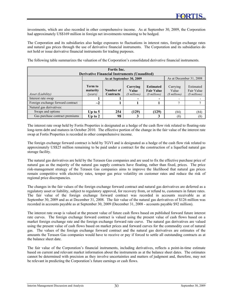investments, which are also recorded in other comprehensive income. As at September 30, 2009, the Corporation had approximately US\$169 million in foreign net investments remaining to be hedged.

The Corporation and its subsidiaries also hedge exposures to fluctuations in interest rates, foreign exchange rates and natural gas prices through the use of derivative financial instruments. The Corporation and its subsidiaries do not hold or issue derivative financial instruments for trading purposes.

The following table summarizes the valuation of the Corporation's consolidated derivative financial instruments.

| Fortis Inc.<br><b>Derivative Financial Instruments (Unaudited)</b> |                                       |                          |                                    |                                                        |                                    |                                          |  |
|--------------------------------------------------------------------|---------------------------------------|--------------------------|------------------------------------|--------------------------------------------------------|------------------------------------|------------------------------------------|--|
|                                                                    |                                       | As at September 30, 2009 | As at December 31, 2008            |                                                        |                                    |                                          |  |
| Asset (Liability)                                                  | <b>Term to</b><br>maturity<br>(vears) | Number of<br>Contracts   | Carrying<br>Value<br>(\$ millions) | <b>Estimated</b><br><b>Fair Value</b><br>(\$ millions) | Carrying<br>Value<br>(\$ millions) | Estimated<br>Fair Value<br>(\$ millions) |  |
| Interest rate swap                                                 |                                       |                          | $\overline{\phantom{0}}$           |                                                        |                                    |                                          |  |
| Foreign exchange forward contract                                  | $\sim$ 2                              |                          |                                    |                                                        |                                    |                                          |  |
| Natural gas derivatives:                                           |                                       |                          |                                    |                                                        |                                    |                                          |  |
| Swaps and options                                                  | Up to $5$                             | 254                      | (129)                              | (129)                                                  | (84)                               | (84)                                     |  |
| Gas purchase contract premiums                                     | Up to $2$                             | 98                       |                                    |                                                        | (8)                                | (8)                                      |  |

The interest rate swap held by Fortis Properties is designated as a hedge of the cash flow risk related to floating-rate long-term debt and matures in October 2010. The effective portion of the change in the fair value of the interest rate swap at Fortis Properties is recorded in other comprehensive income.

The foreign exchange forward contract is held by TGVI and is designated as a hedge of the cash flow risk related to approximately US\$25 million remaining to be paid under a contract for the construction of a liquefied natural gas storage facility.

The natural gas derivatives are held by the Terasen Gas companies and are used to fix the effective purchase price of natural gas as the majority of the natural gas supply contracts have floating, rather than fixed, prices. The price risk-management strategy of the Terasen Gas companies aims to improve the likelihood that natural gas prices remain competitive with electricity rates, temper gas price volatility on customer rates and reduce the risk of regional price discrepancies.

The changes in the fair values of the foreign exchange forward contract and natural gas derivatives are deferred as a regulatory asset or liability, subject to regulatory approval, for recovery from, or refund to, customers in future rates. The fair value of the foreign exchange forward contract was recorded in accounts receivable as at September 30, 2009 and as at December 31, 2008. The fair value of the natural gas derivatives of \$126 million was recorded in accounts payable as at September 30, 2009 (December 31, 2008 - accounts payable \$92 million).

The interest rate swap is valued at the present value of future cash flows based on published forward future interest rate curves. The foreign exchange forward contract is valued using the present value of cash flows based on a market foreign exchange rate and the foreign exchange forward rate curve. The natural gas derivatives are valued using the present value of cash flows based on market prices and forward curves for the commodity cost of natural gas. The values of the foreign exchange forward contract and the natural gas derivatives are estimates of the amounts the Terasen Gas companies would have to receive or pay if forced to settle all outstanding contracts as at the balance sheet date.

The fair value of the Corporation's financial instruments, including derivatives, reflects a point-in-time estimate based on current and relevant market information about the instruments as at the balance sheet dates. The estimates cannot be determined with precision as they involve uncertainties and matters of judgment and, therefore, may not be relevant in predicting the Corporation's future earnings or cash flows.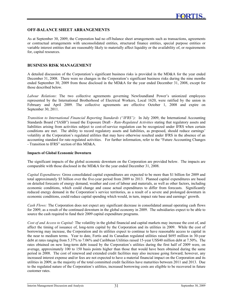# **OFF-BALANCE SHEET ARRANGEMENTS**

As at September 30, 2009, the Corporation had no off-balance sheet arrangements such as transactions, agreements or contractual arrangements with unconsolidated entities, structured finance entities, special purpose entities or variable interest entities that are reasonably likely to materially affect liquidity or the availability of, or requirements for, capital resources.

## **BUSINESS RISK MANAGEMENT**

A detailed discussion of the Corporation's significant business risks is provided in the MD&A for the year ended December 31, 2008. There were no changes in the Corporation's significant business risks during the nine months ended September 30, 2009 from those disclosed in the MD&A for the year ended December 31, 2008, except for those described below.

*Labour Relations*: The two collective agreements governing Newfoundland Power's unionized employees represented by the International Brotherhood of Electrical Workers, Local 1620, were ratified by the union in February and April 2009. The collective agreements are effective October 1, 2008 and expire on September 30, 2011.

*Transition to International Financial Reporting Standards ("IFRS"):* In July 2009, the International Accounting Standards Board ("IASB") issued the Exposure Draft - *Rate-Regulated Activities* stating that regulatory assets and liabilities arising from activities subject to cost-of-service regulation can be recognized under IFRS when certain conditions are met. The ability to record regulatory assets and liabilities, as proposed, should reduce earnings' volatility at the Corporation's regulated utilities that may have otherwise resulted under IFRS in the absence of an accounting standard for rate-regulated activities. For further information, refer to the "Future Accounting Changes - Transition to IFRS" section of this MD&A.

## **Impacts of Global Economic Downturn**

The significant impacts of the global economic downturn on the Corporation are provided below. The impacts are comparable with those disclosed in the MD&A for the year ended December 31, 2008.

*Capital Expenditures:* Gross consolidated capital expenditures are expected to be more than \$1 billion for 2009 and total approximately \$5 billion over the five-year period from 2009 to 2013. Planned capital expenditures are based on detailed forecasts of energy demand, weather and cost of labour and materials, as well as other factors, including economic conditions, which could change and cause actual expenditures to differ from forecasts. Significantly reduced energy demand in the Corporation's service territories, as a result of a severe and prolonged downturn in economic conditions, could reduce capital spending which would, in turn, impact rate base and earnings' growth.

*Cash Flows:* The Corporation does not expect any significant decrease in consolidated annual operating cash flows for 2009, as a result of the continued downturn in the global economy in 2009. The subsidiaries expect to be able to source the cash required to fund their 2009 capital expenditure programs.

*Cost of and Access to Capital:* The volatility in the global financial and capital markets may increase the cost of, and affect the timing of issuance of, long-term capital by the Corporation and its utilities in 2009. While the cost of borrowing may increase, the Corporation and its utilities expect to continue to have reasonable access to capital in the near to medium terms. Year to date, Fortis and its Canadian regulated utilities raised \$695 million in 30-year debt at rates ranging from 5.37% to 7.06% and Caribbean Utilities raised 15-year US\$40 million debt at 7.50%. The rates obtained on new long-term debt issued by the Corporation's utilities during the first half of 2009 were, on average, approximately 100 to 150 basis points higher than those that would have been obtained during the same period in 2008. The cost of renewed and extended credit facilities may also increase going forward; however, any increased interest expense and/or fees are not expected to have a material financial impact on the Corporation and its utilities in 2009, as the majority of the total committed credit facilities have maturities between 2011 and 2013. Due to the regulated nature of the Corporation's utilities, increased borrowing costs are eligible to be recovered in future customer rates.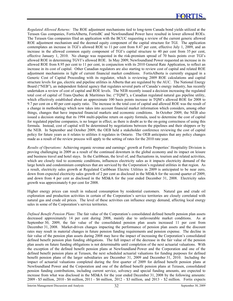*Regulated Allowed Returns:* The ROE adjustment mechanisms tied to long-term Canada bond yields utilized at the Terasen Gas companies, FortisAlberta, FortisBC and Newfoundland Power have resulted in lower allowed ROEs. The Terasen Gas companies filed an application with the BCUC requesting a review of the current generic allowed ROE adjustment mechanism and the deemed equity component of the capital structure for TGI. The application contemplates an increase in TGI's allowed ROE to 11 per cent from 8.47 per cent, effective July 1, 2009, and an increase in the allowed common equity component of TGI's capital structure to 40 per cent from 35 per cent, effective January 1, 2010. No change was requested in the risk-premium spread of 70 basis points over TGI's allowed ROE in determining TGVI's allowed ROE. In May 2009, Newfoundland Power requested an increase in its allowed ROE from 8.95 per cent to 11 per cent, in conjunction with its 2010 General Rate Application, to reflect an increase in its cost of capital. Other Canadian regulators are also starting to review cost of capital and related ROE adjustment mechanisms in light of current financial market conditions. FortisAlberta is currently engaged in a Generic Cost of Capital Proceeding with its regulator, which is reviewing 2009 ROE calculations and capital structure levels for gas, electric and pipeline utilities in Alberta that are regulated by the AUC. The National Energy Board ("NEB"), an independent federal agency that regulates several parts of Canada's energy industry, has recently undertaken a review of cost of capital and ROE levels. The NEB recently issued a decision increasing the regulated total cost of capital of Trans Quebec & Maritimes Inc. ("TQM"), a Canadian regulated natural gas pipeline utility, which effectively established about an approximate 100 basis points increase in TQM's allowed ROE for 2008 to 9.7 per cent on a 40 per cent equity ratio. The increase in the total cost of capital and allowed ROE was the result of a change in methodology which now takes into account financial market information which considers, among other things, changes that have impacted financial markets and economic conditions. In October 2009, the NEB also issued a decision stating that its 1994 multi-pipeline return on equity formula, used to determine the cost of capital for regulated pipeline companies, is no longer in effect, as there is doubt as to the on-going correctness of using this formula. Instead, cost of capital will be determined by negotiations between the pipelines and their shippers or by the NEB. In September and October 2009, the OEB held a stakeholder conference reviewing the cost of capital policy for future years as it relates to utilities it regulates in Ontario. The OEB anticipates that any policy changes made as a result of the review process will apply to the setting of rates for the 2010 rate year.

*Results of Operations:* Achieving organic revenue and earnings' growth at Fortis Properties' Hospitality Division is proving challenging in 2009 as a result of the continued downturn in the global economy and its impact on leisure and business travel and hotel stays. In the Caribbean, the level of, and fluctuations in, tourism and related activities, which are closely tied to economic conditions, influences electricity sales as it impacts electricity demand of the large hotels and condominium complexes that are serviced by the Corporation's regulated utilities in that region. As a result, electricity sales growth at Regulated Caribbean Electric Utilities in 2009 is anticipated to be near zero, down from expected electricity sales growth of 2 per cent as disclosed in the MD&A for the second quarter of 2009, and down from 4 per cent as disclosed in the MD&A for the year ended December 31, 2008. Electricity sales growth was approximately 6 per cent for 2008.

Higher energy prices can result in reduced consumption by residential customers. Natural gas and crude oil exploration and production activities in certain of the Corporation's service territories are closely correlated with natural gas and crude oil prices. The level of these activities can influence energy demand, affecting local energy sales in some of the Corporation's service territories.

*Defined Benefit Pension Plans:* The fair value of the Corporation's consolidated defined benefit pension plan assets decreased approximately 14 per cent during 2008, mainly due to unfavourable market conditions. As at September 30, 2009, the fair value of the consolidated pension plan assets increased 11 per cent from December 31, 2008. Market-driven changes impacting the performance of pension plan assets and the discount rates may result in material changes in future pension funding requirements and pension expense. The decline in fair value of the pension plan assets during 2008 may have the impact of increasing the Corporation's consolidated defined benefit pension plan funding obligations. The full impact of the decrease in the fair value of the pension plan assets on future funding obligations is not determinable until completion of the next actuarial valuations. With the exception of the defined benefit pension plans at Newfoundland Power and the Corporation and one of the defined benefit pension plans at Terasen, the next scheduled actuarial valuations for funding purposes for defined benefit pension plans of the larger subsidiaries are December 31, 2009 and December 31, 2010. Including the impact of actuarial valuations completed during the first quarter of 2009 for defined benefit pension plans at Newfoundland Power and the Corporation and one of the defined benefit pension plans at Terasen, consolidated pension funding contributions, including current service, solvency and special funding amounts, are expected to increase from what was disclosed in the MD&A for the year ended December 31, 2008 by the following amounts: 2009 - \$5 million, 2010 - \$6 million, 2011 - \$6 million, 2012 - \$3 million, and 2013 - \$2 million. Fortis expects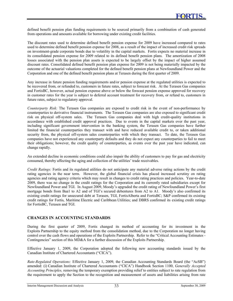defined benefit pension plan funding requirements to be sourced primarily from a combination of cash generated from operations and amounts available for borrowing under existing credit facilities.

The discount rates used to determine defined benefit pension expense for 2009 have increased compared to rates used to determine defined benefit pension expense for 2008, as a result of the impact of increased credit risk spreads on investment-grade corporate bonds due to volatility in the capital markets. Fortis expects no material increase in its consolidated pension expense for 2009 related to its defined benefit pension plans. The amortization of 2008 losses associated with the pension plan assets is expected to be largely offset by the impact of higher assumed discount rates. Consolidated defined benefit pension plan expense for 2009 is not being materially impacted by the outcome of the actuarial valuations completed for the defined benefit pension plans at Newfoundland Power and the Corporation and one of the defined benefit pension plans at Terasen during the first quarter of 2009.

Any increase in future pension funding requirements and/or pension expense at the regulated utilities is expected to be recovered from, or refunded to, customers in future rates, subject to forecast risk. At the Terasen Gas companies and FortisBC, however, actual pension expense above or below the forecast pension expense approved for recovery in customer rates for the year is subject to deferral account treatment for recovery from, or refund to, customers in future rates, subject to regulatory approval.

*Counterparty Risk:* The Terasen Gas companies are exposed to credit risk in the event of non-performance by counterparties to derivative financial instruments. The Terasen Gas companies are also exposed to significant credit risk on physical off-system sales. The Terasen Gas companies deal with high credit-quality institutions in accordance with established credit approval practices. Due to events in the capital markets over the past year, including significant government intervention in the banking system, the Terasen Gas companies have further limited the financial counterparties they transact with and have reduced available credit to, or taken additional security from, the physical off-system sales counterparties with which they transact. To date, the Terasen Gas companies have not experienced any counterparty defaults and they do not expect any counterparties to fail to meet their obligations; however, the credit quality of counterparties, as events over the past year have indicated, can change rapidly.

An extended decline in economic conditions could also impair the ability of customers to pay for gas and electricity consumed, thereby affecting the aging and collection of the utilities' trade receivables.

*Credit Ratings:* Fortis and its regulated utilities do not anticipate any material adverse rating actions by the credit rating agencies in the near term. However, the global financial crisis has placed increased scrutiny on rating agencies and rating agency criteria which may result in changes to credit rating practices and policies. Year-to-date 2009, there was no change in the credit ratings for the Corporation and its currently rated subsidiaries except for Newfoundland Power and TGI. In August 2009, Moody's upgraded the credit rating of Newfoundland Power's first mortgage bonds from Baa1 to A2 and of TGI's secured debentures from A2 to A1. Moody's also confirmed its existing credit ratings for unsecured debt at Terasen, TGI, FortisAlberta and FortisBC; S&P confirmed its existing credit ratings for Fortis, Maritime Electric and Caribbean Utilities; and DBRS confirmed its existing credit ratings for FortisBC, Terasen and TGI.

# **CHANGES IN ACCOUNTING STANDARDS**

During the first quarter of 2009, Fortis changed its method of accounting for its investment in the Exploits Partnership to the equity method from the consolidation method, due to the Corporation no longer having control over the cash flows and operations of the Exploits Partnership. Refer to the "Critical Accounting Estimates -Contingencies" section of this MD&A for a further discussion of the Exploits Partnership.

Effective January 1, 2009, the Corporation adopted the following new accounting standards issued by the Canadian Institute of Chartered Accountants ("CICA").

*Rate-Regulated Operations:* Effective January 1, 2009, the Canadian Accounting Standards Board (the "AcSB") amended: (i) Canadian Institute of Chartered Accountants ("CICA") Handbook Section 1100, *Generally Accepted Accounting Principles,* removing the temporary exemption providing relief to entities subject to rate regulation from the requirement to apply the Section to the recognition and measurement of assets and liabilities arising from rate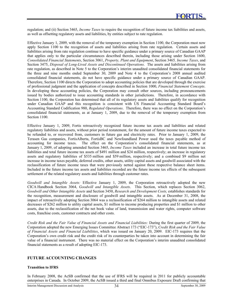regulation; and (ii) Section 3465, *Income Taxes* to require the recognition of future income tax liabilities and assets, as well as offsetting regulatory assets and liabilities, by entities subject to rate regulation.

Effective January 1, 2009, with the removal of the temporary exemption in Section 1100, the Corporation must now apply Section 1100 to the recognition of assets and liabilities arising from rate regulation. Certain assets and liabilities arising from rate regulation continue to have specific guidance under a primary source of Canadian GAAP that applies only to the particular circumstances described therein, including those arising under Section 1600, *Consolidated Financial Statements*, Section 3061, *Property, Plant and Equipment*, Section 3465*, Income Taxes*, and Section 3475, *Disposal of Long-Lived Assets and Discontinued Operations*. The assets and liabilities arising from rate regulation, as described in Note 5 to the Corporation's interim unaudited consolidated financial statements for the three and nine months ended September 30, 2009 and Note 4 to the Corporation's 2008 annual audited consolidated financial statements, do not have specific guidance under a primary source of Canadian GAAP. Therefore, Section 1100 directs the Corporation to adopt accounting policies that are developed through the exercise of professional judgment and the application of concepts described in Section 1000, *Financial Statement Concepts*. In developing these accounting policies, the Corporation may consult other sources, including pronouncements issued by bodies authorized to issue accounting standards in other jurisdictions. Therefore, in accordance with Section 1100, the Corporation has determined that all of its regulatory assets and liabilities qualify for recognition under Canadian GAAP and this recognition is consistent with US Financial Accounting Standard Board's Accounting Standard Codification 980, *Regulated Operations*. Therefore, there was no effect on the Corporation's consolidated financial statements, as at January 1, 2009, due to the removal of the temporary exemption from Section 1100.

Effective January 1, 2009, Fortis retroactively recognized future income tax assets and liabilities and related regulatory liabilities and assets, without prior period restatement, for the amount of future income taxes expected to be refunded to, or recovered from, customers in future gas and electricity rates. Prior to January 1, 2009, the Terasen Gas companies, FortisAlberta, FortisBC and Newfoundland Power used the taxes payable method of accounting for income taxes. The effect on the Corporation's consolidated financial statements, as at January 1, 2009, of adopting amended Section 3465, *Income Taxes* included an increase in total future income tax liabilities and total future income tax assets of \$491 million and \$24 million, respectively; an increase in regulatory assets and regulatory liabilities of \$535 million and \$59 million, respectively; and a combined \$9 million net increase in income taxes payable, deferred credits, other assets, utility capital assets and goodwill associated with the reclassification of future income taxes that were previously netted against these respective balance sheet items. Included in the future income tax assets and liabilities recorded are the future income tax effects of the subsequent settlement of the related regulatory assets and liabilities through customer rates.

*Goodwill and Intangible Assets:* Effective January 1, 2009, the Corporation retroactively adopted the new CICA Handbook Section 3064, *Goodwill and Intangible Assets*. This Section, which replaces Section 3062, *Goodwill and Other Intangible Assets* and Section 3450, *Research and Development Costs,* establishes standards for the recognition, measurement and disclosure of goodwill and intangible assets. As at December 31, 2008, the impact of retroactively adopting Section 3064 was a reclassification of \$264 million to intangible assets and related decreases of \$262 million to utility capital assets, \$1 million to income producing properties and \$1 million to other assets, due to the reclassification of the net book value of land, transmission and water rights, computer software costs, franchise costs, customer contracts and other costs.

*Credit Risk and the Fair Value of Financial Assets and Financial Liabilities:* During the first quarter of 2009, the Corporation adopted the new Emerging Issues Committee Abstract 173 ("EIC-173"), *Credit Risk and the Fair Value of Financial Assets and Financial Liabilities*, which was issued on January 20, 2009. EIC-173 requires that the Corporation's own credit risk and the credit risk of its counterparties be taken into account in determining the fair value of a financial instrument. There was no material effect on the Corporation's interim unaudited consolidated financial statements as a result of adopting EIC-173.

#### **FUTURE ACCOUNTING CHANGES**

#### **Transition to IFRS**

In February 2008, the AcSB confirmed that the use of IFRS will be required in 2011 for publicly accountable enterprises in Canada. In October 2009, the AcSB issued a third and final Omnibus Exposure Draft confirming that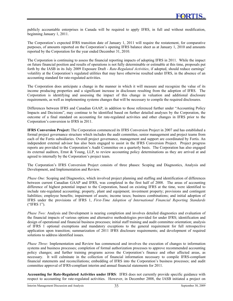publicly accountable enterprises in Canada will be required to apply IFRS, in full and without modification, beginning January 1, 2011.

The Corporation's expected IFRS transition date of January 1, 2011 will require the restatement, for comparative purposes, of amounts reported on the Corporation's opening IFRS balance sheet as at January 1, 2010 and amounts reported by the Corporation for the year ended December 31, 2010.

The Corporation is continuing to assess the financial reporting impacts of adopting IFRS in 2011. While the impact on future financial position and results of operations is not fully determinable or estimable at this time, proposals put forth by the IASB in its July 2009 Exposure Draft - *Rate-Regulated Activities*, if adopted, should reduce earnings' volatility at the Corporation's regulated utilities that may have otherwise resulted under IFRS, in the absence of an accounting standard for rate-regulated activities.

The Corporation does anticipate a change in the manner in which it will measure and recognize the value of its income producing properties and a significant increase in disclosure resulting from the adoption of IFRS. The Corporation is identifying and assessing the impact of this change in valuation and additional disclosure requirements, as well as implementing systems changes that will be necessary to compile the required disclosures.

Differences between IFRS and Canadian GAAP, in addition to those referenced further under "Accounting Policy Impacts and Decisions", may continue to be identified based on further detailed analyses by the Corporation, the outcome of a final standard on accounting for rate-regulated activities and other changes in IFRS prior to the Corporation's conversion to IFRS in 2011.

**IFRS Conversion Project:** The Corporation commenced its IFRS Conversion Project in 2007 and has established a formal project governance structure which includes the audit committee, senior management and project teams from each of the Fortis subsidiaries. Overall project governance, management and support are coordinated by Fortis. An independent external advisor has also been engaged to assist in the IFRS Conversion Project. Project progress reports are provided to the Corporation's Audit Committee on a quarterly basis. The Corporation has also engaged its external auditors, Ernst & Young, LLP, to review accounting policy determinations as they are arrived at and agreed to internally by the Corporation's project team.

The Corporation's IFRS Conversion Project consists of three phases: Scoping and Diagnostics, Analysis and Development, and Implementation and Review.

*Phase One:* Scoping and Diagnostics, which involved project planning and staffing and identification of differences between current Canadian GAAP and IFRS, was completed in the first half of 2008. The areas of accounting difference of highest potential impact to the Corporation, based on existing IFRS at the time, were identified to include rate-regulated accounting; property, plant and equipment; investment property; provisions and contingent liabilities; employee benefits; impairment of assets; income taxes; business combinations; and initial adoption of IFRS under the provisions of IFRS 1, *First-Time Adoption of International Financial Reporting Standards*  ("IFRS 1").

*Phase Two:* Analysis and Development is nearing completion and involves detailed diagnostics and evaluation of the financial impacts of various options and alternative methodologies provided for under IFRS; identification and design of operational and financial business processes; initial staff training and audit committee orientation; analysis of IFRS 1 optional exemptions and mandatory exceptions to the general requirement for full retrospective application upon transition; summarization of 2011 IFRS disclosure requirements; and development of required solutions to address identified issues.

*Phase Three:* Implementation and Review has commenced and involves the execution of changes to information systems and business processes; completion of formal authorization processes to approve recommended accounting policy changes; and further training programs across the Corporation's finance and other affected areas, as necessary. It will culminate in the collection of financial information necessary to compile IFRS-compliant financial statements and reconciliations; embedding of IFRS into the Corporation's business processes; and audit committee approval of IFRS-compliant interim and annual financial statements for 2011.

**Accounting for Rate-Regulated Activities under IFRS**: IFRS does not currently provide specific guidance with respect to accounting for rate-regulated activities. However, in December 2008, the IASB initiated a project on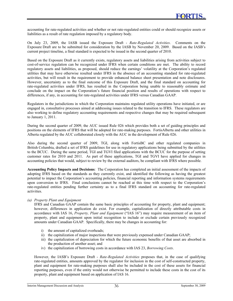accounting for rate-regulated activities and whether or not rate-regulated entities could or should recognize assets or liabilities as a result of rate regulation imposed by a regulatory body.

On July 23, 2009, the IASB issued the Exposure Draft - *Rate-Regulated Activities*. Comments on the Exposure Draft are to be submitted for consideration by the IASB by November 20, 2009. Based on the IASB's current project timeline, a final standard is expected to be issued in the second quarter of 2010.

Based on the Exposure Draft as it currently exists, regulatory assets and liabilities arising from activities subject to cost-of-service regulation can be recognized under IFRS when certain conditions are met. The ability to record regulatory assets and liabilities, as proposed, should reduce the earnings' volatility at the Corporation's regulated utilities that may have otherwise resulted under IFRS in the absence of an accounting standard for rate-regulated activities, but will result in the requirement to provide enhanced balance sheet presentation and note disclosures. However, uncertainty as to the final outcome of this Exposure Draft, and the final standard on accounting for rate-regulated activities under IFRS, has resulted in the Corporation being unable to reasonably estimate and conclude on the impact on the Corporation's future financial position and results of operations with respect to differences, if any, in accounting for rate-regulated activities under IFRS versus Canadian GAAP.

Regulators in the jurisdictions in which the Corporation maintains regulated utility operations have initiated, or are engaged in, consultative processes aimed at addressing issues related to the transition to IFRS. These regulators are also working to define regulatory accounting requirements and respective changes that may be required subsequent to January 1, 2011.

During the second quarter of 2009, the AUC issued Rule 026 which provides both a set of guiding principles and positions on the elements of IFRS that will be adopted for rate-making purposes. FortisAlberta and other utilities in Alberta regulated by the AUC collaborated closely with the AUC in the development of Rule 026.

Also during the second quarter of 2009, TGI, along with FortisBC and other regulated companies in British Columbia, drafted a set of IFRS guidelines for use in regulatory applications being submitted by the utilities to the BCUC. During the same period, TGI and TGVI filed applications with the BCUC for the purpose of setting customer rates for 2010 and 2011. As part of these applications, TGI and TGVI have applied for changes in accounting policies that would, subject to review by the external auditors, be compliant with IFRS where possible.

**Accounting Policy Impacts and Decisions**: The Corporation has completed an initial assessment of the impacts of adopting IFRS based on the standards as they currently exist, and identified the following as having the greatest potential to impact the Corporation's accounting policies, financial reporting and information systems requirements upon conversion to IFRS. Final conclusions cannot be reached at this time with respect to the Corporation's rate-regulated entities pending further certainty as to a final IFRS standard on accounting for rate-regulated activities.

#### *(a) Property Plant and Equipment*

IFRS and Canadian GAAP contain the same basic principles of accounting for property, plant and equipment; however, differences in application do exist. For example, capitalization of directly attributable costs in accordance with IAS 16, *Property, Plant and Equipment* ("IAS 16") may require measurement of an item of property, plant and equipment upon initial recognition to include or exclude certain previously recognized amounts under Canadian GAAP. Specifically, there may be changes in accounting for:

- i) the amount of capitalized overheads;
- ii) the capitalization of major inspections that were previously expensed under Canadian GAAP;
- iii) the capitalization of depreciation for which the future economic benefits of that asset are absorbed in the production of another asset; and
- iv) the capitalization of borrowing costs in accordance with IAS 23, *Borrowing Costs*.

However, the IASB's Exposure Draft - *Rate-Regulated Activities* proposes that, in the case of qualifying rate-regulated entities, amounts approved by the regulator for inclusion in the cost of self-constructed property, plant and equipment for rate-making purposes shall also be included in the cost of these assets for financial reporting purposes, even if the entity would not otherwise be permitted to include these costs in the cost of its property, plant and equipment based on application of IAS 16.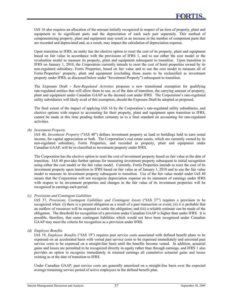IAS 16 also requires an allocation of the amount initially recognized in respect of an item of property, plant and equipment to its significant parts and the depreciation of each such part separately. This method of componentizing property, plant and equipment may result in an increase in the number of component parts that are recorded and depreciated and, as a result, may impact the calculation of depreciation expense.

Upon transition to IFRS, an entity has the elective option to reset the cost of its property, plant and equipment based on fair value in accordance with the provisions of IFRS 1, and to use either the cost model or the revaluation model to measure its property, plant and equipment subsequent to transition. Upon transition to IFRS on January 1, 2010, the Corporation currently intends to reset the cost of hotel properties owned by its non-regulated subsidiary, Fortis Properties, based on fair value and to use the cost model to measure all of Fortis Properties' property, plant and equipment (excluding those assets to be reclassified as investment property under IFRS, as discussed below under "Investment Property") subsequent to transition.

The Exposure Draft - *Rate-Regulated Activities* proposes a new transitional exemption for qualifying rate-regulated entities that will allow them to use, as of the date of transition, the carrying amount of property, plant and equipment under Canadian GAAP as the deemed cost under IFRS. The Corporation's rate-regulated utility subsidiaries will likely avail of this exemption, should the Exposure Draft be adopted as proposed.

The final extent of the impact of applying IAS 16 by the Corporation's rate-regulated utility subsidiaries, and elective options with respect to accounting for their property, plant and equipment upon transition to IFRS, cannot be made at this time pending further certainty as to a final standard on accounting for rate-regulated activities.

*(b) Investment Property* 

IAS 40, *Investment Property* ("IAS 40") defines investment property as land or buildings held to earn rental income, for capital appreciation or both. The Corporation's real estate assets, which are currently owned by its non-regulated subsidiary, Fortis Properties, and recorded as property, plant and equipment under Canadian GAAP, will be re-classified as investment property under IFRS.

The Corporation has the elective option to reset the cost of investment property based on fair value at the date of transition. IAS 40 provides further options for measuring investment property subsequent to initial recognition using either the cost model or the fair value model. Currently, Fortis Properties intends to reset the cost of its investment property upon transition to IFRS based on fair value as of January 1, 2010 and to use the fair value model to measure its investment property subsequent to transition. Use of the fair value model under IAS 40 means that the Corporation will not recognize depreciation expense on its statement of earnings under IFRS with respect to its investment properties and changes in the fair value of its investment properties will be recognized in earnings each period.

#### *(c) Provisions and Contingent Liabilities*

IAS 37, *Provisions, Contingent Liabilities and Contingent Assets* ("IAS 37") requires a provision to be recognized when: (i) there is a present obligation as a result of a past transaction or event; (ii) it is probable that an outflow of resources will be required to settle the obligation; and (iii) a reliable estimate can be made of the obligation. The threshold for recognition of a provision under Canadian GAAP is higher than under IFRS. It is possible, therefore, that some contingent liabilities which would not have been recognized under Canadian GAAP may meet the criteria for recognition as a provision under IFRS.

*(d) Employee Benefits* 

IAS 19, *Employee Benefits* ("IAS 19") requires past service costs associated with defined benefit plans to be expensed on an accelerated basis with vested past service costs to be expensed immediately and unvested past service costs to be expensed on a straight-line basis until the benefits become vested. In addition, actuarial gains and losses are permitted to be recognized directly in equity rather than through earnings, and IFRS 1 also provides an option to recognize immediately in retained earnings all cumulative actuarial gains and losses existing as at the date of transition to IFRS.

Under Canadian GAAP, past service costs are generally amortized on a straight-line basis over the expected average remaining service period of active employees in the defined benefit plan.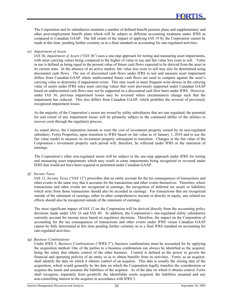The Corporation and its subsidiaries maintain a number of defined benefit pension plans and supplementary and other post-employment benefit plans which will be subject to different accounting treatment under IFRS as compared to Canadian GAAP. The full extent of the impact of applying IAS 19 by the Corporation cannot be made at this time, pending further certainty as to a final standard on accounting for rate-regulated activities.

#### *(e) Impairment of Assets*

IAS 36, *Impairment of Assets* ("IAS 36") uses a one-step approach for testing and measuring asset impairments, with asset carrying values being compared to the higher of value in use and fair value less costs to sell. Value in use is defined as being equal to the present value of future cash flows expected to be derived from the asset in its current state. In the absence of an active market, fair value less costs to sell may also be determined using discounted cash flows. The use of discounted cash flows under IFRS to test and measure asset impairment differs from Canadian GAAP where undiscounted future cash flows are used to compare against the asset's carrying value to determine if impairment exists. This may result in more frequent write-downs in the carrying value of assets under IFRS since asset carrying values that were previously supported under Canadian GAAP based on undiscounted cash flows may not be supported on a discounted cash flow basis under IFRS. However, under IAS 36, previous impairment losses may be reversed where circumstances change such that the impairment has reduced. This also differs from Canadian GAAP, which prohibits the reversal of previously recognized impairment losses.

As the majority of the Corporation's assets are owned by utility subsidiaries that are rate regulated, the potential for and extent of any impairment losses will be primarily subject to the continued ability of the utilities to recover costs through the regulatory process.

As stated above, the Corporation intends to reset the cost of investment property owned by its non-regulated subsidiary, Fortis Properties, upon transition to IFRS based on fair value as of January 1, 2010 and to use the fair value model to measure its investment property subsequent to transition. Changes in the fair value of the Corporation's investment property each period will, therefore, be reflected under IFRS in the statement of earnings.

The Corporation's other non-regulated assets will be subject to the one-step approach under IFRS for testing and measuring asset impairments which may result in some impairments being recognized or reversed under IFRS that would not have been required or permitted under Canadian GAAP.

#### *(f) Income Taxes*

IAS 12, *Income Taxes* ("IAS 12") prescribes that an entity account for the tax consequences of transactions and other events in the same way that it accounts for the transactions and other events themselves. Therefore, where transactions and other events are recognized in earnings, the recognition of deferred tax assets or liabilities which arise from those transactions should also be recorded in earnings. For transactions that are recognized outside of the statement of earnings, either in other comprehensive income or directly in equity, any related tax effects should also be recognized outside of the statement of earnings.

The most significant impact of IAS 12 on the Corporation will be derived directly from the accounting policy decisions made under IAS 16 and IAS 40. In addition, the Corporation's rate-regulated utility subsidiaries currently account for income taxes based on regulatory decisions. Therefore, the impact on the Corporation of accounting for the tax consequences of transactions and other events under IFRS versus Canadian GAAP cannot be fully determined at this time pending further certainty as to a final IFRS standard on accounting for rate-regulated activities.

#### *(g) Business Combinations*

Under IFRS 3, *Business Combinations* ("IFRS 3"), business combinations must be accounted for by applying the acquisition method. One of the parties to a business combination can always be identified as the acquirer, being the entity that obtains control of the other business. Control is defined as the power to govern the financial and operating policies of an entity so as to obtain benefits from its activities. Fortis, as an acquirer, shall identify the date on which it obtains control of an acquiree. This date is usually the closing date of the acquisition, which would generally be the date on which the Corporation legally transfers the consideration or acquires the assets and assumes the liabilities of the acquiree. As of the date on which it obtains control, Fortis shall recognize, separately from goodwill, the identifiable assets acquired, the liabilities assumed and any non-controlling interest in the acquiree in accordance with IFRS 3.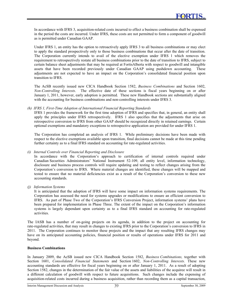In accordance with IFRS 3, acquisition-related costs incurred to effect a business combination shall be expensed in the period the costs are incurred. Under IFRS, these costs are not permitted to form a component of goodwill as is permitted under Canadian GAAP.

Under IFRS 1, an entity has the option to retroactively apply IFRS 3 to all business combinations or may elect to apply the standard prospectively only to those business combinations that occur after the date of transition. The Corporation currently intends to avail of the elective exemption under IFRS 1 which removes the requirement to retrospectively restate all business combinations prior to the date of transition to IFRS, subject to certain balance sheet adjustments that may be required at FortisAlberta with respect to goodwill and intangible assets that have been recorded previously under Canadian GAAP using pushdown accounting. These adjustments are not expected to have an impact on the Corporation's consolidated financial position upon transition to IFRS.

The AcSB recently issued new CICA Handbook Section 1582, *Business Combinations* and Section 1602, *Non-Controlling Interests*. The effective date of these sections is fiscal years beginning on or after January 1, 2011, however, early adoption is permitted. These new Handbook sections are substantially aligned with the accounting for business combinations and non-controlling interests under IFRS 3.

#### *(h) IFRS 1, First-Time Adoption of International Financial Reporting Standards*

IFRS 1 provides the framework for the first time adoption of IFRS and specifies that, in general, an entity shall apply the principles under IFRS retrospectively. IFRS 1 also specifies that the adjustments that arise on retrospective conversion to IFRS from other GAAP should be recognized directly in retained earnings. Certain optional exemptions and mandatory exceptions to retrospective application are provided for under IFRS 1.

The Corporation has completed an analysis of IFRS 1. While preliminary decisions have been made with respect to the elective exemptions available upon transition, final decisions cannot be made at this time pending further certainty as to a final IFRS standard on accounting for rate-regulated activities.

#### *(i) Internal Controls over Financial Reporting and Disclosure*

In accordance with the Corporation's approach to certification of internal controls required under Canadian Securities Administrators' National Instrument 52-109, all entity level, information technology, disclosure and business process controls will require updating and testing to reflect changes arising from the Corporation's conversion to IFRS. Where material changes are identified, these changes will be mapped and tested to ensure that no material deficiencies exist as a result of the Corporation's conversion to these new accounting standards.

*(j) Information Systems* 

It is anticipated that the adoption of IFRS will have some impact on information systems requirements. The Corporation has assessed the need for systems upgrades or modifications to ensure an efficient conversion to IFRS. As part of Phase Two of the Corporation's IFRS Conversion Project, information systems' plans have been prepared for implementation in Phase Three. The extent of the impact on the Corporation's information systems is largely dependant upon certainty as to a final IFRS standard on accounting for rate-regulated activities.

The IASB has a number of on-going projects on its agenda, in addition to the project on accounting for rate-regulated activities, that may result in changes to existing IFRS prior to the Corporation's conversion to IFRS in 2011. The Corporation continues to monitor these projects and the impact that any resulting IFRS changes may have on its anticipated accounting policies, financial position or results of operations under IFRS for 2011 and beyond.

#### **Business Combinations**

In January 2009, the AcSB issued new CICA Handbook Section 1582, *Business Combinations,* together with Section 1601, *Consolidated Financial Statements* and Section 1602, *Non-Controlling Interests.* These new accounting standards are effective for fiscal years beginning on or after January 1, 2011. As a result of adopting Section 1582, changes in the determination of the fair value of the assets and liabilities of the acquiree will result in a different calculation of goodwill with respect to future acquisitions. Such changes include the expensing of acquisition-related costs incurred during a business acquisition, rather than recording them as a capital transaction,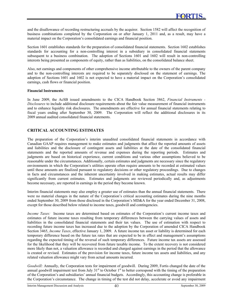and the disallowance of recording restructuring accruals by the acquirer. Section 1582 will affect the recognition of business combinations completed by the Corporation on or after January 1, 2011 and, as a result, may have a material impact on the Corporation's consolidated earnings and financial position.

Section 1601 establishes standards for the preparation of consolidated financial statements. Section 1602 establishes standards for accounting for a non-controlling interest in a subsidiary in consolidated financial statements subsequent to a business combination. The adoption of Sections 1601 and 1602 will result in non-controlling interests being presented as components of equity, rather than as liabilities, on the consolidated balance sheet.

Also, net earnings and components of other comprehensive income attributable to the owners of the parent company and to the non-controlling interests are required to be separately disclosed on the statement of earnings. The adoption of Sections 1601 and 1602 is not expected to have a material impact on the Corporation's consolidated earnings, cash flows or financial position.

#### **Financial Instruments**

In June 2009, the AcSB issued amendments to the CICA Handbook Section 3862, *Financial Instruments - Disclosures* to include additional disclosure requirements about the fair value measurement of financial instruments and to enhance liquidity risk disclosures. The amendments are effective for annual financial statements relating to fiscal years ending after September 30, 2009. The Corporation will reflect the additional disclosures in its 2009 annual audited consolidated financial statements.

#### **CRITICAL ACCOUNTING ESTIMATES**

The preparation of the Corporation's interim unaudited consolidated financial statements in accordance with Canadian GAAP requires management to make estimates and judgments that affect the reported amounts of assets and liabilities and the disclosure of contingent assets and liabilities at the date of the consolidated financial statements and the reported amounts of revenue and expenses during the reporting periods. Estimates and judgments are based on historical experience, current conditions and various other assumptions believed to be reasonable under the circumstances. Additionally, certain estimates and judgments are necessary since the regulatory environments in which the Corporation's utilities operate often require amounts to be recorded at estimated values until these amounts are finalized pursuant to regulatory decisions or other regulatory proceedings. Due to changes in facts and circumstances and the inherent uncertainty involved in making estimates, actual results may differ significantly from current estimates. Estimates and judgments are reviewed periodically and, as adjustments become necessary, are reported in earnings in the period they become known.

Interim financial statements may also employ a greater use of estimates than the annual financial statements. There were no material changes in the nature of the Corporation's critical accounting estimates during the nine months ended September 30, 2009 from those disclosed in the Corporation's MD&A for the year ended December 31, 2008, except for those described below related to income taxes, goodwill and contingencies.

*Income Taxes:* Income taxes are determined based on estimates of the Corporation's current income taxes and estimates of future income taxes resulting from temporary differences between the carrying values of assets and liabilities in the consolidated financial statements and their tax values. The use of estimation with respect to recording future income taxes has increased due to the adoption by the Corporation of amended CICA Handbook Section 3465, *Income Taxes*, effective January 1, 2009. A future income tax asset or liability is determined for each temporary difference based on the future tax rates that are expected to be in effect and management's assumptions regarding the expected timing of the reversal of such temporary differences. Future income tax assets are assessed for the likelihood that they will be recovered from future taxable income. To the extent recovery is not considered more likely than not, a valuation allowance is recorded and charged against earnings in the period that the allowance is created or revised. Estimates of the provision for income taxes, future income tax assets and liabilities, and any related valuation allowance might vary from actual amounts incurred.

*Goodwill:* Annually, the Corporation tests for impairment of goodwill. During 2009, Fortis changed the date of the annual goodwill impairment test from July  $31<sup>st</sup>$  to October  $1<sup>st</sup>$  to better correspond with the timing of the preparation of the Corporation's and subsidiaries' annual financial budgets. Accordingly, this accounting change is preferable in the Corporation's circumstance. The change in timing of the test did not delay, accelerate or avoid any impairment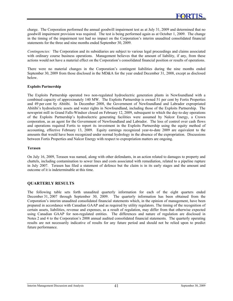charge. The Corporation performed the annual goodwill impairment test as at July 31, 2009 and determined that no goodwill impairment provision was required. The test is being performed again as at October 1, 2009. The change in the timing of the impairment test had no impact on the Corporation's interim unaudited consolidated financial statements for the three and nine months ended September 30, 2009.

*Contingencies:* The Corporation and its subsidiaries are subject to various legal proceedings and claims associated with ordinary course business operations. Management believes that the amount of liability, if any, from these actions would not have a material effect on the Corporation's consolidated financial position or results of operations.

There were no material changes in the Corporation's contingent liabilities during the nine months ended September 30, 2009 from those disclosed in the MD&A for the year ended December 31, 2008, except as disclosed below.

#### **Exploits Partnership**

The Exploits Partnership operated two non-regulated hydroelectric generation plants in Newfoundland with a combined capacity of approximately 140 MW. The Exploits Partnership is owned 51 per cent by Fortis Properties and 49 per cent by Abitibi. In December 2008, the Government of Newfoundland and Labrador expropriated Abitibi's hydroelectric assets and water rights in Newfoundland, including those of the Exploits Partnership. The newsprint mill in Grand Falls-Windsor closed on February 12, 2009, subsequent to which the day-to-day operations of the Exploits Partnership's hydroelectric generating facilities were assumed by Nalcor Energy, a Crown corporation, as an agent for the Government of Newfoundland and Labrador. The loss of control over cash flows and operations required Fortis to report its investment in the Exploits Partnership using the equity method of accounting, effective February 13, 2009. Equity earnings recognized year-to-date 2009 are equivalent to the amounts that would have been recognized under normal hydrology in the absence of the expropriation. Discussions between Fortis Properties and Nalcor Energy with respect to expropriation matters are ongoing.

#### **Terasen**

On July 16, 2009, Terasen was named, along with other defendants, in an action related to damages to property and chattels, including contamination to sewer lines and costs associated with remediation, related to a pipeline rupture in July 2007. Terasen has filed a statement of defence but the claim is in its early stages and the amount and outcome of it is indeterminable at this time.

#### **QUARTERLY RESULTS**

The following table sets forth unaudited quarterly information for each of the eight quarters ended December 31, 2007 through September 30, 2009. The quarterly information has been obtained from the Corporation's interim unaudited consolidated financial statements which, in the opinion of management, have been prepared in accordance with Canadian GAAP and as required by utility regulators. The timing of the recognition of certain assets, liabilities, revenue and expenses, as a result of regulation, may differ from that otherwise expected using Canadian GAAP for non-regulated entities. The differences and nature of regulation are disclosed in Notes 2 and 4 to the Corporation's 2008 annual audited consolidated financial statements. The quarterly operating results are not necessarily indicative of results for any future period and should not be relied upon to predict future performance.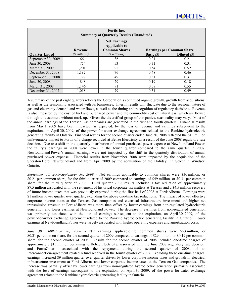| <b>Fortis</b> Inc.<br><b>Summary of Quarterly Results (Unaudited)</b> |                |                                                                     |                    |                                  |  |  |  |  |  |
|-----------------------------------------------------------------------|----------------|---------------------------------------------------------------------|--------------------|----------------------------------|--|--|--|--|--|
|                                                                       | <b>Revenue</b> | <b>Net Earnings</b><br><b>Applicable to</b><br><b>Common Shares</b> |                    | <b>Earnings per Common Share</b> |  |  |  |  |  |
| <b>Ouarter Ended</b>                                                  | (\$ millions)  | (\$ millions)                                                       | <b>Basic</b> $(S)$ | Diluted $(S)$                    |  |  |  |  |  |
| September 30, 2009                                                    | 664            | 36                                                                  | 0.21               | 0.21                             |  |  |  |  |  |
| June 30, 2009                                                         | 754            | 53                                                                  | 0.31               | 0.31                             |  |  |  |  |  |
| March 31, 2009                                                        | 1,201          | 92                                                                  | 0.54               | 0.52                             |  |  |  |  |  |
| December 31, 2008                                                     | 1,182          | 76                                                                  | 0.48               | 0.46                             |  |  |  |  |  |
| September 30, 2008                                                    | 727            | 49                                                                  | 0.31               | 0.31                             |  |  |  |  |  |
| June 30, 2008                                                         | 848            | 29                                                                  | 0.19               | 0.18                             |  |  |  |  |  |
| March 31, 2008                                                        | 1,146          | 91                                                                  | 0.58               | 0.55                             |  |  |  |  |  |
| December 31, 2007                                                     | 1,018          | 79                                                                  | 0.51               | 0.49                             |  |  |  |  |  |

A summary of the past eight quarters reflects the Corporation's continued organic growth, growth from acquisitions, as well as the seasonality associated with its businesses. Interim results will fluctuate due to the seasonal nature of gas and electricity demand and water flows, as well as the timing and recognition of regulatory decisions. Revenue is also impacted by the cost of fuel and purchased power and the commodity cost of natural gas, which are flowed through to customers without mark up. Given the diversified group of companies, seasonality may vary. Most of the annual earnings of the Terasen Gas companies are generated in the first and fourth quarters. Financial results from May 1, 2009 have been impacted, as expected, by the loss of revenue and earnings subsequent to the expiration, on April 30, 2009, of the power-for-water exchange agreement related to the Rankine hydroelectric generating facility in Ontario. Financial results for the second quarter ended June 30, 2008 reflected the \$13 million unfavourable impact to Fortis of a charge recorded at Belize Electricity as a result of the June 2008 regulatory rate decision. Due to a shift in the quarterly distribution of annual purchased power expense at Newfoundland Power, the utility's earnings in 2008 were lower in the fourth quarter compared to the same quarter in 2007. Newfoundland Power's annual earnings were not impacted by the shift in the quarterly distribution of annual purchased power expense. Financial results from November 2008 were impacted by the acquisition of the Sheraton Hotel Newfoundland and from April 2009 by the acquisition of the Holiday Inn Select in Windsor, Ontario.

*September 30, 2009/September 30, 2008 -* Net earnings applicable to common shares were \$36 million, or \$0.21 per common share, for the third quarter of 2009 compared to earnings of \$49 million, or \$0.31 per common share, for the third quarter of 2008. Third quarter 2008 results included a tax reduction of approximately \$7.5 million associated with the settlement of historical corporate tax matters at Terasen and a \$4.5 million recovery of future income taxes that was previously expensed during the first half of 2008 at FortisAlberta. Earnings were \$1 million lower quarter over quarter, excluding the above one-time tax reductions. The impact of lower effective corporate income taxes at the Terasen Gas companies and electrical infrastructure investment and higher net transmission revenue at FortisAlberta was more than offset by lower earnings from non-regulated hydroelectric generation and lower earnings at Newfoundland Power. The decrease in earnings from non-regulated generation was primarily associated with the loss of earnings subsequent to the expiration, on April 30, 2009, of the power-for-water exchange agreement related to the Rankine hydroelectric generating facility in Ontario. Lower earnings at Newfoundland Power were largely associated with higher operating expenses and amortization costs.

*June 30, 2009/June 30, 2008* - Net earnings applicable to common shares were \$53 million, or \$0.31 per common share, for the second quarter of 2009 compared to earnings of \$29 million, or \$0.19 per common share, for the second quarter of 2008. Results for the second quarter of 2008 included one-time charges of approximately \$15 million pertaining to Belize Electricity, associated with the June 2008 regulatory rate decision, and FortisOntario, associated with the repayment, during the second quarter of 2008, of an interconnection-agreement related refund received in the fourth quarter of 2007. Excluding these one-time charges, earnings increased \$9 million quarter over quarter driven by lower corporate income taxes and growth in electrical infrastructure investment at FortisAlberta, and lower corporate income taxes at the Terasen Gas companies. The increase was partially offset by lower earnings from non-regulated hydroelectric generation primarily associated with the loss of earnings subsequent to the expiration, on April 30, 2009, of the power-for-water exchange agreement related to the Rankine hydroelectric generating facility in Ontario.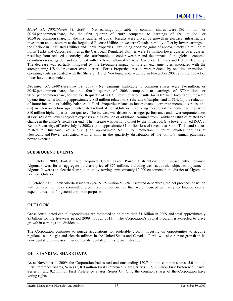*March 31, 2009/March 31, 2008 -* Net earnings applicable to common shares were \$92 million, or \$0.54 per common share, for the first quarter of 2009 compared to earnings of \$91 million, or \$0.58 per common share, for the first quarter of 2008. Results were driven by growth in electrical infrastructure investment and customers at the Regulated Electric Utilities in western Canada, partially offset by lower earnings at the Caribbean Regulated Utilities and Fortis Properties. Excluding one-time gains of approximately \$2 million at Fortis Turks and Caicos, earnings at the Caribbean Regulated Utilities were \$3 million lower quarter over quarter, resulting from reduced electricity sales attributable to cooler weather and the impact of the global economic downturn on energy demand combined with the lower allowed ROAs at Caribbean Utilities and Belize Electricity. The decrease was partially mitigated by the favourable impact of foreign exchange rates associated with the strengthening US dollar quarter over quarter. Fortis Properties' results were reduced by one-time transitional operating costs associated with the Sheraton Hotel Newfoundland, acquired in November 2008, and the impact of lower hotel occupancies.

*December 31, 2008/December 31, 2007 -* Net earnings applicable to common shares were \$76 million, or \$0.48 per common share, for the fourth quarter of 2008 compared to earnings of \$79 million, or \$0.51 per common share, for the fourth quarter of 2007. Fourth quarter results for 2007 were favourably impacted by one-time items totalling approximately \$13 million related to: (i) the sale of surplus land at TGI; (ii) the reduction of future income tax liability balances at Fortis Properties related to lower enacted corporate income tax rates; and (iii) an interconnection agreement-related refund at FortisOntario. Excluding these one-time items, earnings were \$10 million higher quarter over quarter. The increase was driven by stronger performance and lower corporate taxes at FortisAlberta, lower corporate expenses and \$1 million of additional earnings from Caribbean Utilities related to a change in the utility's fiscal year end. The increase was partially offset by the impact of: (i) a lower allowed ROA at Belize Electricity, effective July 1, 2008; (ii) an approximate \$1 million loss of revenue at Fortis Turks and Caicos related to Hurricane Ike; and (iii) an approximate \$2 million reduction in fourth quarter earnings at Newfoundland Power associated with a shift in the quarterly distribution of the utility's annual purchased power expense.

#### **SUBSEQUENT EVENTS**

In October 2009, FortisOntario acquired Great Lakes Power Distribution Inc., subsequently renamed Algoma Power, for an aggregate purchase price of \$75 million, including cash acquired, subject to adjustment. Algoma Power is an electric distribution utility serving approximately 12,000 customers in the district of Algoma in northern Ontario.

In October 2009, FortisAlberta issued 30-year \$125 million 5.37% unsecured debentures, the net proceeds of which will be used to repay committed credit facility borrowings that were incurred primarily to finance capital expenditures, and for general corporate purposes.

#### **OUTLOOK**

Gross consolidated capital expenditures are estimated to be more than \$1 billion in 2009 and total approximately \$5 billion for the five-year period 2009 through 2013. The Corporation's capital program is expected to drive growth in earnings and dividends.

The Corporation continues to pursue acquisitions for profitable growth, focusing on opportunities to acquire regulated natural gas and electric utilities in the United States and Canada. Fortis will also pursue growth in its non-regulated businesses in support of its regulated utility growth strategy.

#### **OUTSTANDING SHARE DATA**

As at November 4, 2009, the Corporation had issued and outstanding 170.7 million common shares; 5.0 million First Preference Shares, Series C; 8.0 million First Preference Shares, Series E; 5.0 million First Preference Shares, Series F; and 9.2 million First Preference Shares, Series G. Only the common shares of the Corporation have voting rights.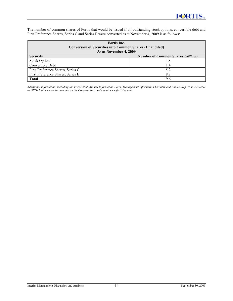The number of common shares of Fortis that would be issued if all outstanding stock options, convertible debt and First Preference Shares, Series C and Series E were converted as at November 4, 2009 is as follows:

| Fortis Inc.<br><b>Conversion of Securities into Common Shares (Unaudited)</b><br>As at November 4, 2009 |                                           |  |  |  |  |  |
|---------------------------------------------------------------------------------------------------------|-------------------------------------------|--|--|--|--|--|
| <b>Security</b>                                                                                         | <b>Number of Common Shares (millions)</b> |  |  |  |  |  |
| <b>Stock Options</b>                                                                                    | 4.8                                       |  |  |  |  |  |
| Convertible Debt                                                                                        | -4                                        |  |  |  |  |  |
| First Preference Shares, Series C                                                                       | 5.2                                       |  |  |  |  |  |
| First Preference Shares, Series E                                                                       | 8.2                                       |  |  |  |  |  |
| <b>Total</b>                                                                                            | 19.6                                      |  |  |  |  |  |

*Additional information, including the Fortis 2008 Annual Information Form, Management Information Circular and Annual Report, is available on SEDAR at [www.sedar.com an](http://www.sedar.com)d on the Corporation's website at [www.fortisinc.com.](http://www.fortisinc.com)*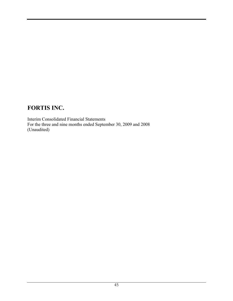Interim Consolidated Financial Statements For the three and nine months ended September 30, 2009 and 2008 (Unaudited)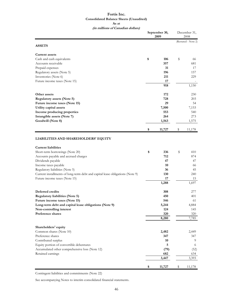#### **Fortis Inc. Consolidated Balance Sheets (Unaudited) As at**

**(in millions of Canadian dollars)**

|                                                                               | September 30,<br>2009 |              |    | December 31,<br>2008 |  |  |
|-------------------------------------------------------------------------------|-----------------------|--------------|----|----------------------|--|--|
| <b>ASSETS</b>                                                                 |                       |              |    | (Restated - Note 2)  |  |  |
| <b>Current assets</b>                                                         |                       |              |    |                      |  |  |
| Cash and cash equivalents                                                     | \$                    | 106          | \$ | 66                   |  |  |
| Accounts receivable                                                           |                       | 357          |    | 681                  |  |  |
| Prepaid expenses                                                              |                       | 31           |    | 17                   |  |  |
| Regulatory assets (Note 5)                                                    |                       | 196          |    | 157                  |  |  |
| Inventories (Note 6)                                                          |                       | 211          |    | 229                  |  |  |
| Future income taxes (Note 15)                                                 |                       | 17           |    |                      |  |  |
|                                                                               |                       | 918          |    | 1,150                |  |  |
| Other assets                                                                  |                       | 172          |    | 230                  |  |  |
| <b>Regulatory assets (Note 5)</b>                                             |                       | 728          |    | 203                  |  |  |
| Future income taxes (Note 15)                                                 |                       | 29           |    | 54                   |  |  |
| Utility capital assets                                                        |                       | 7,500        |    | 7,153                |  |  |
| Income producing properties                                                   |                       | 553          |    | 540                  |  |  |
| Intangible assets (Note 7)                                                    |                       | 264          |    | 273                  |  |  |
| Goodwill (Note 8)                                                             |                       | 1,563        |    | 1,575                |  |  |
|                                                                               | \$                    | 11,727       | \$ | 11,178               |  |  |
| LIABILITIES AND SHAREHOLDERS' EQUITY                                          |                       |              |    |                      |  |  |
| <b>Current liabilities</b>                                                    |                       |              |    |                      |  |  |
| Short-term borrowings (Note 20)                                               | \$                    | 336          | \$ | 410                  |  |  |
| Accounts payable and accrued charges                                          |                       | 712          |    | 874                  |  |  |
| Dividends payable                                                             |                       | 47           |    | 47                   |  |  |
| Income taxes payable                                                          |                       | 10           |    | 66                   |  |  |
| Regulatory liabilities (Note 5)                                               |                       | 36           |    | 45                   |  |  |
| Current installments of long-term debt and capital lease obligations (Note 9) |                       | 130          |    | 240                  |  |  |
| Future income taxes (Note 15)                                                 |                       | 17           |    | 15                   |  |  |
|                                                                               |                       | 1,288        |    | 1,697                |  |  |
| Deferred credits                                                              |                       | 308          |    | 277                  |  |  |
| <b>Regulatory liabilities (Note 5)</b>                                        |                       | 450          |    | 401                  |  |  |
| Future income taxes (Note 15)                                                 |                       | 546          |    | 61                   |  |  |
| Long-term debt and capital lease obligations (Note 9)                         |                       | 5,244        |    | 4,884                |  |  |
| Non-controlling interest                                                      |                       | 124          |    | 145                  |  |  |
| Preference shares                                                             |                       | 320          |    | 320                  |  |  |
|                                                                               |                       | 8,280        |    | 7,785                |  |  |
| Shareholders' equity                                                          |                       |              |    |                      |  |  |
| Common shares (Note 10)                                                       |                       | 2,482        |    | 2,449                |  |  |
| Preference shares                                                             |                       | 347          |    | 347                  |  |  |
| Contributed surplus                                                           |                       | 10           |    | 9                    |  |  |
| Equity portion of convertible debentures                                      |                       | 5            |    | 6                    |  |  |
| Accumulated other comprehensive loss (Note 12)                                |                       | (79)         |    | (52)                 |  |  |
| Retained earnings                                                             |                       | 682<br>3,447 |    | 634<br>3,393         |  |  |
|                                                                               |                       |              |    |                      |  |  |
|                                                                               | \$                    | 11,727       | \$ | 11,178               |  |  |

Contingent liabilities and commitments (Note 22)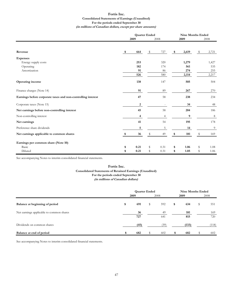#### **Fortis Inc. Consolidated Statements of Earnings (Unaudited) For the periods ended September 30 (in millions of Canadian dollars, except per share amounts)**

|                                                              |      | 2009         | <b>Quarter Ended</b><br>2008 |                | <b>Nine Months Ended</b><br>2009 |       |      | 2008           |
|--------------------------------------------------------------|------|--------------|------------------------------|----------------|----------------------------------|-------|------|----------------|
|                                                              |      |              |                              |                |                                  |       |      |                |
| Revenue                                                      | - \$ | 664          | -S                           | 727            | \$                               | 2,619 | - \$ | 2,721          |
| <b>Expenses</b>                                              |      |              |                              |                |                                  |       |      |                |
| Energy supply costs                                          |      | 253          |                              | 320            |                                  | 1,279 |      | 1,427          |
| Operating                                                    |      | 182          |                              | 174            |                                  | 561   |      | 535            |
| Amortization                                                 |      | 91           |                              | 86             |                                  | 274   |      | 255            |
|                                                              |      | 526          |                              | 580            |                                  | 2,114 |      | 2,217          |
| <b>Operating income</b>                                      |      | 138          |                              | 147            |                                  | 505   |      | 504            |
| Finance charges (Note 14)                                    |      | 91           |                              | 89             |                                  | 267   |      | 270            |
| Earnings before corporate taxes and non-controlling interest |      | 47           |                              | 58             |                                  | 238   |      | 234            |
| Corporate taxes (Note 15)                                    |      | $\mathbf{2}$ |                              |                |                                  | 34    |      | 48             |
| Net earnings before non-controlling interest                 |      | 45           |                              | 58             |                                  | 204   |      | 186            |
| Non-controlling interest                                     |      | 4            |                              | $\overline{4}$ |                                  | 9     |      | $\,$ 8 $\,$    |
| Net earnings                                                 |      | 41           |                              | 54             |                                  | 195   |      | 178            |
| Preference share dividends                                   |      | 5            |                              | 5              |                                  | 14    |      | $\overline{9}$ |
| Net earnings applicable to common shares                     | -\$  | 36           | $\mathbb{S}$                 | 49             | \$                               | 181   | $\,$ | 169            |
| Earnings per common share (Note 10)                          |      |              |                              |                |                                  |       |      |                |
| Basic                                                        | \$   | 0.21         | \$                           | 0.31           | \$                               | 1.06  | \$   | 1.08           |
| Diluted                                                      | \$   | 0.21         | S                            | 0.31           | \$                               | 1.05  | S    | 1.06           |

See accompanying Notes to interim consolidated financial statements.

#### **(in millions of Canadian dollars) Consolidated Statements of Retained Earnings (Unaudited) For the periods ended September 30 Fortis Inc.**

|                                          | <b>Quarter Ended</b> |           |    | <b>Nine Months Ended</b> |    |            |    |            |
|------------------------------------------|----------------------|-----------|----|--------------------------|----|------------|----|------------|
|                                          |                      | 2009      |    | 2008                     |    | 2009       |    | 2008       |
| Balance at beginning of period           | \$                   | 691       | \$ | 592                      | \$ | 634        | \$ | 551        |
| Net earnings applicable to common shares |                      | 36<br>727 |    | 49<br>641                |    | 181<br>815 |    | 169<br>720 |
| Dividends on common shares               |                      | (45)      |    | (39)                     |    | (133)      |    | (118)      |
| Balance at end of period                 |                      | 682       |    | 602                      |    | 682        |    | 602        |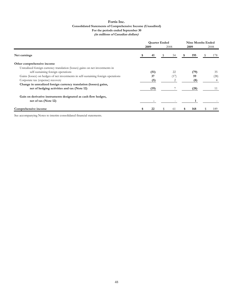#### **Fortis Inc. Consolidated Statements of Comprehensive Income (Unaudited) (in millions of Canadian dollars) For the periods ended September 30**

|                                                                                   | <b>Quarter Ended</b> |      |   | <b>Nine Months Ended</b> |    |      |  |      |
|-----------------------------------------------------------------------------------|----------------------|------|---|--------------------------|----|------|--|------|
|                                                                                   |                      | 2009 |   | 2008                     |    | 2009 |  | 2008 |
| Net earnings                                                                      |                      | 41   |   | 54                       |    | 195  |  | 178  |
| Other comprehensive income                                                        |                      |      |   |                          |    |      |  |      |
| Unrealized foreign currency translation (losses) gains on net investments in      |                      |      |   |                          |    |      |  |      |
| self-sustaining foreign operations                                                |                      | (51) |   | 22                       |    | (79) |  | 35   |
| Gains (losses) on hedges of net investments in self-sustaining foreign operations |                      | 37   |   | (17)                     |    | 59   |  | (28) |
| Corporate tax (expense) recovery                                                  |                      | (5)  |   |                          |    | (8)  |  |      |
| Change in unrealized foreign currency translation (losses) gains,                 |                      |      |   |                          |    |      |  |      |
| net of hedging activities and tax (Note 12)                                       |                      | (19) |   |                          |    | (28) |  | 11   |
| Gain on derivative instruments designated as cash flow hedges,                    |                      |      |   |                          |    |      |  |      |
| net of tax (Note 12)                                                              |                      |      |   |                          |    |      |  |      |
| Comprehensive income                                                              |                      |      | S | 61                       | Ъ. | 168  |  | 189  |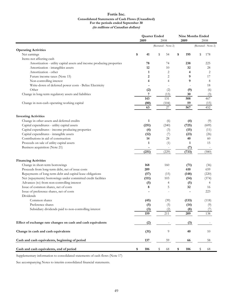#### **Fortis Inc. Consolidated Statements of Cash Flows (Unaudited) For the periods ended September 30 (in millions of Canadian dollars)**

|                                                                       | <b>Quarter Ended</b> |    | <b>Nine Months Ended</b> |    |       |    |                     |
|-----------------------------------------------------------------------|----------------------|----|--------------------------|----|-------|----|---------------------|
|                                                                       | 2009                 |    | 2008                     |    | 2009  |    | 2008                |
|                                                                       |                      |    | (Restated - Note 2)      |    |       |    | (Restated - Note 2) |
| <b>Operating Activities</b>                                           |                      |    |                          |    |       |    |                     |
| Net earnings                                                          | \$<br>41             | \$ | 54                       | \$ | 195   | \$ | 178                 |
| Items not affecting cash                                              |                      |    |                          |    |       |    |                     |
| Amortization - utility capital assets and income producing properties | 78                   |    | 74                       |    | 238   |    | 225                 |
| Amortization - intangibles assets                                     | 12                   |    | 10                       |    | 32    |    | 28                  |
| Amortization - other                                                  | 1                    |    | $\overline{2}$           |    | 4     |    | 2                   |
| Future income taxes (Note 15)                                         | 2                    |    | $\overline{2}$           |    | 9     |    | 17                  |
| Non-controlling interest                                              | 4                    |    | $\overline{4}$           |    | 9     |    | 8                   |
| Write-down of deferred power costs - Belize Electricity               |                      |    |                          |    |       |    | 18                  |
| Other                                                                 | (2)                  |    | (2)                      |    | (9)   |    | (6)                 |
| Change in long-term regulatory assets and liabilities                 | 7                    |    | (13)                     |    | 30    |    | (3)                 |
|                                                                       | 143                  |    | 131                      |    | 508   |    | 467                 |
| Change in non-cash operating working capital                          | (80)                 |    | (104)                    |    | 59    |    | (15)                |
|                                                                       | 63                   |    | $27\,$                   |    | 567   |    | 452                 |
| <b>Investing Activities</b>                                           |                      |    |                          |    |       |    |                     |
| Change in other assets and deferred credits                           | $\mathbf{1}$         |    | (6)                      |    | (4)   |    | (9)                 |
| Capital expenditures - utility capital assets                         | (251)                |    | (240)                    |    | (725) |    | (609)               |
| Capital expenditures - income producing properties                    | (4)                  |    | (3)                      |    | (15)  |    | (11)                |
| Capital expenditures - intangible assets                              | (12)                 |    | (7)                      |    | (23)  |    | (26)                |
| Contributions in aid of construction                                  | 14                   |    | 28                       |    | 40    |    | 60                  |
| Proceeds on sale of utility capital assets                            | 1                    |    | (1)                      |    | 1     |    | 15                  |
| Business acquisition (Note 21)                                        | $\blacksquare$       |    | $\overline{\phantom{a}}$ |    | (7)   |    |                     |
|                                                                       | (251)                |    | (229)                    |    | (733) |    | (580)               |
|                                                                       |                      |    |                          |    |       |    |                     |
| <b>Financing Activities</b>                                           |                      |    |                          |    |       |    |                     |
| Change in short-term borrowings                                       | 168                  |    | 160                      |    | (71)  |    | (36)                |
| Proceeds from long-term debt, net of issue costs                      | 209                  |    |                          |    | 610   |    | 659                 |
| Repayments of long-term debt and capital lease obligations            | (57)                 |    | (15)                     |    | (148) |    | (220)               |
| Net (repayments) borrowings under committed credit facilities         | (111)                |    | 103                      |    | (54)  |    | (374)               |
| Advances (to) from non-controlling interest                           | (5)                  |    | 4                        |    | (5)   |    | 4                   |
| Issue of common shares, net of costs                                  | 8                    |    | 5                        |    | 32    |    | 16                  |
| Issue of preference shares, net of costs                              |                      |    |                          |    |       |    | 223                 |
| Dividends                                                             |                      |    |                          |    |       |    |                     |
| Common shares                                                         | (45)                 |    | (39)                     |    | (133) |    | (118)               |
| Preference shares                                                     | (5)                  |    | (5)                      |    | (14)  |    | (9)                 |
| Subsidiary dividends paid to non-controlling interest                 | (3)                  |    | (2)                      |    | (8)   |    | (7)                 |
|                                                                       | 159                  |    | 211                      |    | 209   |    | 138                 |
|                                                                       |                      |    |                          |    |       |    |                     |
| Effect of exchange rate changes on cash and cash equivalents          | (2)                  |    |                          |    | (3)   |    |                     |
| Change in cash and cash equivalents                                   | (31)                 |    | 9                        |    | 40    |    | 10                  |
| Cash and cash equivalents, beginning of period                        | 137                  |    | 59                       |    | 66    |    | 58                  |
| Cash and cash equivalents, end of period                              | \$<br>106            | \$ | 68                       | \$ | 106   | \$ | 68                  |

Supplementary information to consolidated statements of cash flows (Note 17)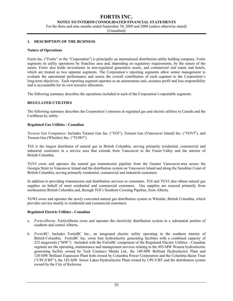#### **NOTES TO INTERIM CONSOLIDATED FINANCIAL STATEMENTS**

For the three and nine months ended September 30, 2009 and 2008 (unless otherwise stated)

(Unaudited)

#### **1. DESCRIPTION OF THE BUSINESS**

#### **Nature of Operations**

Fortis Inc. ("Fortis" or the "Corporation") is principally an international distribution utility holding company. Fortis segments its utility operations by franchise area and, depending on regulatory requirements, by the nature of the assets. Fortis also holds investments in non-regulated generation assets, and commercial real estate and hotels, which are treated as two separate segments. The Corporation's reporting segments allow senior management to evaluate the operational performance and assess the overall contribution of each segment to the Corporation's long-term objectives. Each reporting segment operates as an autonomous unit, assumes profit and loss responsibility and is accountable for its own resource allocation.

The following summary describes the operations included in each of the Corporation's reportable segments.

#### **REGULATED UTILITIES**

The following summary describes the Corporation's interests in regulated gas and electric utilities in Canada and the Caribbean by utility:

#### **Regulated Gas Utilities - Canadian**

*Terasen Gas Companies:* Includes Terasen Gas Inc. ("TGI"), Terasen Gas (Vancouver Island) Inc. ("TGVI"), and Terasen Gas (Whistler) Inc. ("TGWI").

TGI is the largest distributor of natural gas in British Columbia, serving primarily residential, commercial and industrial customers in a service area that extends from Vancouver to the Fraser Valley and the interior of British Columbia.

TGVI owns and operates the natural gas transmission pipeline from the Greater Vancouver area across the Georgia Strait to Vancouver Island and the distribution system on Vancouver Island and along the Sunshine Coast of British Columbia, serving primarily residential, commercial and industrial customers.

In addition to providing transmission and distribution services to customers, TGI and TGVI also obtain natural gas supplies on behalf of most residential and commercial customers. Gas supplies are sourced primarily from northeastern British Columbia and, through TGI's Southern Crossing Pipeline, from Alberta.

TGWI owns and operates the newly converted natural gas distribution system in Whistler, British Columbia, which provides service mainly to residential and commercial customers.

#### **Regulated Electric Utilities - Canadian**

- a. *FortisAlberta:* FortisAlberta owns and operates the electricity distribution system in a substantial portion of southern and central Alberta.
- b. *FortisBC*: Includes FortisBC Inc., an integrated electric utility operating in the southern interior of British Columbia. FortisBC Inc. owns four hydroelectric generating facilities with a combined capacity of 223 megawatts ("MW"). Included with the FortisBC component of the Regulated Electric Utilities - Canadian segment are the operating, maintenance and management services relating to the 493-MW Waneta hydroelectric generating facility owned by Teck Cominco Metals Ltd., the 149-MW Brilliant Hydroelectric Plant and 120-MW Brilliant Expansion Plant both owned by Columbia Power Corporation and the Columbia Basin Trust ("CPC/CBT"), the 185-MW Arrow Lakes Hydroelectric Plant owned by CPC/CBT and the distribution system owned by the City of Kelowna.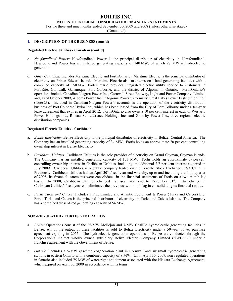**NOTES TO INTERIM CONSOLIDATED FINANCIAL STATEMENTS** 

For the three and nine months ended September 30, 2009 and 2008 (unless otherwise stated)

(Unaudited)

#### **1. DESCRIPTION OF THE BUSINESS (cont'd)**

#### **Regulated Electric Utilities - Canadian (cont'd)**

- c. *Newfoundland Power:* Newfoundland Power is the principal distributor of electricity in Newfoundland. Newfoundland Power has an installed generating capacity of 140 MW, of which 97 MW is hydroelectric generation.
- d. *Other Canadian:* Includes Maritime Electric and FortisOntario. Maritime Electric is the principal distributor of electricity on Prince Edward Island. Maritime Electric also maintains on-Island generating facilities with a combined capacity of 150 MW. FortisOntario provides integrated electric utility service to customers in Fort Erie, Cornwall, Gananoque, Port Colborne, and the district of Algoma in Ontario. FortisOntario's operations include Canadian Niagara Power Inc., Cornwall Street Railway, Light and Power Company, Limited and, as of October 2009, Algoma Power Inc. ("Algoma Power") (formally Great Lakes Power Distribution Inc.) (Note 23). Included in Canadian Niagara Power's accounts is the operation of the electricity distribution business of Port Colborne Hydro Inc., which has been leased from the City of Port Colborne under a ten-year lease agreement that expires in April 2012. FortisOntario also owns a 10 per cent interest in each of Westario Power Holdings Inc., Rideau St. Lawrence Holdings Inc. and Grimsby Power Inc., three regional electric distribution companies.

#### **Regulated Electric Utilities - Caribbean**

- a. *Belize Electricity:* Belize Electricity is the principal distributor of electricity in Belize, Central America. The Company has an installed generating capacity of 34 MW. Fortis holds an approximate 70 per cent controlling ownership interest in Belize Electricity.
- b. *Caribbean Utilities:* Caribbean Utilities is the sole provider of electricity on Grand Cayman, Cayman Islands. The Company has an installed generating capacity of 153 MW. Fortis holds an approximate 59 per cent controlling ownership interest in Caribbean Utilities, including an additional 2.7 per cent interest acquired in July 2009. Caribbean Utilities is a public company traded on the Toronto Stock Exchange (TSX:CUP.U). Previously, Caribbean Utilities had an April 30<sup>th</sup> fiscal year end whereby, up to and including the third quarter of 2008, its financial statements were consolidated in the financial statements of Fortis on a two-month lag basis. In 2008, Caribbean Utilities changed its fiscal year end to December  $31<sup>st</sup>$ . The change in Caribbean Utilities' fiscal year end eliminates the previous two-month lag in consolidating its financial results.
- c. *Fortis Turks and Caicos:* Includes P.P.C. Limited and Atlantic Equipment & Power (Turks and Caicos) Ltd. Fortis Turks and Caicos is the principal distributor of electricity on Turks and Caicos Islands. The Company has a combined diesel-fired generating capacity of 54 MW.

#### **NON-REGULATED - FORTIS GENERATION**

- a. *Belize:* Operations consist of the 25-MW Mollejon and 7-MW Chalillo hydroelectric generating facilities in Belize. All of the output of these facilities is sold to Belize Electricity under a 50-year power purchase agreement expiring in 2055. The hydroelectric generation operations in Belize are conducted through the Corporation's indirect wholly owned subsidiary Belize Electric Company Limited ("BECOL") under a franchise agreement with the Government of Belize.
- b. *Ontario:* Includes a 5-MW gas-fired cogeneration plant in Cornwall and six small hydroelectric generating stations in eastern Ontario with a combined capacity of 8 MW. Until April 30, 2009, non-regulated operations in Ontario also included 75 MW of water-right entitlement associated with the Niagara Exchange Agreement, which expired on April 30, 2009 in accordance with its terms.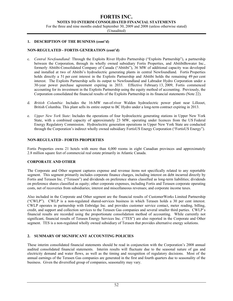**NOTES TO INTERIM CONSOLIDATED FINANCIAL STATEMENTS** 

For the three and nine months ended September 30, 2009 and 2008 (unless otherwise stated)

(Unaudited)

#### **1. DESCRIPTION OF THE BUSINESS (cont'd)**

#### **NON-REGULATED - FORTIS GENERATION (cont'd)**

- c. *Central Newfoundland:* Through the Exploits River Hydro Partnership ("Exploits Partnership"), a partnership between the Corporation, through its wholly owned subsidiary Fortis Properties, and AbitibiBowater Inc., formerly Abitibi-Consolidated Company of Canada ("Abitibi"), 36 MW of additional capacity was developed and installed at two of Abitibi's hydroelectric generating plants in central Newfoundland. Fortis Properties holds directly a 51 per cent interest in the Exploits Partnership and Abitibi holds the remaining 49 per cent interest. The Exploits Partnership sells its output to Newfoundland and Labrador Hydro Corporation under a 30-year power purchase agreement expiring in 2033. Effective February 13, 2009, Fortis commenced accounting for its investment in the Exploits Partnership using the equity method of accounting. Previously, the Corporation consolidated the financial results of the Exploits Partnership in its financial statements (Note 22).
- d. *British Columbia*: Includes the 16-MW run-of-river Walden hydroelectric power plant near Lillooet, British Columbia. This plant sells its entire output to BC Hydro under a long-term contract expiring in 2013.
- e. *Upper New York State*: Includes the operations of four hydroelectric generating stations in Upper New York State, with a combined capacity of approximately 23 MW, operating under licences from the US Federal Energy Regulatory Commission. Hydroelectric generation operations in Upper New York State are conducted through the Corporation's indirect wholly owned subsidiary FortisUS Energy Corporation ("FortisUS Energy").

#### **NON-REGULATED - FORTIS PROPERTIES**

Fortis Properties owns 21 hotels with more than 4,000 rooms in eight Canadian provinces and approximately 2.8 million square feet of commercial real estate primarily in Atlantic Canada.

#### **CORPORATE AND OTHER**

The Corporate and Other segment captures expense and revenue items not specifically related to any reportable segment. This segment primarily includes corporate finance charges, including interest on debt incurred directly by Fortis and Terasen Inc. ("Terasen") and dividends on preference shares classified as long-term liabilities; dividends on preference shares classified as equity; other corporate expenses, including Fortis and Terasen corporate operating costs, net of recoveries from subsidiaries; interest and miscellaneous revenues; and corporate income taxes.

Also included in the Corporate and Other segment are the financial results of CustomerWorks Limited Partnership ("CWLP"). CWLP is a non-regulated shared-services business in which Terasen holds a 30 per cent interest. CWLP operates in partnership with Enbridge Inc. and provides customer service contact, meter reading, billing, credit, and support and collection services to the Terasen Gas companies and several smaller third parties. CWLP's financial results are recorded using the proportionate consolidation method of accounting. While currently not significant, financial results of Terasen Energy Services Inc. ("TES") are also reported in the Corporate and Other segment. TES is a non-regulated wholly owned subsidiary of Terasen that provides alternative energy solutions.

#### **2. SUMMARY OF SIGNIFICANT ACCOUNTING POLICIES**

These interim consolidated financial statements should be read in conjunction with the Corporation's 2008 annual audited consolidated financial statements. Interim results will fluctuate due to the seasonal nature of gas and electricity demand and water flows, as well as the timing and recognition of regulatory decisions. Most of the annual earnings of the Terasen Gas companies are generated in the first and fourth quarters due to seasonality of the business. Given the diversified group of companies, seasonality may vary.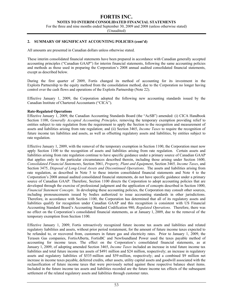**NOTES TO INTERIM CONSOLIDATED FINANCIAL STATEMENTS** 

For the three and nine months ended September 30, 2009 and 2008 (unless otherwise stated)

(Unaudited)

#### **2. SUMMARY OF SIGNIFICANT ACCOUNTING POLICIES (cont'd)**

All amounts are presented in Canadian dollars unless otherwise stated.

These interim consolidated financial statements have been prepared in accordance with Canadian generally accepted accounting principles ("Canadian GAAP") for interim financial statements, following the same accounting policies and methods as those used in preparing the Corporation's 2008 annual audited consolidated financial statements, except as described below.

During the first quarter of 2009, Fortis changed its method of accounting for its investment in the Exploits Partnership to the equity method from the consolidation method, due to the Corporation no longer having control over the cash flows and operations of the Exploits Partnership (Note 22).

Effective January 1, 2009, the Corporation adopted the following new accounting standards issued by the Canadian Institute of Chartered Accountants ("CICA").

#### **Rate-Regulated Operations**

Effective January 1, 2009, the Canadian Accounting Standards Board (the "AcSB") amended: (i) CICA Handbook Section 1100, *Generally Accepted Accounting Principles,* removing the temporary exemption providing relief to entities subject to rate regulation from the requirement to apply the Section to the recognition and measurement of assets and liabilities arising from rate regulation; and (ii) Section 3465, *Income Taxes* to require the recognition of future income tax liabilities and assets, as well as offsetting regulatory assets and liabilities, by entities subject to rate regulation.

Effective January 1, 2009, with the removal of the temporary exemption in Section 1100, the Corporation must now apply Section 1100 to the recognition of assets and liabilities arising from rate regulation. Certain assets and liabilities arising from rate regulation continue to have specific guidance under a primary source of Canadian GAAP that applies only to the particular circumstances described therein, including those arising under Section 1600, *Consolidated Financial Statements*, Section 3061, *Property, Plant and Equipment*, Section 3465*, Income Taxes*, and Section 3475, *Disposal of Long-Lived Assets and Discontinued Operations*. The assets and liabilities arising from rate regulation, as described in Note 5 to these interim consolidated financial statements and Note 4 to the Corporation's 2008 annual audited consolidated financial statements, do not have specific guidance under a primary source of Canadian GAAP. Therefore, Section 1100 directs the Corporation to adopt accounting policies that are developed through the exercise of professional judgment and the application of concepts described in Section 1000, *Financial Statement Concepts*. In developing these accounting policies, the Corporation may consult other sources, including pronouncements issued by bodies authorized to issue accounting standards in other jurisdictions. Therefore, in accordance with Section 1100, the Corporation has determined that all of its regulatory assets and liabilities qualify for recognition under Canadian GAAP and this recognition is consistent with US Financial Accounting Standard Board's Accounting Standard Codification 980, *Regulated Operations*. Therefore, there was no effect on the Corporation's consolidated financial statements, as at January 1, 2009, due to the removal of the temporary exemption from Section 1100.

Effective January 1, 2009, Fortis retroactively recognized future income tax assets and liabilities and related regulatory liabilities and assets, without prior period restatement, for the amount of future income taxes expected to be refunded to, or recovered from, customers in future gas and electricity rates. Prior to January 1, 2009, the Terasen Gas companies, FortisAlberta, FortisBC and Newfoundland Power used the taxes payable method of accounting for income taxes. The effect on the Corporation's consolidated financial statements, as at January 1, 2009, of adopting amended Section 3465, *Income Taxes* included an increase in total future income tax liabilities and total future income tax assets of \$491 million and \$24 million, respectively; an increase in regulatory assets and regulatory liabilities of \$535 million and \$59 million, respectively; and a combined \$9 million net increase in income taxes payable, deferred credits, other assets, utility capital assets and goodwill associated with the reclassification of future income taxes that were previously netted against these respective balance sheet items. Included in the future income tax assets and liabilities recorded are the future income tax effects of the subsequent settlement of the related regulatory assets and liabilities through customer rates.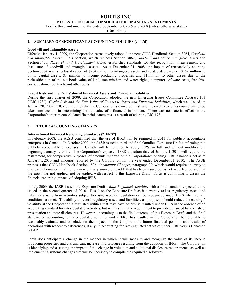#### **NOTES TO INTERIM CONSOLIDATED FINANCIAL STATEMENTS**

For the three and nine months ended September 30, 2009 and 2008 (unless otherwise stated)

(Unaudited)

#### **2. SUMMARY OF SIGNIFICANT ACCOUNTING POLICIES (cont'd)**

#### **Goodwill and Intangible Assets**

Effective January 1, 2009, the Corporation retroactively adopted the new CICA Handbook Section 3064, *Goodwill and Intangible Assets*. This Section, which replaces Section 3062, *Goodwill and Other Intangible Assets* and Section 3450, *Research and Development Costs,* establishes standards for the recognition, measurement and disclosure of goodwill and intangible assets. As at December 31, 2008, the impact of retroactively adopting Section 3064 was a reclassification of \$264 million to intangible assets and related decreases of \$262 million to utility capital assets, \$1 million to income producing properties and \$1 million to other assets due to the reclassification of the net book value of land, transmission and water rights, computer software costs, franchise costs, customer contracts and other costs.

#### **Credit Risk and the Fair Value of Financial Assets and Financial Liabilities**

During the first quarter of 2009, the Corporation adopted the new Emerging Issues Committee Abstract 173 ("EIC-173")¸ *Credit Risk and the Fair Value of Financial Assets and Financial Liabilities*, which was issued on January 20, 2009. EIC-173 requires that the Corporation's own credit risk and the credit risk of its counterparties be taken into account in determining the fair value of a financial instrument. There was no material effect on the Corporation's interim consolidated financial statements as a result of adopting EIC-173.

#### **3. FUTURE ACCOUNTING CHANGES**

#### **International Financial Reporting Standards ("IFRS")**

In February 2008, the AcSB confirmed that the use of IFRS will be required in 2011 for publicly accountable enterprises in Canada. In October 2009, the AcSB issued a third and final Omnibus Exposure Draft confirming that publicly accountable enterprises in Canada will be required to apply IFRS, in full and without modification, beginning January 1, 2011. The Corporation's expected IFRS transition date of January 1, 2011 will require the restatement, for comparative purposes, of amounts reported on the Corporation's opening IFRS balance sheet as at January 1, 2010 and amounts reported by the Corporation for the year ended December 31, 2010. The AcSB proposes that CICA Handbook Section 1506, *Accounting Changes,* paragraph 30, which would require an entity to disclose information relating to a new primary source of GAAP that has been issued but is not yet effective and that the entity has not applied, not be applied with respect to this Exposure Draft. Fortis is continuing to assess the financial reporting impacts of adopting IFRS.

In July 2009, the IASB issued the Exposure Draft - *Rate-Regulated Activities* with a final standard expected to be issued in the second quarter of 2010. Based on the Exposure Draft as it currently exists, regulatory assets and liabilities arising from activities subject to cost-of-service regulation can be recognized under IFRS when certain conditions are met. The ability to record regulatory assets and liabilities, as proposed, should reduce the earnings' volatility at the Corporation's regulated utilities that may have otherwise resulted under IFRS in the absence of an accounting standard for rate-regulated activities, but will result in the requirement to provide enhanced balance sheet presentation and note disclosures. However, uncertainty as to the final outcome of this Exposure Draft, and the final standard on accounting for rate-regulated activities under IFRS, has resulted in the Corporation being unable to reasonably estimate and conclude on the impact on the Corporation's future financial position and results of operations with respect to differences, if any, in accounting for rate-regulated activities under IFRS versus Canadian GAAP.

Fortis does anticipate a change in the manner in which it will measure and recognize the value of its income producing properties and a significant increase in disclosure resulting from the adoption of IFRS. The Corporation is identifying and assessing the impact of this change in valuation and additional disclosure requirements, as well as implementing systems changes that will be necessary to compile the required disclosures.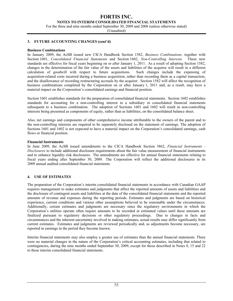**NOTES TO INTERIM CONSOLIDATED FINANCIAL STATEMENTS** 

For the three and nine months ended September 30, 2009 and 2008 (unless otherwise stated)

(Unaudited)

#### **3. FUTURE ACCOUNTING CHANGES (cont'd)**

#### **Business Combinations**

In January 2009, the AcSB issued new CICA Handbook Section 1582, *Business Combinations,* together with Section 1601, *Consolidated Financial Statements* and Section 1602, *Non-Controlling Interests.* These new standards are effective for fiscal years beginning on or after January 1, 2011. As a result of adopting Section 1582, changes in the determination of the fair value of the assets and liabilities of the acquiree will result in a different calculation of goodwill with respect to future acquisitions. Such changes include the expensing of acquisition-related costs incurred during a business acquisition, rather than recording them as a capital transaction, and the disallowance of recording restructuring accruals by the acquirer. Section 1582 will affect the recognition of business combinations completed by the Corporation on or after January 1, 2011 and, as a result, may have a material impact on the Corporation's consolidated earnings and financial position.

Section 1601 establishes standards for the preparation of consolidated financial statements. Section 1602 establishes standards for accounting for a non-controlling interest in a subsidiary in consolidated financial statements subsequent to a business combination. The adoption of Sections 1601 and 1602 will result in non-controlling interests being presented as components of equity, rather than as liabilities, on the consolidated balance sheet.

Also, net earnings and components of other comprehensive income attributable to the owners of the parent and to the non-controlling interests are required to be separately disclosed on the statement of earnings. The adoption of Sections 1601 and 1602 is not expected to have a material impact on the Corporation's consolidated earnings, cash flows or financial position.

#### **Financial Instruments**

In June 2009, the AcSB issued amendments to the CICA Handbook Section 3862, *Financial Instruments - Disclosures* to include additional disclosure requirements about the fair value measurement of financial instruments and to enhance liquidity risk disclosures. The amendments are effective for annual financial statements relating to fiscal years ending after September 30, 2009. The Corporation will reflect the additional disclosures in its 2009 annual audited consolidated financial statements.

#### **4. USE OF ESTIMATES**

The preparation of the Corporation's interim consolidated financial statements in accordance with Canadian GAAP requires management to make estimates and judgments that affect the reported amounts of assets and liabilities and the disclosure of contingent assets and liabilities at the date of the consolidated financial statements and the reported amounts of revenue and expenses during the reporting periods. Estimates and judgments are based on historical experience, current conditions and various other assumptions believed to be reasonable under the circumstances. Additionally, certain estimates and judgments are necessary since the regulatory environments in which the Corporation's utilities operate often require amounts to be recorded at estimated values until these amounts are finalized pursuant to regulatory decisions or other regulatory proceedings. Due to changes in facts and circumstances and the inherent uncertainty involved in making estimates, actual results may differ significantly from current estimates. Estimates and judgments are reviewed periodically and, as adjustments become necessary, are reported in earnings in the period they become known.

Interim financial statements may also employ a greater use of estimates than the annual financial statements. There were no material changes in the nature of the Corporation's critical accounting estimates, including that related to contingencies, during the nine months ended September 30, 2009, except for those described in Notes 8, 15 and 22 to these interim consolidated financial statements.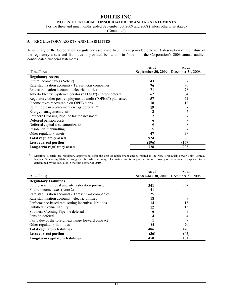#### **NOTES TO INTERIM CONSOLIDATED FINANCIAL STATEMENTS**

For the three and nine months ended September 30, 2009 and 2008 (unless otherwise stated)

(Unaudited)

#### **5. REGULATORY ASSETS AND LIABILITIES**

A summary of the Corporation's regulatory assets and liabilities is provided below. A description of the nature of the regulatory assets and liabilities is provided below and in Note 4 to the Corporation's 2008 annual audited consolidated financial statements.

|                                                              | As at                                       | As at |
|--------------------------------------------------------------|---------------------------------------------|-------|
| (\$ millions)                                                | <b>September 30, 2009</b> December 31, 2008 |       |
| <b>Regulatory Assets</b>                                     |                                             |       |
| Future income taxes (Note 2)                                 | 543                                         |       |
| Rate stabilization accounts - Terasen Gas companies          | 76                                          | 76    |
| Rate stabilization accounts - electric utilities             | 71                                          | 78    |
| Alberta Electric System Operator ("AESO") charges deferral   | 62                                          | 64    |
| Regulatory other post-employment benefit ("OPEB") plan asset | 57                                          | 51    |
| Income taxes recoverable on OPEB plans                       | 18                                          | 18    |
| Point Lepreau replacement energy deferral (1)                | 19                                          |       |
| Energy management costs                                      | 8                                           |       |
| Southern Crossing Pipeline tax reassessment                  |                                             |       |
| Deferred pension costs                                       | 6                                           |       |
| Deferred capital asset amortization                          |                                             | 8     |
| Residential unbundling                                       | 5                                           |       |
| Other regulatory assets                                      | 47                                          | 37    |
| <b>Total regulatory assets</b>                               | 924                                         | 360   |
| Less: current portion                                        | (196)                                       | (157) |
| Long-term regulatory assets                                  | 728                                         | 203   |

*(1)* Maritime Electric has regulatory approval to defer the cost of replacement energy related to the New Brunswick Power Point Lepreau Nuclear Generating Station during its refurbishment outage. The nature and timing of the future recovery of the amount is expected to be determined by the regulator in the first quarter of 2010.

|                                                      | As at                                       | As at |
|------------------------------------------------------|---------------------------------------------|-------|
| (\$ millions)                                        | <b>September 30, 2009</b> December 31, 2008 |       |
| <b>Regulatory Liabilities</b>                        |                                             |       |
| Future asset removal and site restoration provision  | 341                                         | 337   |
| Future income taxes (Note 2)                         | 41                                          |       |
| Rate stabilization accounts - Terasen Gas companies  | 25                                          | 32    |
| Rate stabilization accounts - electric utilities     | 18                                          | 9     |
| Performance-based rate-setting incentive liabilities | 14                                          | 13    |
| Unbilled revenue liability                           | 12                                          | 15    |
| Southern Crossing Pipeline deferral                  | n                                           | 9     |
| Pension deferral                                     |                                             | 4     |
| Fair value of the foreign exchange forward contract  |                                             |       |
| Other regulatory liabilities                         | 24                                          | 20    |
| <b>Total regulatory liabilities</b>                  | 486                                         | 446   |
| Less: current portion                                | (36)                                        | (45)  |
| Long-term regulatory liabilities                     | 450                                         | 401   |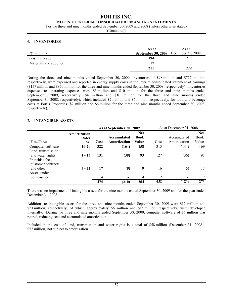#### **FORTIS INC. NOTES TO INTERIM CONSOLIDATED FINANCIAL STATEMENTS**

For the three and nine months ended September 30, 2009 and 2008 (unless otherwise stated)

(Unaudited)

#### **6. INVENTORIES**

|                        | As at                                       | As at |
|------------------------|---------------------------------------------|-------|
| (\$ millions)          | <b>September 30, 2009</b> December 31, 2008 |       |
| Gas in storage         | 194                                         | 212   |
| Materials and supplies | 17                                          |       |
|                        | 211                                         | 229   |

During the three and nine months ended September 30, 2009, inventories of \$98 million and \$722 million, respectively, were expensed and reported in energy supply costs in the interim consolidated statement of earnings (\$157 million and \$850 million for the three and nine months ended September 30, 2008, respectively). Inventories expensed to operating expenses were \$3 million and \$10 million for the three and nine months ended September 30, 2009, respectively (\$4 million and \$10 million for the three and nine months ended September 30, 2008, respectively), which included \$2 million and \$6 million, respectively, for food and beverage costs at Fortis Properties (\$2 million and \$6 million for the three and nine months ended September 30, 2008, respectively).

#### **7. INTANGIBLE ASSETS**

|                                                           |                       |      | As at September 30, 2009 | As at December 31, 2008   |      |              |                    |
|-----------------------------------------------------------|-----------------------|------|--------------------------|---------------------------|------|--------------|--------------------|
|                                                           | Amortization<br>Rates |      | Accumulated              | <b>Net</b><br><b>Book</b> |      | Accumulated  | Net<br><b>Book</b> |
| (\$ millions)                                             | (%)                   | Cost | Amortization             | Value                     | Cost | Amortization | Value              |
| Computer software                                         | $10 - 20$             | 322  | (164)                    | 158                       | 313  | (144)        | 169                |
| Land, transmission<br>and water rights<br>Franchise fees, | $1 - 17$              | 131  | (38)                     | 93                        | 127  | (36)         | 91                 |
| customer contracts<br>and other<br>Assets under           | $3 - 22$              | 17   | (8)                      | 9                         | 16   | (5)          | 11                 |
| construction                                              |                       |      |                          | $\overline{4}$            | 2    |              |                    |
|                                                           |                       | 474  | (210)                    | 264                       | 458  | (185)        | 273                |

There was no impairment of intangible assets for the nine months ended September 30, 2009 and for the year ended December 31, 2008.

Additions to intangible assets for the three and nine months ended September 30, 2009 were \$12 million and \$23 million, respectively, of which approximately \$6 million and \$15 million, respectively, were developed internally. During the three and nine months ended September 30, 2009, computer software of \$6 million was retired, reducing cost and accumulated amortization.

Included in the cost of land, transmission and water rights is a total of \$58 million (December 31, 2008 - \$57 million) not subject to amortization.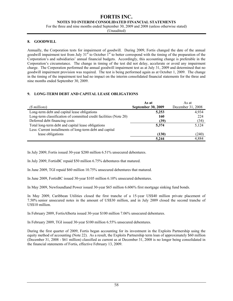**NOTES TO INTERIM CONSOLIDATED FINANCIAL STATEMENTS** 

For the three and nine months ended September 30, 2009 and 2008 (unless otherwise stated)

(Unaudited)

#### **8. GOODWILL**

Annually, the Corporation tests for impairment of goodwill. During 2009, Fortis changed the date of the annual goodwill impairment test from July  $31<sup>st</sup>$  to October  $1<sup>st</sup>$  to better correspond with the timing of the preparation of the Corporation's and subsidiaries' annual financial budgets. Accordingly, this accounting change is preferable in the Corporation's circumstance. The change in timing of the test did not delay, accelerate or avoid any impairment charge. The Corporation performed the annual goodwill impairment test as at July 31, 2009 and determined that no goodwill impairment provision was required. The test is being performed again as at October 1, 2009. The change in the timing of the impairment test had no impact on the interim consolidated financial statements for the three and nine months ended September 30, 2009.

#### **9. LONG-TERM DEBT AND CAPITAL LEASE OBLIGATIONS**

|                                                                   | As at                     | As at             |
|-------------------------------------------------------------------|---------------------------|-------------------|
| (\$ millions)                                                     | <b>September 30, 2009</b> | December 31, 2008 |
| Long-term debt and capital lease obligations                      | 5,253                     | 4,934             |
| Long-term classification of committed credit facilities (Note 20) | 160                       | 224               |
| Deferred debt financing costs                                     | (39)                      | (34)              |
| Total long-term debt and capital lease obligations                | 5,374                     | 5,124             |
| Less: Current installments of long-term debt and capital          |                           |                   |
| lease obligations                                                 | (130)                     | (240)             |
|                                                                   | 5,244                     | 4,884             |

In July 2009, Fortis issued 30-year \$200 million 6.51% unsecured debentures.

In July 2009, FortisBC repaid \$50 million 6.75% debentures that matured.

In June 2009, TGI repaid \$60 million 10.75% unsecured debentures that matured.

In June 2009, FortisBC issued 30-year \$105 million 6.10% unsecured debentures.

In May 2009, Newfoundland Power issued 30-year \$65 million 6.606% first mortgage sinking fund bonds.

In May 2009, Caribbean Utilities closed the first tranche of a 15-year US\$40 million private placement of 7.50% senior unsecured notes in the amount of US\$30 million, and in July 2009 closed the second tranche of US\$10 million.

In February 2009, FortisAlberta issued 30-year \$100 million 7.06% unsecured debentures.

In February 2009, TGI issued 30-year \$100 million 6.55% unsecured debentures.

During the first quarter of 2009, Fortis began accounting for its investment in the Exploits Partnership using the equity method of accounting (Note 22). As a result, the Exploits Partnership term loan of approximately \$60 million (December 31, 2008 - \$61 million) classified as current as at December 31, 2008 is no longer being consolidated in the financial statements of Fortis, effective February 13, 2009.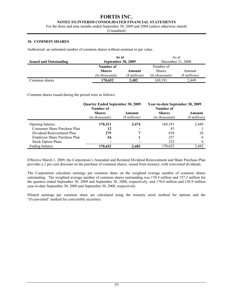#### **NOTES TO INTERIM CONSOLIDATED FINANCIAL STATEMENTS**

For the three and nine months ended September 30, 2009 and 2008 (unless otherwise stated)

(Unaudited)

#### **10. COMMON SHARES**

Authorized: an unlimited number of common shares without nominal or par value.

|                               | As at                     |               | As at                 |               |
|-------------------------------|---------------------------|---------------|-----------------------|---------------|
| <b>Issued and Outstanding</b> | <b>September 30, 2009</b> |               | December 31, 2008     |               |
|                               | Number of                 |               | Number of             |               |
|                               | <b>Shares</b>             | Amount        | <b>Shares</b>         | Amount        |
|                               | (in thousands)            | (\$ millions) | <i>(in thousands)</i> | (\$ millions) |
| Common shares                 | 170.652                   | 2.482         | 169.191               | 2.449         |

Common shares issued during the period were as follows:

|                              | <b>Quarter Ended September 30, 2009</b>      |                         | Year-to-date September 30, 2009              |                         |
|------------------------------|----------------------------------------------|-------------------------|----------------------------------------------|-------------------------|
|                              | Number of<br><b>Shares</b><br>(in thousands) | Amount<br>(\$ millions) | Number of<br><b>Shares</b><br>(in thousands) | Amount<br>(\$ millions) |
| Opening balance              | 170,311                                      | 2,474                   | 169,191                                      | 2,449                   |
| Consumer Share Purchase Plan | 12                                           |                         | 43                                           |                         |
| Dividend Reinvestment Plan   | 275                                          |                         | 839                                          | 20                      |
| Employee Share Purchase Plan | 54                                           |                         | 257                                          | 6                       |
| <b>Stock Option Plans</b>    |                                              |                         | 322                                          |                         |
| Ending balance               | 170,652                                      | 2,482                   | 170,652                                      | 2,482                   |

Effective March 1, 2009, the Corporation's Amended and Restated Dividend Reinvestment and Share Purchase Plan provides a 2 per cent discount on the purchase of common shares, issued from treasury, with reinvested dividends.

The Corporation calculates earnings per common share on the weighted average number of common shares outstanding. The weighted average number of common shares outstanding was 170.4 million and 157.2 million for the quarters ended September 30, 2009 and September 30, 2008, respectively, and 170.0 million and 156.9 million year-to-date September 30, 2009 and September 30, 2008, respectively.

Diluted earnings per common share are calculated using the treasury stock method for options and the "if-converted" method for convertible securities.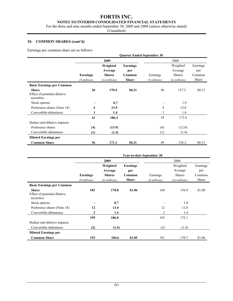#### **NOTES TO INTERIM CONSOLIDATED FINANCIAL STATEMENTS**

For the three and nine months ended September 30, 2009 and 2008 (unless otherwise stated)

(Unaudited)

#### **10. COMMON SHARES (cont'd)**

Earnings per common share are as follows:

|                                                             |                                  |                                                       |                                           | <b>Quarter Ended September 30</b> |                                                |                                    |
|-------------------------------------------------------------|----------------------------------|-------------------------------------------------------|-------------------------------------------|-----------------------------------|------------------------------------------------|------------------------------------|
|                                                             |                                  | 2009                                                  |                                           |                                   | 2008                                           |                                    |
|                                                             | <b>Earnings</b><br>(\$ millions) | Weighted<br>Average<br><b>Shares</b><br>(in millions) | Earnings<br>per<br>Common<br><b>Share</b> | Earnings<br>(\$ millions)         | Weighted<br>Average<br>Shares<br>(in millions) | Earnings<br>per<br>Common<br>Share |
| <b>Basic Earnings per Common</b>                            |                                  |                                                       |                                           |                                   |                                                |                                    |
| <b>Share</b><br>Effect of potential dilutive<br>securities: | 36                               | 170.4                                                 | \$0.21                                    | 49                                | 157.2                                          | \$0.31                             |
| Stock options                                               |                                  | 0.7                                                   |                                           |                                   | 1.0                                            |                                    |
| Preference shares (Note 14)                                 | 4                                | 13.9                                                  |                                           | 4                                 | 12.8                                           |                                    |
| Convertible debentures                                      |                                  | 1.4                                                   |                                           |                                   | 1.4                                            |                                    |
|                                                             | 41                               | 186.4                                                 |                                           | 54                                | 172.4                                          |                                    |
| Deduct anti-dilutive impacts:                               |                                  |                                                       |                                           |                                   |                                                |                                    |
| Preference shares                                           | (4)                              | (13.9)                                                |                                           | (4)                               | (12.8)                                         |                                    |
| Convertible debentures                                      | (1)                              | (1.4)                                                 |                                           | (1)                               | (1.4)                                          |                                    |
| <b>Diluted Earnings per</b>                                 |                                  |                                                       |                                           |                                   |                                                |                                    |
| <b>Common Share</b>                                         | 36                               | 171.1                                                 | \$0.21                                    | 49                                | 158.2                                          | \$0.31                             |

|                                                                                  |               |                                      |                           | <b>Year-to-date September 30</b> |                                      |                           |
|----------------------------------------------------------------------------------|---------------|--------------------------------------|---------------------------|----------------------------------|--------------------------------------|---------------------------|
|                                                                                  |               | 2009                                 |                           |                                  | 2008                                 |                           |
|                                                                                  | Earnings      | Weighted<br>Average<br><b>Shares</b> | Earnings<br>per<br>Common | Earnings                         | Weighted<br>Average<br><b>Shares</b> | Earnings<br>per<br>Common |
|                                                                                  | (\$ millions) | (in millions)                        | <b>Share</b>              | (\$ millions)                    | (in millions)                        | Share                     |
| <b>Basic Earnings per Common</b><br><b>Share</b><br>Effect of potential dilutive | 181           | 170.0                                | \$1.06                    | 169                              | 156.9                                | \$1.08                    |
| securities:<br>Stock options                                                     |               | 0.7                                  |                           |                                  | 1.0                                  |                           |
| Preference shares (Note 14)                                                      | 12            | 13.9                                 |                           | 12                               | 12.8                                 |                           |
| Convertible debentures                                                           | 2             | 1.4                                  |                           | 2                                | 1.4                                  |                           |
|                                                                                  | 195           | 186.0                                |                           | 183                              | 172.1                                |                           |
| Deduct anti-dilutive impacts:                                                    |               |                                      |                           |                                  |                                      |                           |
| Convertible debentures                                                           | (2)           | (1.4)                                |                           | (2)                              | (1.4)                                |                           |
| <b>Diluted Earnings per</b>                                                      |               |                                      |                           |                                  |                                      |                           |
| <b>Common Share</b>                                                              | 193           | 184.6                                | \$1.05                    | 181                              | 170.7                                | \$1.06                    |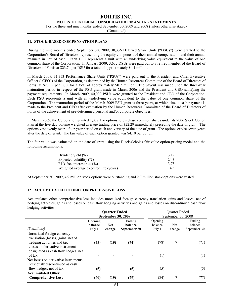**NOTES TO INTERIM CONSOLIDATED FINANCIAL STATEMENTS** 

For the three and nine months ended September 30, 2009 and 2008 (unless otherwise stated)

(Unaudited)

#### **11. STOCK-BASED COMPENSATION PLANS**

During the nine months ended September 30, 2009, 30,336 Deferred Share Units ("DSUs") were granted to the Corporation's Board of Directors, representing the equity component of their annual compensation and their annual retainers in lieu of cash. Each DSU represents a unit with an underlying value equivalent to the value of one common share of the Corporation. In January 2009, 3,632 DSUs were paid out to a retired member of the Board of Directors of Fortis at \$23.74 per DSU for a total of approximately \$0.1 million.

In March 2009, 31,353 Performance Share Units ("PSUs") were paid out to the President and Chief Executive Officer ("CEO") of the Corporation, as determined by the Human Resources Committee of the Board of Directors of Fortis, at \$23.39 per PSU for a total of approximately \$0.7 million. The payout was made upon the three-year maturation period in respect of the PSU grant made in March 2006 and the President and CEO satisfying the payment requirements. In March 2009, 40,000 PSUs were granted to the President and CEO of the Corporation. Each PSU represents a unit with an underlying value equivalent to the value of one common share of the Corporation. The maturation period of the March 2009 PSU grant is three years, at which time a cash payment is made to the President and CEO after evaluation by the Human Resources Committee of the Board of Directors of Fortis of the achievement of pre-determined personal and/or corporate objectives.

In March 2009, the Corporation granted 1,037,156 options to purchase common shares under its 2006 Stock Option Plan at the five-day volume weighted average trading price of \$22.29 immediately preceding the date of grant. The options vest evenly over a four-year period on each anniversary of the date of grant. The options expire seven years after the date of grant. The fair value of each option granted was \$4.10 per option.

The fair value was estimated on the date of grant using the Black-Scholes fair value option-pricing model and the following assumptions:

| Dividend yield $(\% )$                 | 3.19 |
|----------------------------------------|------|
| Expected volatility $(\% )$            | 243  |
| Risk-free interest rate $(\% )$        | 3.75 |
| Weighted average expected life (years) | 45   |

At September 30, 2009, 4.9 million stock options were outstanding and 2.7 million stock options were vested.

#### **12. ACCUMULATED OTHER COMPREHENSIVE LOSS**

Accumulated other comprehensive loss includes unrealized foreign currency translation gains and losses, net of hedging activities, gains and losses on cash flow hedging activities and gains and losses on discontinued cash flow hedging activities.

|                                                                                                    |                                     | <b>Quarter Ended</b><br><b>September 30, 2009</b> |                                          |                              | <b>Ouarter Ended</b><br>September 30, 2008 |                                   |
|----------------------------------------------------------------------------------------------------|-------------------------------------|---------------------------------------------------|------------------------------------------|------------------------------|--------------------------------------------|-----------------------------------|
| (\$ millions)                                                                                      | Opening<br><b>balance</b><br>July 1 | <b>Net</b><br>change                              | Ending<br><b>balance</b><br>September 30 | Opening<br>balance<br>July 1 | Net<br>change                              | Ending<br>balance<br>September 30 |
| Unrealized foreign currency<br>translation (losses) gains, net of<br>hedging activities and tax    | (55)                                | (19)                                              | (74)                                     | (78)                         | 7                                          | (71)                              |
| Losses on derivative instruments<br>designated as cash flow hedges, net<br>of tax                  |                                     |                                                   |                                          | (1)                          |                                            | (1)                               |
| Net losses on derivative instruments<br>previously discontinued as cash<br>flow hedges, net of tax | (5)                                 |                                                   | (5)                                      | (5)                          |                                            | (5)                               |
| <b>Accumulated Other</b><br><b>Comprehensive Loss</b>                                              | (60)                                | (19)                                              | (79)                                     | (84)                         |                                            | (77)                              |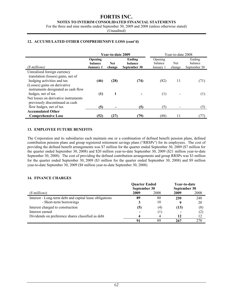#### **NOTES TO INTERIM CONSOLIDATED FINANCIAL STATEMENTS**

For the three and nine months ended September 30, 2009 and 2008 (unless otherwise stated)

(Unaudited)

#### **12. ACCUMULATED OTHER COMPREHENSIVE LOSS (cont'd)**

|                                                                                                                                                                        |                                        | Year-to-date 2009 |                                   |                                 | Year-to-date 2008 |                                   |
|------------------------------------------------------------------------------------------------------------------------------------------------------------------------|----------------------------------------|-------------------|-----------------------------------|---------------------------------|-------------------|-----------------------------------|
| (\$ millions)                                                                                                                                                          | Opening<br>balance<br><b>January 1</b> | Net<br>change     | Ending<br>balance<br>September 30 | Opening<br>balance<br>January 1 | Net<br>change     | Ending<br>balance<br>September 30 |
| Unrealized foreign currency<br>translation (losses) gains, net of<br>hedging activities and tax<br>(Losses) gains on derivative<br>instruments designated as cash flow | (46)                                   | (28)              | (74)                              | (82)                            | 11                | (71)                              |
| hedges, net of tax<br>Net losses on derivative instruments<br>previously discontinued as cash                                                                          | (1)                                    | 1                 |                                   | $\left(1\right)$                |                   | (1)                               |
| flow hedges, net of tax                                                                                                                                                | (5)                                    |                   | (5)                               | (5)                             |                   | (5)                               |
| <b>Accumulated Other</b><br><b>Comprehensive Loss</b>                                                                                                                  | (52)                                   | (27)              | (79)                              | (88)                            |                   | (TI)                              |

#### **13. EMPLOYEE FUTURE BENEFITS**

The Corporation and its subsidiaries each maintain one or a combination of defined benefit pension plans, defined contribution pension plans and group registered retirement savings plans ("RRSPs") for its employees. The cost of providing the defined benefit arrangements was \$7 million for the quarter ended September 30, 2009 (\$7 million for the quarter ended September 30, 2008) and \$20 million year-to-date September 30, 2009 (\$21 million year-to-date September 30, 2008). The cost of providing the defined contribution arrangements and group RRSPs was \$3 million for the quarter ended September 30, 2009 (\$3 million for the quarter ended September 30, 2008) and \$9 million year-to-date September 30, 2009 (\$8 million year-to-date September 30, 2008).

#### **14. FINANCE CHARGES**

|                                                         | <b>Ouarter Ended</b><br>September 30 |      | Year-to-date<br>September 30 |      |
|---------------------------------------------------------|--------------------------------------|------|------------------------------|------|
| (\$ millions)                                           | 2009                                 | 2008 | 2009                         | 2008 |
| Interest - Long-term debt and capital lease obligations | 89                                   | 80   | 259                          | 248  |
| - Short-term borrowings                                 |                                      | 10   |                              | 20   |
| Interest charged to construction                        | (5)                                  | (4)  | (13)                         | (8)  |
| Interest earned                                         |                                      |      |                              | (2)  |
| Dividends on preference shares classified as debt       |                                      |      | 12                           | 12   |
|                                                         | 91                                   | 89   | 267                          | 270  |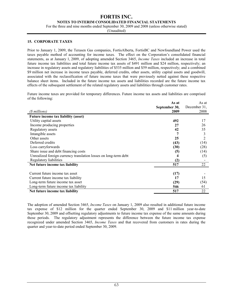#### **NOTES TO INTERIM CONSOLIDATED FINANCIAL STATEMENTS**

For the three and nine months ended September 30, 2009 and 2008 (unless otherwise stated)

(Unaudited)

#### **15. CORPORATE TAXES**

Prior to January 1, 2009, the Terasen Gas companies, FortisAlberta, FortisBC and Newfoundland Power used the taxes payable method of accounting for income taxes. The effect on the Corporation's consolidated financial statements, as at January 1, 2009, of adopting amended Section 3465, *Income Taxes* included an increase in total future income tax liabilities and total future income tax assets of \$491 million and \$24 million, respectively; an increase in regulatory assets and regulatory liabilities of \$535 million and \$59 million, respectively; and a combined \$9 million net increase in income taxes payable, deferred credits, other assets, utility capital assets and goodwill, associated with the reclassification of future income taxes that were previously netted against these respective balance sheet items. Included in the future income tax assets and liabilities recorded are the future income tax effects of the subsequent settlement of the related regulatory assets and liabilities through customer rates.

Future income taxes are provided for temporary differences. Future income tax assets and liabilities are comprised of the following:

|                                                                  | As at         | As at        |
|------------------------------------------------------------------|---------------|--------------|
|                                                                  | September 30, | December 31, |
| (\$ millions)                                                    | 2009          | 2008         |
| <b>Future income tax liability (asset)</b>                       |               |              |
| Utility capital assets                                           | 492           | 17           |
| Income producing properties                                      | 27            | 26           |
| Regulatory assets                                                | 42            | 35           |
| Intangible assets                                                |               | 3            |
| Other assets                                                     | 25            |              |
| Deferred credits                                                 | (43)          | (14)         |
| Loss carryforwards                                               | (30)          | (28)         |
| Share issue and debt financing costs                             | (5)           | (14)         |
| Unrealized foreign currency translation losses on long-term debt |               | (5)          |
| Regulatory liabilities                                           | (2)           |              |
| Net future income tax liability                                  | 517           | 22           |
|                                                                  |               |              |
| Current future income tax asset                                  | (17)          |              |
| Current future income tax liability                              | 17            | 15           |
| Long-term future income tax asset                                | (29)          | (54)         |
| Long-term future income tax liability                            | 546           | 61           |
| Net future income tax liability                                  | 517           | 22           |

The adoption of amended Section 3465, *Income Taxes* on January 1, 2009 also resulted in additional future income tax expense of \$12 million for the quarter ended September 30, 2009 and \$11 million year-to-date September 30, 2009 and offsetting regulatory adjustments to future income tax expense of the same amounts during those periods. The regulatory adjustment represents the difference between the future income tax expense recognized under amended Section 3465, *Income Taxes* and that recovered from customers in rates during the quarter and year-to-date period ended September 30, 2009.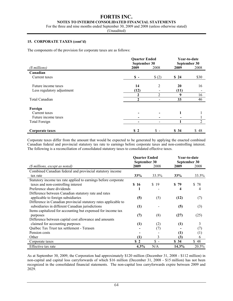#### **FORTIS INC. NOTES TO INTERIM CONSOLIDATED FINANCIAL STATEMENTS**

For the three and nine months ended September 30, 2009 and 2008 (unless otherwise stated)

(Unaudited)

#### **15. CORPORATE TAXES (cont'd)**

The components of the provision for corporate taxes are as follows:

|                            | <b>Quarter Ended</b><br>September 30 |                |      | Year-to-date<br>September 30 |
|----------------------------|--------------------------------------|----------------|------|------------------------------|
| (\$ millions)              | 2009                                 | 2008           | 2009 | 2008                         |
| Canadian                   |                                      |                |      |                              |
| Current taxes              | $\mathbf{s}$ –                       | \$(2)          | \$24 | \$30                         |
| Future income taxes        | 14                                   | 2              | 20   | 16                           |
| Less regulatory adjustment | (12)                                 |                | (11) |                              |
|                            | $\mathbf 2$                          | $\mathfrak{D}$ | 9    | 16                           |
| Total Canadian             | $\mathbf{2}$                         |                | 33   | 46                           |
| Foreign                    |                                      |                |      |                              |
| Current taxes              |                                      |                | 1    |                              |
| Future income taxes        | -                                    |                |      |                              |
| Total Foreign              |                                      |                |      | $\overline{2}$               |
| Corporate taxes            | S <sub>2</sub>                       | \$-            | \$34 | \$48                         |

Corporate taxes differ from the amount that would be expected to be generated by applying the enacted combined Canadian federal and provincial statutory tax rate to earnings before corporate taxes and non-controlling interest. The following is a reconciliation of consolidated statutory taxes to consolidated effective taxes.

|                                                                 | <b>Quarter Ended</b><br>September 30 |                 | Year-to-date<br>September 30 |         |
|-----------------------------------------------------------------|--------------------------------------|-----------------|------------------------------|---------|
| (\$ millions, except as noted)                                  | 2009                                 | 2008            | 2009                         | 2008    |
| Combined Canadian federal and provincial statutory income       |                                      |                 |                              |         |
| tax rate                                                        | 33%                                  | 33.5%           | 33%                          | 33.5%   |
| Statutory income tax rate applied to earnings before corporate  |                                      |                 |                              |         |
| taxes and non-controlling interest                              | \$16                                 | \$<br>19        | 79<br>S.                     | 78<br>S |
| Preference share dividends                                      |                                      |                 | 4                            | 4       |
| Difference between Canadian statutory rate and rates            |                                      |                 |                              |         |
| applicable to foreign subsidiaries                              | (5)                                  | (5)             | (12)                         | (7)     |
| Difference in Canadian provincial statutory rates applicable to |                                      |                 |                              |         |
| subsidiaries in different Canadian jurisdictions                | (1)                                  |                 | (5)                          | (3)     |
| Items capitalized for accounting but expensed for income tax    |                                      |                 |                              |         |
| purposes                                                        | (7)                                  | (8)             | (27)                         | (25)    |
| Difference between capital cost allowance and amounts           |                                      |                 |                              |         |
| claimed for accounting purposes                                 | (1)                                  | (2)             | (1)                          | 3       |
| Québec Tax Trust tax settlement - Terasen                       |                                      | (7)             |                              | (7)     |
| Pension costs                                                   |                                      |                 | (1)                          | (1)     |
| Other                                                           | (1)                                  | 3               | (3)                          | 6       |
| Corporate taxes                                                 | \$2                                  | $\frac{1}{2}$ - | \$34                         | \$48    |
| Effective tax rate                                              | $4.3\%$                              | N/A             | 14.3%                        | 20.5%   |

As at September 30, 2009, the Corporation had approximately \$120 million (December 31, 2008 - \$112 million) in non-capital and capital loss carryforwards of which \$16 million (December 31, 2008 - \$15 million) has not been recognized in the consolidated financial statements. The non-capital loss carryforwards expire between 2009 and 2029.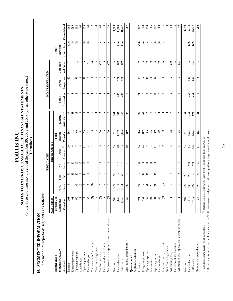For the three and nine months ended September 30, 2009 and 2008 (unless otherwise stated)<br>(Unaudited) For the three and nine months ended September 30, 2009 and 2008 (unless otherwise stated) NOTES TO INTERIM CONSOLIDATED FINANCIAL STATEMENTS **NOTES TO INTERIM CONSOLIDATED FINANCIAL STATEMENTS**  FORTIS INC. **FORTIS INC.** 

# 16. SEGMENTED INFORMATION **16. SEGMENTED INFORMATION**

Information by reportable segment is as follows:  $\mathcal{L}^{-11}$ 

| Information by reportable segment is as follows:                   |                                                                                       |                     |                 | <b>REGULATED</b>          |                                   |                            |                                                |                   | NON-REGULATED  |                |                                                                            |                          |
|--------------------------------------------------------------------|---------------------------------------------------------------------------------------|---------------------|-----------------|---------------------------|-----------------------------------|----------------------------|------------------------------------------------|-------------------|----------------|----------------|----------------------------------------------------------------------------|--------------------------|
|                                                                    | Gas Utilities                                                                         |                     |                 |                           | Electric Utilities                |                            |                                                |                   |                |                |                                                                            |                          |
| Quarter ended                                                      | Terasen Gas                                                                           |                     |                 |                           |                                   | Total                      |                                                |                   |                |                | Inter-                                                                     |                          |
| September 30, 2009                                                 | Companies-                                                                            | Fortis              | Fortis          | $\overline{\overline{z}}$ | Other                             | Electric                   | Electric                                       | Fortis            | Fortis         | Corporate      | segment                                                                    |                          |
| (§ millions)                                                       | Canadian                                                                              | Alberta             | BC              | Power                     | Canadian ${}^{\langle l \rangle}$ | Canadian                   | Caribbean ${}^{{\color{red}\boldsymbol{(2)}}}$ | Generation        | Properties     | and Other      | eliminations                                                               | Consolidated             |
| Revenue                                                            |                                                                                       | 85                  | 57              | 53                        | S                                 | 304                        | ଛ                                              |                   | ಽ              |                |                                                                            | 3                        |
| Energy supply costs                                                | 208<br>98                                                                             |                     | $\frac{15}{2}$  | 50                        | $\frac{4}{6}$                     | $\Xi$                      | 51                                             |                   |                |                |                                                                            | 253                      |
| Operating expenses                                                 | $\mathbb S$                                                                           | $\mathfrak{L}$      | $\Box$          | $\overline{c}$            | $\sim$ 10                         | $\mathbb{S}$               | 13                                             | 2                 | 37             | $\sim$ $\sim$  | $\widehat{\mathfrak{g}}$ $\widehat{\mathfrak{e}}$ $\widehat{\mathfrak{e}}$ | 182                      |
| Amortization                                                       |                                                                                       | 25                  | $\circ$         | 12                        |                                   | 51                         | O                                              |                   | 4              |                |                                                                            | $\mathfrak{A}$           |
| Operating income                                                   |                                                                                       | 27                  | $\geq$          | $\overline{c}$            | $\Xi$                             | 73                         | $\widetilde{\mathbf{5}}$                       | ७                 | $\overline{1}$ | 3              | $\bigoplus$                                                                | 138                      |
| Finance charges                                                    |                                                                                       | $\overline{\omega}$ | $\infty$        | $\infty$                  | 4                                 | 32                         | 5                                              |                   |                | $\overline{z}$ | $\widehat{f}$                                                              | $\overline{5}$           |
| Corporate taxes (recovery)                                         | 389                                                                                   | $\ominus$           |                 | 4                         | $\mathcal{C}$                     | 5                          |                                                |                   |                | $\circledcirc$ |                                                                            | $\mathbf{\Omega}$        |
| Non-controlling interest                                           |                                                                                       |                     |                 |                           |                                   |                            | 4                                              |                   |                |                |                                                                            | $\overline{\phantom{a}}$ |
| Net (loss) earnings                                                | $\odot$                                                                               | $\frac{6}{2}$       | ${}^{\circ}$    | $\overline{ }$            | S                                 | 36                         | Ļ                                              | 4                 | $\circ$        | $\overline{2}$ | ٠                                                                          | $\overline{4}$           |
| Preference share dividends                                         | $\blacksquare$                                                                        |                     |                 |                           |                                   |                            |                                                |                   |                | 5              |                                                                            | LO,                      |
| Net (loss) earnings applicable to common shares                    | $\odot$                                                                               | $\frac{6}{2}$       | ${}^{\circ}$    |                           | S                                 | 36                         | r                                              | 4                 | ຶ              | E              | ٠                                                                          | 36                       |
| Goodwill                                                           | 908                                                                                   | 227                 | 221             |                           | 63                                | 511                        | 144                                            |                   |                |                |                                                                            | 1,563                    |
| Identifiable assets                                                | 3,840                                                                                 | 1.814               | 1,122           | 1,156                     | 540                               | 4,632                      | 803                                            | 202               | 574            | 149            | (36)                                                                       | 10,164                   |
| Total assets                                                       | 4,748                                                                                 | 2,041               | 1,343           | 1,156                     | 603                               | 5,143                      | 947                                            | 202               | 574            | $\frac{49}{2}$ | (36)                                                                       | 11,727                   |
| Gross capital expenditures $^{\text{\it (3)}}$                     | $\mathcal{C}$                                                                         | 109                 | $\approx$       | $\approx$                 | $\hfill \square$                  | 169                        | 27                                             | 2                 | $\circ$        |                |                                                                            | 267                      |
| September 30, 2008<br>Quarter ended                                |                                                                                       |                     |                 |                           |                                   |                            |                                                |                   |                |                |                                                                            |                          |
| Revenue                                                            | 271                                                                                   | 74                  | 25              | $\approx$                 | S                                 | 286                        | క                                              | ត                 | వ              |                | $\widehat{E}$                                                              | 727                      |
| Energy supply costs                                                | 157                                                                                   |                     | $\overline{c}$  | 51                        | $\overline{4}$                    | 107                        | 3                                              | $\sim$            |                |                | $\circledcirc$                                                             | 320                      |
| Operating expenses                                                 |                                                                                       | $\mathbb{E}$        | $\geq$          | $\equiv$                  | $\overline{ }$                    | 65                         | $\overline{2}$                                 | 3                 | 33             |                | $\blacksquare$                                                             | 174                      |
| Amortization                                                       | <u>వి</u> భ                                                                           | 22                  | $\infty$        | Ξ                         | 4                                 | 45                         | $\infty$                                       | 3                 | 4              | പ പ            |                                                                            | 86                       |
| Operating income                                                   | <b>33</b>                                                                             | $\frac{1}{2}$       | $\widetilde{=}$ | ដ                         | $\Xi$                             | S                          | ≌                                              | 13                | ≘              | 3              | $\widehat{\mathfrak{t}}$                                                   | 147                      |
| Finance charges                                                    |                                                                                       |                     | г               | ${}^{\infty}$             | 4                                 | $\boldsymbol{\mathcal{S}}$ |                                                | $\mathbf{\Omega}$ |                | $\overline{1}$ | $\oplus$                                                                   | $\pmb{\mathbb{S}}$       |
| Corporate taxes (recovery)                                         | $\odot$                                                                               | $\circledcirc$      |                 | $\sim$                    | $\mathbf{C}$                      | $\mathbf{\Omega}$          |                                                | $\mathbf{\Omega}$ | 4              | $\circledcirc$ |                                                                            |                          |
| Non-controlling interest                                           |                                                                                       |                     |                 |                           |                                   |                            |                                                |                   |                |                |                                                                            | 4                        |
| Net earnings (loss)                                                |                                                                                       | $\Box$              | $^{\circ}$      | $^{\circ}$                | 5                                 | 38                         |                                                | ۰                 | ື              | දූ             |                                                                            | Ľ,                       |
| Preference share dividends                                         |                                                                                       |                     |                 |                           |                                   |                            |                                                |                   |                | 5              |                                                                            | r.                       |
| Net earnings (loss) applicable to common shares                    |                                                                                       | Ţ                   | $\infty$        | $\infty$                  | S                                 | 38                         |                                                | $\bullet$         | $\circ$        | වූ             |                                                                            | Ş                        |
| Goodwill                                                           | 909                                                                                   | 227                 | 221             |                           | C <sub>3</sub>                    | 511                        | 139                                            |                   |                | ٠              |                                                                            | 1,559                    |
| Identifiable assets                                                | 3,510                                                                                 | 1,482               | 958             | 971                       | 513                               | 3,924                      | 759                                            | 262               | 537            | 115            | (29)                                                                       | 9,078                    |
| Total assets                                                       | 4,419                                                                                 | $1,709$             | 1,179           | 971                       | 576                               | 4,435                      | 898                                            | 262               | 537            | 115            | $\widehat{c}$                                                              | 10,637                   |
| Gross capital expenditures ${}^{\scriptstyle(\beta)}$              | 56                                                                                    | $\,$ 5d             | $\mathbb{E}$    | $\Box$                    | $\equiv$                          | 153                        | $\overline{31}$                                | $\circ$           | 3              | I              |                                                                            | 250                      |
| $^{\prime\prime}$ Includes Maritime Electric and Fortis<br>Ontario | $^{(2)}$ Includes Belize Electricity, Caribbean Utilities and Fortis Turks and Caicos |                     |                 |                           |                                   |                            |                                                |                   |                |                |                                                                            |                          |

 $\frac{\partial}{\partial t}$  Relates to utility capital assets, including amounts for AESO transmission capital projects, and income producing properties and intangible assets *(3)* Relates to utility capital assets, including amounts for AESO transmission capital projects, and income producing properties and intangible assets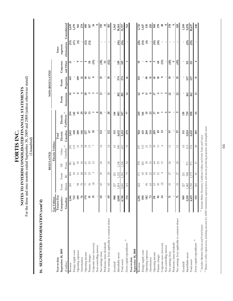For the three and nine months ended September 30, 2009 and 2008 (unless otherwise stated)<br>(Unaudited) For the three and nine months ended September 30, 2009 and 2008 (unless otherwise stated) NOTES TO INTERIM CONSOLIDATED FINANCIAL STATEMENTS **NOTES TO INTERIM CONSOLIDATED FINANCIAL STATEMENTS**  FORTIS INC. **FORTIS INC.** 

(Unaudited)

# 16. SEGMENTED INFORMATION (cont'd) **16. SEGMENTED INFORMATION (cont'd)**

|                                                       |                 |                    |                          | REGULATED       |                                   |                   |                                                |                             | NON-REGULATED               |                               |                          |                   |
|-------------------------------------------------------|-----------------|--------------------|--------------------------|-----------------|-----------------------------------|-------------------|------------------------------------------------|-----------------------------|-----------------------------|-------------------------------|--------------------------|-------------------|
|                                                       | Gas Utilities   |                    |                          |                 | Electric Utilities                |                   |                                                |                             |                             |                               |                          |                   |
| Year-to-date                                          | Terasen Gas     |                    |                          |                 |                                   | Total             |                                                |                             |                             |                               | Inter-                   |                   |
| September 30, 2009                                    | Companies-      | Fortis             | Fortis                   | $\overline{z}$  | Other                             | Electric          | Electric                                       | Fortis                      | Fortis                      | Corporate                     | segment                  |                   |
| (\$ millions)                                         | Canadian        | Alberta            | $_{\rm BC}$              | Power           | Canadian ${}^{\langle l \rangle}$ | Canadian          | Caribbean ${}^{{\color{red}\boldsymbol{(2)}}}$ | Generation                  | Properties                  | and Other                     | eliminations             | Consolidated      |
| Revenue                                               | 1,166           | 245                | 184                      | 381             | 202                               | 1,012             | 254                                            | $\frac{3}{4}$               | 165                         | ដ                             |                          | 2,619             |
| Energy supply costs                                   | 722             |                    |                          | 247             | 133                               | 430               | 142                                            | $\sim$ $\infty$             |                             |                               | $\frac{33}{2}$           | 1,279             |
| Operating expenses                                    | 189             | $\frac{8}{70}$     | $50\,$ $5\,$ $3\,$       | $\mathfrak{H}$  | $\overline{c}$                    | 209               | $\ddot{ }$                                     |                             | 109                         | $\circ$                       | $\widehat{\mathfrak{X}}$ | 561               |
| Amortization                                          | 94              |                    |                          | 34              | $\overline{4}$                    | 146               | $\mathbf{z}$                                   | 4                           | $\overline{a}$              | $\overline{r}$                |                          | 274               |
| Operating income                                      | 179             | 56                 |                          | 5               | 54                                | 227               | क्ष                                            | ສ                           | $\frac{4}{4}$               | m                             |                          |                   |
| Finance charges                                       | $5\overline{a}$ |                    | 55<br>23                 | 25              | $13\,$                            | 50                | 13                                             | $\mathfrak{c}$              | 17                          | ${\bf 58}$                    | $\overline{a}$           | $\frac{505}{267}$ |
| Corporate taxes (recovery)                            | $\overline{19}$ | $\bigoplus$        | S                        | 12              | $\overline{ }$                    | $18\,$            |                                                | $\mathbf{c}$                | $\infty$                    | (15)                          |                          | 34                |
| Non-controlling interest                              |                 |                    |                          |                 |                                   |                   | $^{\circ}$                                     |                             |                             |                               |                          | $\circ$           |
| Net earnings (loss)                                   | S               | $\overline{4}$     | 29                       | $\overline{24}$ | $\overline{1}$                    | 112               | $\boldsymbol{\mathcal{S}}$                     | 13                          | $\overline{1}$              | $\left( \frac{38}{2} \right)$ |                          | 195               |
| Preference share dividends                            |                 |                    |                          |                 |                                   |                   |                                                |                             |                             | $\sharp$                      |                          | $\overline{1}$    |
| Net earnings (loss) applicable to common shares       | $\mathbb{S}$    | 45                 | $\overline{29}$          | $^{24}$         | $\overline{1}$                    | 112               | $\Omega$                                       | 13                          | $\overline{1}$              | $\widetilde{S}$               |                          | 181               |
| Goodwill                                              | 908             | 227                | 221                      |                 | $\mathcal{C}$                     | 511               | $\overline{14}$                                |                             |                             |                               |                          | 1,563             |
| Identifiable assets                                   | 3,840           | 1,814              | 1,122                    | 1,156           | 540                               | 4,632             | 803                                            | 202                         | 574                         | 49                            | (36)                     | 10,164            |
| Total assets                                          | 4,748           | 2,041              | 1,343                    | 1,156           | 603                               | 5,143             | 947                                            | 202                         | 574                         | 149                           | වි                       | 11,727            |
| Gross capital expenditures ${}^{(\beta)}$             | 176             | 315                | $\sqrt{2}$               | 52              | 33                                | 479               | 77                                             | $\sharp$                    | $\approx$                   |                               |                          | 763               |
| September 30, 2008<br>Year-to-date                    |                 |                    |                          |                 |                                   |                   |                                                |                             |                             |                               |                          |                   |
| Revenue                                               | 1,296           | 222                | 171                      | 378             | 197                               | 968               | 249                                            | S                           | 155                         | 2                             | $\widehat{\mathrm{S}}$   | 2,721             |
| Energy supply costs                                   | 850             |                    | 45                       | 243             | 133                               | 421               | 164                                            | $\circ$                     |                             |                               | (14)                     | 1,427             |
| Operating expenses                                    | 182             | $\boldsymbol{\%}$  | $49$                     | $38\,$          | $\overline{z}$                    | 204               | 35                                             | $\overline{\mathbf{u}}$     | $\mathbf{S}$                | $\infty$                      | $\bigoplus$              | 535               |
| Amortization                                          | 73              | - 63               | 25                       | 33              | 13                                | 134               | $\mathfrak{z}$                                 | $\infty$                    | Ξ                           | $\circ$                       |                          | 255               |
| Operating income                                      | 191             | $\mathcal{C}$      | 52                       | $^{64}$         | $\mathcal{S}$                     | 209               | 27                                             | 37                          | 45                          | m                             | €                        | 504               |
| Finance charges                                       | 96              | $\mathcal{L}$      | $\overline{z}$           | 25              | $\tilde{c}$                       | $\pmb{89}$        | Ξ                                              | $\circ$                     | $\overline{18}$             | $\pmb{\mathbb{S}}$            | $\widehat{E}$            | 270               |
| Corporate taxes (recovery)                            | $\overline{a}$  | $\widehat{\varpi}$ | $\overline{4}$           | 15              | $\circ$                           | $\boldsymbol{23}$ |                                                | $\overline{r}$              | $\infty$                    | $\overline{E}$                | $\blacksquare$           | 48                |
| Non-controlling interest                              |                 |                    |                          |                 |                                   |                   | $\circ$                                        | $\sim$                      |                             |                               |                          | $\infty$          |
| Net earnings (loss)                                   | $\overline{7}$  | 35                 | 27                       | 24              | $\equiv$                          | 5                 | ຶ                                              | $\mathbf{z}$                | $\boldsymbol{\mathsf{s}}$   | $\widehat{\Theta}$            |                          | 178               |
| Preference share dividends                            | t               |                    |                          |                 |                                   |                   |                                                |                             |                             | $\circ$                       |                          |                   |
| Net earnings (loss) applicable to common shares       | $\overline{7}$  | 35                 | 27                       | $^{24}$         | $\mathbf{1}$                      | 50                | G                                              | $\Omega$                    | $\boldsymbol{\mathfrak{g}}$ | ೯                             | ٠                        | 169               |
| Goodwill                                              | $\frac{6}{2}$   | 227                | 221                      |                 | S                                 | 511               | 139                                            |                             |                             |                               |                          | 1,559             |
| Identifiable assets                                   | 3,510           | 1,482              | 958                      | 971             | 513                               | 3,924             | 759                                            | 262                         | 537                         | 115                           | $\widehat{c}$            | 9,078             |
| Total assets                                          | 4,419           | 1,709              | 1,179                    | 57              | 576                               | 4,435             | 898                                            | 262                         | 537                         | 115                           | වූ                       | 10,637            |
| Gross capital expenditures ${}^{\scriptstyle(\beta)}$ | 152             | 245                | $\overline{\phantom{0}}$ | $47\,$          | $^{28}$                           | 401               | 9                                              | $\boldsymbol{\mathfrak{s}}$ | $\overline{u}$              | 4                             | ٠                        | 646               |
|                                                       |                 |                    |                          |                 |                                   |                   |                                                |                             |                             |                               |                          |                   |

 $^\beta$  Relates to utility capital assets, including amounts for AESO transmission capital projects, and income producing properties and intangible assets *(3)* Relates to utility capital assets, including amounts for AESO transmission capital projects, and income producing properties and intangible assets <sup>(2)</sup> Includes Belize Electricity, Caribbean Utilities and Fortis Turks and Caicos *(1)* Includes Maritime Electric and FortisOntario *(2)* Includes Belize Electricity, Caribbean Utilities and Fortis Turks and Caicos  $\frac{1}{2}$  Includes Maritime Electric and FortisOntario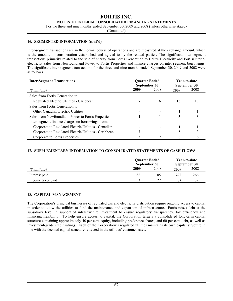#### **FORTIS INC. NOTES TO INTERIM CONSOLIDATED FINANCIAL STATEMENTS**

For the three and nine months ended September 30, 2009 and 2008 (unless otherwise stated)

(Unaudited)

#### **16. SEGMENTED INFORMATION (cont'd)**

Inter-segment transactions are in the normal course of operations and are measured at the exchange amount, which is the amount of consideration established and agreed to by the related parties. The significant inter-segment transactions primarily related to the sale of energy from Fortis Generation to Belize Electricity and FortisOntario, electricity sales from Newfoundland Power to Fortis Properties and finance charges on inter-segment borrowings. The significant inter-segment transactions for the three and nine months ended September 30, 2009 and 2008 were as follows.

| <b>Inter-Segment Transactions</b>                     | <b>Quarter Ended</b><br>September 30 |      | Year-to-date<br>September 30 |      |
|-------------------------------------------------------|--------------------------------------|------|------------------------------|------|
| (\$ millions)                                         | 2009                                 | 2008 | 2009                         | 2008 |
| Sales from Fortis Generation to                       |                                      |      |                              |      |
| Regulated Electric Utilities - Caribbean              |                                      | 6    | 15                           | 13   |
| Sales from Fortis Generation to                       |                                      |      |                              |      |
| Other Canadian Electric Utilities                     |                                      |      |                              |      |
| Sales from Newfoundland Power to Fortis Properties    | 3                                    |      |                              |      |
| Inter-segment finance charges on borrowings from:     |                                      |      |                              |      |
| Corporate to Regulated Electric Utilities - Canadian  |                                      |      |                              |      |
| Corporate to Regulated Electric Utilities - Caribbean |                                      |      | 5                            |      |
| Corporate to Fortis Properties                        |                                      |      |                              | O    |

#### **17. SUPPLEMENTARY INFORMATION TO CONSOLIDATED STATEMENTS OF CASH FLOWS**

|                   | <b>Quarter Ended</b><br>September 30 |      | Year-to-date<br>September 30 |      |
|-------------------|--------------------------------------|------|------------------------------|------|
| (\$ millions)     | 2009                                 | 2008 | 2009                         | 2008 |
| Interest paid     | 88                                   | 85   | 272                          | 266  |
| Income taxes paid |                                      | າາ   | 82                           | 32   |

#### **18. CAPITAL MANAGEMENT**

The Corporation's principal businesses of regulated gas and electricity distribution require ongoing access to capital in order to allow the utilities to fund the maintenance and expansion of infrastructure. Fortis raises debt at the subsidiary level in support of infrastructure investment to ensure regulatory transparency, tax efficiency and financing flexibility. To help ensure access to capital, the Corporation targets a consolidated long-term capital structure containing approximately 40 per cent equity, including preference shares, and 60 per cent debt, as well as investment-grade credit ratings. Each of the Corporation's regulated utilities maintains its own capital structure in line with the deemed capital structure reflected in the utilities' customer rates.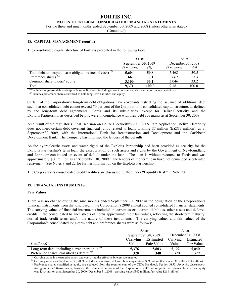#### **FORTIS INC. NOTES TO INTERIM CONSOLIDATED FINANCIAL STATEMENTS**

For the three and nine months ended September 30, 2009 and 2008 (unless otherwise stated)

(Unaudited)

#### **18. CAPITAL MANAGEMENT (cont'd)**

The consolidated capital structure of Fortis is presented in the following table.

|                                                              | As at                     |       | As at             |       |
|--------------------------------------------------------------|---------------------------|-------|-------------------|-------|
|                                                              | <b>September 30, 2009</b> |       | December 31, 2008 |       |
|                                                              | (\$ millions)             | (%)   | (\$ millions)     | (%)   |
| Total debt and capital lease obligations (net of cash) $(1)$ | 5,604                     | 59.8  | 5,468             | 59.5  |
| Preference shares $^{(2)}$                                   | 667                       | 7.1   | 667               | 7.3   |
| Common shareholders' equity                                  | 3.100                     | 33.1  | 3.046             | 33.2  |
| Total                                                        | 9.371                     | 100.0 | 9.181             | 100.0 |

*(1)* Includes long-term debt and capital lease obligations, including current portion, and short-term borrowings, net of cash

*(2)* Includes preference shares classified as both long-term liabilities and equity

Certain of the Corporation's long-term debt obligations have covenants restricting the issuance of additional debt such that consolidated debt cannot exceed 70 per cent of the Corporation's consolidated capital structure, as defined by the long-term debt agreements. Fortis and its subsidiaries, except for Belize Electricity and the Exploits Partnership, as described below, were in compliance with their debt covenants as at September 30, 2009.

As a result of the regulator's Final Decision on Belize Electricity's 2008/2009 Rate Application, Belize Electricity does not meet certain debt covenant financial ratios related to loans totalling \$7 million (BZ\$13 million), as at September 30, 2009, with the International Bank for Reconstruction and Development and the Caribbean Development Bank. The Company has informed the lenders of the defaults.

As the hydroelectric assets and water rights of the Exploits Partnership had been provided as security for the Exploits Partnership's term loan, the expropriation of such assets and rights by the Government of Newfoundland and Labrador constituted an event of default under the loan. The loan is without recourse to Fortis and was approximately \$60 million as at September 30, 2009. The lenders of the term loan have not demanded accelerated repayment. See Notes 9 and 22 for further information on the Exploits Partnership.

The Corporation's consolidated credit facilities are discussed further under "Liquidity Risk" in Note 20.

#### **19. FINANCIAL INSTRUMENTS**

#### **Fair Values**

There was no change during the nine months ended September 30, 2009 in the designation of the Corporation's financial instruments from that disclosed in the Corporation's 2008 annual audited consolidated financial statements. The carrying values of financial instruments included in current assets, current liabilities, other assets and deferred credits in the consolidated balance sheets of Fortis approximate their fair values, reflecting the short-term maturity, normal trade credit terms and/or the nature of these instruments. The carrying values and fair values of the Corporation's consolidated long-term debt and preference shares were as follows:

|                                                   | As at    |                           |          | As at             |
|---------------------------------------------------|----------|---------------------------|----------|-------------------|
|                                                   |          | <b>September 30, 2009</b> |          | December 31, 2008 |
|                                                   | Carrying | <b>Estimated</b>          | Carrying | Estimated         |
| (\$ millions)                                     | Value    | <b>Fair Value</b>         | Value    | Fair Value        |
| Long-term debt, including current portion $(D/2)$ | 5.376    | 5,803                     | 5,122    | 5,040             |
| Preference shares, classified as debt $^{(1)(3)}$ | 320      | 348                       | 320      | 329               |

*(1)* Carrying value is measured at amortized cost using the effective interest rate method.

<sup>(2)</sup> Carrying value as at September 30, 2009 excludes unamortized deferred financing costs of \$39 million (December 31, 2008 - \$34 million). *(3)* Preference shares classified as equity are excluded from the requirements of the CICA Handbook Section 3855, *Financial Instruments, Recognition and Measurement*; however, the estimated fair value of the Corporation's \$347 million preference shares classified as equity was \$343 million as at September 30, 2009 (December 31, 2008 - carrying value \$347 million; fair value \$268 million).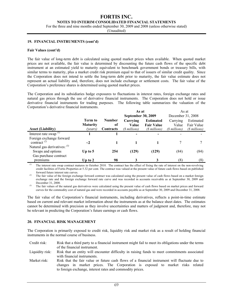#### **NOTES TO INTERIM CONSOLIDATED FINANCIAL STATEMENTS**

For the three and nine months ended September 30, 2009 and 2008 (unless otherwise stated)

(Unaudited)

#### **19. FINANCIAL INSTRUMENTS (cont'd)**

#### **Fair Values (cont'd)**

The fair value of long-term debt is calculated using quoted market prices when available. When quoted market prices are not available, the fair value is determined by discounting the future cash flows of the specific debt instrument at an estimated yield to maturity equivalent to benchmark government bonds or treasury bills, with similar terms to maturity, plus a market credit risk premium equal to that of issuers of similar credit quality. Since the Corporation does not intend to settle the long-term debt prior to maturity, the fair value estimate does not represent an actual liability and, therefore, does not include exchange or settlement costs. The fair value of the Corporation's preference shares is determined using quoted market prices.

The Corporation and its subsidiaries hedge exposures to fluctuations in interest rates, foreign exchange rates and natural gas prices through the use of derivative financial instruments. The Corporation does not hold or issue derivative financial instruments for trading purposes. The following table summarizes the valuation of the Corporation's derivative financial instruments.

|                                   |                 |               | As at              |                   | As at             |               |
|-----------------------------------|-----------------|---------------|--------------------|-------------------|-------------------|---------------|
|                                   |                 |               | September 30, 2009 |                   | December 31, 2008 |               |
|                                   | Term to         | <b>Number</b> | Carrying           | <b>Estimated</b>  | Carrying          | Estimated     |
|                                   | <b>Maturity</b> | of            | Value              | <b>Fair Value</b> | Value             | Fair Value    |
| <b>Asset (Liability)</b>          | (years)         | Contracts     | (\$ millions)      | (\$ millions)     | (\$ millions)     | (\$ millions) |
| Interest rate swap $(1)$          |                 |               |                    |                   |                   |               |
| Foreign exchange forward          |                 |               |                    |                   |                   |               |
| contract <sup>(2)</sup>           | $\sim$ 2        |               |                    |                   |                   |               |
| Natural gas derivatives: $^{(3)}$ |                 |               |                    |                   |                   |               |
| Swaps and options                 | Up to $5$       | 254           | (129)              | (129)             | (84)              | (84)          |
| Gas purchase contract             |                 |               |                    |                   |                   |               |
| premiums                          | Up to $2$       | 98            | 3                  | 3                 | (8)               | (8)           |

The interest rate swap contract matures in October 2010. The contract has the effect of fixing the rate of interest on the non-revolving credit facilities of Fortis Properties at 5.32 per cent. The contract was valued at the present value of future cash flows based on published forward future interest rate curves.

*(2)* The fair value of the foreign exchange forward contract was calculated using the present value of cash flows based on a market foreign exchange rate and the foreign exchange forward rate curve and was recorded in accounts receivable as at September 30, 2009 and December 31, 2008.

<sup>(3)</sup> The fair values of the natural gas derivatives were calculated using the present value of cash flows based on market prices and forward curves for the commodity cost of natural gas and were recorded in accounts payable as at September 30, 2009 and December 31, 2008.

The fair value of the Corporation's financial instruments, including derivatives, reflects a point-in-time estimate based on current and relevant market information about the instruments as at the balance sheet dates. The estimates cannot be determined with precision as they involve uncertainties and matters of judgment and, therefore, may not be relevant in predicting the Corporation's future earnings or cash flows.

#### **20. FINANCIAL RISK MANAGEMENT**

The Corporation is primarily exposed to credit risk, liquidity risk and market risk as a result of holding financial instruments in the normal course of business.

Credit risk: Risk that a third party to a financial instrument might fail to meet its obligations under the terms of the financial instrument.

Liquidity risk: Risk that an entity will encounter difficulty in raising funds to meet commitments associated with financial instruments.

Market risk: Risk that the fair value or future cash flows of a financial instrument will fluctuate due to changes in market prices. The Corporation is exposed to market risks related to foreign exchange, interest rates and commodity prices.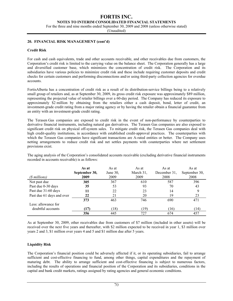**NOTES TO INTERIM CONSOLIDATED FINANCIAL STATEMENTS** 

For the three and nine months ended September 30, 2009 and 2008 (unless otherwise stated)

(Unaudited)

#### **20. FINANCIAL RISK MANAGEMENT (cont'd)**

#### **Credit Risk**

For cash and cash equivalents, trade and other accounts receivable, and other receivables due from customers, the Corporation's credit risk is limited to the carrying value on the balance sheet. The Corporation generally has a large and diversified customer base, which minimizes the concentration of credit risk. The Corporation and its subsidiaries have various policies to minimize credit risk and these include requiring customer deposits and credit checks for certain customers and performing disconnections and/or using third-party collection agencies for overdue accounts.

FortisAlberta has a concentration of credit risk as a result of its distribution-service billings being to a relatively small group of retailers and, as at September 30, 2009, its gross credit risk exposure was approximately \$89 million, representing the projected value of retailer billings over a 60-day period. The Company has reduced its exposure to approximately \$2 million by obtaining from the retailers either a cash deposit, bond, letter of credit, an investment-grade credit rating from a major rating agency or by having the retailer obtain a financial guarantee from an entity with an investment-grade credit rating.

The Terasen Gas companies are exposed to credit risk in the event of non-performance by counterparties to derivative financial instruments, including natural gas derivatives. The Terasen Gas companies are also exposed to significant credit risk on physical off-system sales. To mitigate credit risk, the Terasen Gas companies deal with high credit-quality institutions, in accordance with established credit-approval practices. The counterparties with which the Terasen Gas companies have significant transactions are A-rated entities or better. The Company uses netting arrangements to reduce credit risk and net settles payments with counterparties where net settlement provisions exist.

The aging analysis of the Corporation's consolidated accounts receivable (excluding derivative financial instruments recorded in accounts receivable) is as follows:

|                           | As at<br>September 30, | As at<br>June $30$ . | As at<br>March 31, | As at<br>December 31, | As at<br>September 30, |
|---------------------------|------------------------|----------------------|--------------------|-----------------------|------------------------|
| (\$ millions)             | 2009                   | 2009                 | 2009               | 2008                  | 2008                   |
| Not past due              | 305                    | 367                  | 610                | 587                   | 396                    |
| Past due 0-30 days        | 35                     | 53                   | 93                 | 70                    | 43                     |
| Past due 31-60 days       | 11                     | 22                   | 23                 | 14                    | 9                      |
| Past due 61 days and over | 22                     | 21                   | 20                 | 19                    | 23                     |
|                           | 373                    | 463                  | 746                | 690                   | 471                    |
| Less: allowance for       |                        |                      |                    |                       |                        |
| doubtful accounts         | (17)                   | (18)                 | (19                | (16)                  | (14)                   |
|                           | 356                    | 445                  | 727                | 674                   | 457                    |

As at September 30, 2009, other receivables due from customers of \$7 million (included in other assets) will be received over the next five years and thereafter, with \$2 million expected to be received in year 1, \$3 million over years 2 and 3, \$1 million over years 4 and 5 and \$1 million due after 5 years.

#### **Liquidity Risk**

The Corporation's financial position could be adversely affected if it, or its operating subsidiaries, fail to arrange sufficient and cost-effective financing to fund, among other things, capital expenditures and the repayment of maturing debt. The ability to arrange sufficient and cost-effective financing is subject to numerous factors, including the results of operations and financial position of the Corporation and its subsidiaries, conditions in the capital and bank credit markets, ratings assigned by rating agencies and general economic conditions.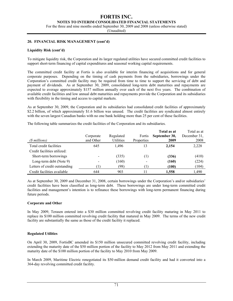**NOTES TO INTERIM CONSOLIDATED FINANCIAL STATEMENTS** 

For the three and nine months ended September 30, 2009 and 2008 (unless otherwise stated)

(Unaudited)

#### **20. FINANCIAL RISK MANAGEMENT (cont'd)**

#### **Liquidity Risk (cont'd)**

To mitigate liquidity risk, the Corporation and its larger regulated utilities have secured committed credit facilities to support short-term financing of capital expenditures and seasonal working capital requirements.

The committed credit facility at Fortis is also available for interim financing of acquisitions and for general corporate purposes. Depending on the timing of cash payments from the subsidiaries, borrowings under the Corporation's committed credit facility may be required from time to time to support the servicing of debt and payment of dividends. As at September 30, 2009, consolidated long-term debt maturities and repayments are expected to average approximately \$157 million annually over each of the next five years. The combination of available credit facilities and low annual debt maturities and repayments provide the Corporation and its subsidiaries with flexibility in the timing and access to capital markets.

As at September 30, 2009, the Corporation and its subsidiaries had consolidated credit facilities of approximately \$2.2 billion, of which approximately \$1.6 billion was unused. The credit facilities are syndicated almost entirely with the seven largest Canadian banks with no one bank holding more than 25 per cent of these facilities.

The following table summarizes the credit facilities of the Corporation and its subsidiaries.

| (\$ millions)                 | Corporate<br>and Other | Regulated<br>Utilities | Fortis<br>Properties | Total as at<br>September 30,<br>2009 | Total as at<br>December 31.<br>2008 |
|-------------------------------|------------------------|------------------------|----------------------|--------------------------------------|-------------------------------------|
| Total credit facilities       | 645                    | 1.496                  | 13                   | 2.154                                | 2,228                               |
| Credit facilities utilized:   |                        |                        |                      |                                      |                                     |
| Short-term borrowings         |                        | (335)                  | $\left(1\right)$     | (336)                                | (410)                               |
| Long-term debt (Note 9)       |                        | (160)                  |                      | (160)                                | (224)                               |
| Letters of credit outstanding |                        | (98)                   | Ί۱                   | (100)                                | (104)                               |
| Credit facilities available   | 644                    | 903                    |                      | 1,558                                | 1.490                               |

As at September 30, 2009 and December 31, 2008, certain borrowings under the Corporation's and/or subsidiaries' credit facilities have been classified as long-term debt. These borrowings are under long-term committed credit facilities and management's intention is to refinance these borrowings with long-term permanent financing during future periods.

#### **Corporate and Other**

In May 2009, Terasen entered into a \$30 million committed revolving credit facility maturing in May 2011 to replace its \$100 million committed revolving credit facility that matured in May 2009. The terms of the new credit facility are substantially the same as those of the credit facility it replaced.

#### **Regulated Utilities**

On April 30, 2009, FortisBC amended its \$150 million unsecured committed revolving credit facility, including extending the maturity date of the \$50 million portion of the facility to May 2012 from May 2011 and extending the maturity date of the \$100 million portion of the facility to May 2010 from May 2009.

In March 2009, Maritime Electric renegotiated its \$50 million demand credit facility and had it converted into a 364-day revolving committed credit facility.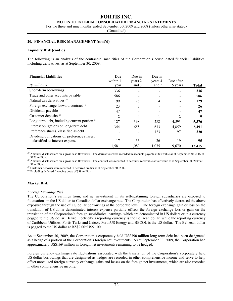#### **NOTES TO INTERIM CONSOLIDATED FINANCIAL STATEMENTS**

For the three and nine months ended September 30, 2009 and 2008 (unless otherwise stated)

(Unaudited)

#### **20. FINANCIAL RISK MANAGEMENT (cont'd)**

#### **Liquidity Risk (cont'd)**

The following is an analysis of the contractual maturities of the Corporation's consolidated financial liabilities, including derivatives, as at September 30, 2009.

| <b>Financial Liabilities</b><br>(\$ millions)                                 | Due<br>within 1<br>year | Due in<br>years 2<br>and 3 | Due in<br>years 4<br>and 5 | Due after<br>5 years | <b>Total</b> |
|-------------------------------------------------------------------------------|-------------------------|----------------------------|----------------------------|----------------------|--------------|
| Short-term borrowings                                                         | 336                     |                            |                            |                      | 336          |
| Trade and other accounts payable                                              | 586                     |                            |                            |                      | 586          |
| Natural gas derivatives (1)                                                   | 99                      | 26                         | 4                          |                      | 129          |
| Foreign exchange forward contract <sup>(2)</sup>                              | 23                      | 3                          |                            |                      | 26           |
| Dividends payable                                                             | 47                      |                            |                            |                      | 47           |
| Customer deposits $^{(3)}$                                                    | $\overline{c}$          | 4                          |                            | 2                    | 9            |
| Long-term debt, including current portion $\alpha$                            | 127                     | 368                        | 288                        | 4,593                | 5,376        |
| Interest obligations on long-term debt                                        | 344                     | 655                        | 633                        | 4,859                | 6,491        |
| Preference shares, classified as debt                                         |                         |                            | 123                        | 197                  | 320          |
| Dividend obligations on preference shares,<br>classified as interest expense. | 17                      | 33                         | 26                         | 19                   | 95           |
|                                                                               | 1,581                   | 1,089                      | 1.075                      | 9,670                | 13,415       |

 $\alpha$  Amounts disclosed are on a gross cash flow basis. The derivatives were recorded in accounts payable at fair value as at September 30, 2009 at \$126 million.

<sup>(2)</sup> Amounts disclosed are on a gross cash flow basis. The contract was recorded in accounts receivable at fair value as at September 30, 2009 at \$1 million.

<sup>(3)</sup> Customer deposits were recorded in deferred credits as at September 30, 2009.

*(4)* Excluding deferred financing costs of \$39 million

#### **Market Risk**

#### *Foreign Exchange Risk*

The Corporation's earnings from, and net investment in, its self-sustaining foreign subsidiaries are exposed to fluctuations in the US dollar-to-Canadian dollar exchange rate. The Corporation has effectively decreased the above exposure through the use of US dollar borrowings at the corporate level. The foreign exchange gain or loss on the translation of US dollar-denominated interest expense partially offsets the foreign exchange loss or gain on the translation of the Corporation's foreign subsidiaries' earnings, which are denominated in US dollars or in a currency pegged to the US dollar. Belize Electricity's reporting currency is the Belizean dollar, while the reporting currency of Caribbean Utilities, Fortis Turks and Caicos, FortisUS Energy and BECOL is the US dollar. The Belizean dollar is pegged to the US dollar at BZ\$2.00=US\$1.00.

As at September 30, 2009, the Corporation's corporately held US\$390 million long-term debt had been designated as a hedge of a portion of the Corporation's foreign net investments. As at September 30, 2009, the Corporation had approximately US\$169 million in foreign net investments remaining to be hedged.

Foreign currency exchange rate fluctuations associated with the translation of the Corporation's corporately held US dollar borrowings that are designated as hedges are recorded in other comprehensive income and serve to help offset unrealized foreign currency exchange gains and losses on the foreign net investments, which are also recorded in other comprehensive income.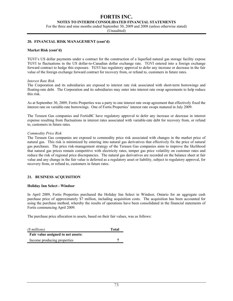#### **NOTES TO INTERIM CONSOLIDATED FINANCIAL STATEMENTS**

For the three and nine months ended September 30, 2009 and 2008 (unless otherwise stated)

(Unaudited)

#### **20. FINANCIAL RISK MANAGEMENT (cont'd)**

#### **Market Risk (cont'd)**

TGVI's US dollar payments under a contract for the construction of a liquefied natural gas storage facility expose TGVI to fluctuations in the US dollar-to-Canadian dollar exchange rate. TGVI entered into a foreign exchange forward contract to hedge this exposure. TGVI has regulatory approval to defer any increase or decrease in the fair value of the foreign exchange forward contract for recovery from, or refund to, customers in future rates.

#### *Interest Rate Risk*

The Corporation and its subsidiaries are exposed to interest rate risk associated with short-term borrowings and floating-rate debt. The Corporation and its subsidiaries may enter into interest rate swap agreements to help reduce this risk.

As at September 30, 2009, Fortis Properties was a party to one interest rate swap agreement that effectively fixed the interest rate on variable-rate borrowings. One of Fortis Properties' interest rate swaps matured in July 2009.

The Terasen Gas companies and FortisBC have regulatory approval to defer any increase or decrease in interest expense resulting from fluctuations in interest rates associated with variable-rate debt for recovery from, or refund to, customers in future rates.

#### *Commodity Price Risk*

The Terasen Gas companies are exposed to commodity price risk associated with changes in the market price of natural gas. This risk is minimized by entering into natural gas derivatives that effectively fix the price of natural gas purchases. The price risk-management strategy of the Terasen Gas companies aims to improve the likelihood that natural gas prices remain competitive with electricity rates, temper gas price volatility on customer rates and reduce the risk of regional price discrepancies. The natural gas derivatives are recorded on the balance sheet at fair value and any change in the fair value is deferred as a regulatory asset or liability, subject to regulatory approval, for recovery from, or refund to, customers in future rates.

#### **21. BUSINESS ACQUISITION**

#### **Holiday Inn Select - Windsor**

In April 2009, Fortis Properties purchased the Holiday Inn Select in Windsor, Ontario for an aggregate cash purchase price of approximately \$7 million, including acquisition costs. The acquisition has been accounted for using the purchase method, whereby the results of operations have been consolidated in the financial statements of Fortis commencing April 2009.

The purchase price allocation to assets, based on their fair values, was as follows:

| (\$ millions)                      | Total |
|------------------------------------|-------|
| Fair value assigned to net assets: |       |
| Income producing properties        |       |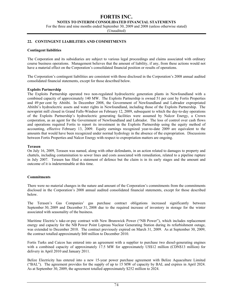**NOTES TO INTERIM CONSOLIDATED FINANCIAL STATEMENTS** 

For the three and nine months ended September 30, 2009 and 2008 (unless otherwise stated)

(Unaudited)

#### **22. CONTINGENT LIABILITIES AND COMMITMENTS**

#### **Contingent liabilities**

The Corporation and its subsidiaries are subject to various legal proceedings and claims associated with ordinary course business operations. Management believes that the amount of liability, if any, from these actions would not have a material effect on the Corporation's consolidated financial position or results of operations.

The Corporation's contingent liabilities are consistent with those disclosed in the Corporation's 2008 annual audited consolidated financial statements, except for those described below.

#### **Exploits Partnership**

The Exploits Partnership operated two non-regulated hydroelectric generation plants in Newfoundland with a combined capacity of approximately 140 MW. The Exploits Partnership is owned 51 per cent by Fortis Properties and 49 per cent by Abitibi. In December 2008, the Government of Newfoundland and Labrador expropriated Abitibi's hydroelectric assets and water rights in Newfoundland, including those of the Exploits Partnership. The newsprint mill closed in Grand Falls-Windsor on February 12, 2009, subsequent to which the day-to-day operations of the Exploits Partnership's hydroelectric generating facilities were assumed by Nalcor Energy, a Crown corporation, as an agent for the Government of Newfoundland and Labrador. The loss of control over cash flows and operations required Fortis to report its investment in the Exploits Partnership using the equity method of accounting, effective February 13, 2009. Equity earnings recognized year-to-date 2009 are equivalent to the amounts that would have been recognized under normal hydrology in the absence of the expropriation. Discussions between Fortis Properties and Nalcor Energy with respect to expropriation matters are ongoing.

#### **Terasen**

On July 16, 2009, Terasen was named, along with other defendants, in an action related to damages to property and chattels, including contamination to sewer lines and costs associated with remediation, related to a pipeline rupture in July 2007. Terasen has filed a statement of defence but the claim is in its early stages and the amount and outcome of it is indeterminable at this time.

#### **Commitments**

There were no material changes in the nature and amount of the Corporation's commitments from the commitments disclosed in the Corporation's 2008 annual audited consolidated financial statements, except for those described below.

The Terasen's Gas Companies' gas purchase contract obligations increased significantly between September 30, 2009 and December 31, 2008 due to the required increase of inventory in storage for the winter associated with seasonality of the business.

Maritime Electric's take-or-pay contract with New Brunswick Power ("NB Power"), which includes replacement energy and capacity for the NB Power Point Lepreau Nuclear Generating Station during its refurbishment outage, was extended to December 2010. The contract previously expired on March 31, 2009. As at September 30, 2009, the contract totalled approximately \$60 million to December 2010.

Fortis Turks and Caicos has entered into an agreement with a supplier to purchase two diesel-generating engines with a combined capacity of approximately 17.5 MW for approximately US\$12 million (CDN\$13 million) for delivery in April 2010 and January 2011.

Belize Electricity has entered into a new 15-year power purchase agreement with Belize Aquaculture Limited ("BAL"). The agreement provides for the supply of up to 15 MW of capacity by BAL and expires in April 2024. As at September 30, 2009, the agreement totalled approximately \$252 million to 2024.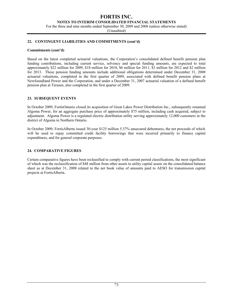**NOTES TO INTERIM CONSOLIDATED FINANCIAL STATEMENTS** 

For the three and nine months ended September 30, 2009 and 2008 (unless otherwise stated)

(Unaudited)

#### **22. CONTINGENT LIABILITIES AND COMMITMENTS (cont'd)**

#### **Commitments (cont'd)**

Based on the latest completed actuarial valuations, the Corporation's consolidated defined benefit pension plan funding contributions, including current service, solvency and special funding amounts, are expected to total approximately \$22 million for 2009, \$18 million for 2010, \$6 million for 2011, \$3 million for 2012 and \$2 million for 2013. These pension funding amounts include additional obligations determined under December 31, 2008 actuarial valuations, completed in the first quarter of 2009, associated with defined benefit pension plans at Newfoundland Power and the Corporation, and under a December 31, 2007 actuarial valuation of a defined benefit pension plan at Terasen, also completed in the first quarter of 2009.

#### **23. SUBSEQUENT EVENTS**

In October 2009, FortisOntario closed its acquisition of Great Lakes Power Distribution Inc., subsequently renamed Algoma Power, for an aggregate purchase price of approximately \$75 million, including cash acquired, subject to adjustment. Algoma Power is a regulated electric distribution utility serving approximately 12,000 customers in the district of Algoma in Northern Ontario.

In October 2009, FortisAlberta issued 30-year \$125 million 5.37% unsecured debentures, the net proceeds of which will be used to repay committed credit facility borrowings that were incurred primarily to finance capital expenditures, and for general corporate purposes.

#### **24. COMPARATIVE FIGURES**

Certain comparative figures have been reclassified to comply with current period classifications, the most significant of which was the reclassification of \$48 million from other assets to utility capital assets on the consolidated balance sheet as at December 31, 2008 related to the net book value of amounts paid to AESO for transmission capital projects at FortisAlberta.